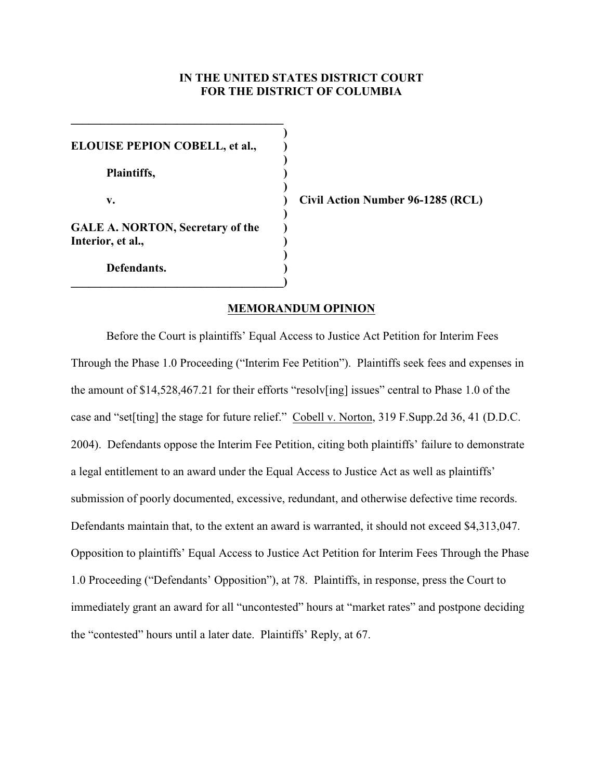# **IN THE UNITED STATES DISTRICT COURT FOR THE DISTRICT OF COLUMBIA**

**)**

**)**

**)**

**)** 

**)**

**ELOUISE PEPION COBELL, et al., ) Plaintiffs, ) GALE A. NORTON, Secretary of the ) Interior, et al., ) Defendants. )**

**\_\_\_\_\_\_\_\_\_\_\_\_\_\_\_\_\_\_\_\_\_\_\_\_\_\_\_\_\_\_\_\_\_\_\_\_)**

**\_\_\_\_\_\_\_\_\_\_\_\_\_\_\_\_\_\_\_\_\_\_\_\_\_\_\_\_\_\_\_\_\_\_\_\_**

**v. ) Civil Action Number 96-1285 (RCL)**

## **MEMORANDUM OPINION**

Before the Court is plaintiffs' Equal Access to Justice Act Petition for Interim Fees Through the Phase 1.0 Proceeding ("Interim Fee Petition"). Plaintiffs seek fees and expenses in the amount of \$14,528,467.21 for their efforts "resolv[ing] issues" central to Phase 1.0 of the case and "set[ting] the stage for future relief." Cobell v. Norton, 319 F.Supp.2d 36, 41 (D.D.C. 2004). Defendants oppose the Interim Fee Petition, citing both plaintiffs' failure to demonstrate a legal entitlement to an award under the Equal Access to Justice Act as well as plaintiffs' submission of poorly documented, excessive, redundant, and otherwise defective time records. Defendants maintain that, to the extent an award is warranted, it should not exceed \$4,313,047. Opposition to plaintiffs' Equal Access to Justice Act Petition for Interim Fees Through the Phase 1.0 Proceeding ("Defendants' Opposition"), at 78. Plaintiffs, in response, press the Court to immediately grant an award for all "uncontested" hours at "market rates" and postpone deciding the "contested" hours until a later date. Plaintiffs' Reply, at 67.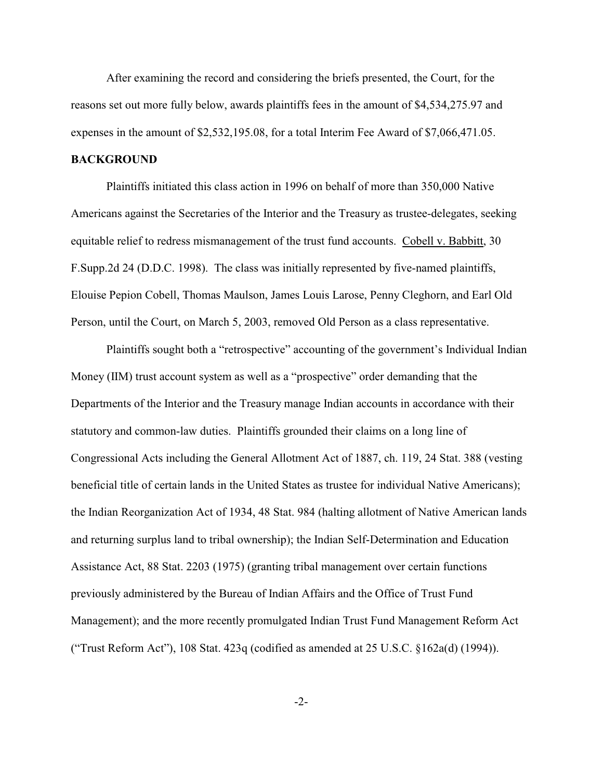After examining the record and considering the briefs presented, the Court, for the reasons set out more fully below, awards plaintiffs fees in the amount of \$4,534,275.97 and expenses in the amount of \$2,532,195.08, for a total Interim Fee Award of \$7,066,471.05.

### **BACKGROUND**

 Plaintiffs initiated this class action in 1996 on behalf of more than 350,000 Native Americans against the Secretaries of the Interior and the Treasury as trustee-delegates, seeking equitable relief to redress mismanagement of the trust fund accounts. Cobell v. Babbitt, 30 F.Supp.2d 24 (D.D.C. 1998). The class was initially represented by five-named plaintiffs, Elouise Pepion Cobell, Thomas Maulson, James Louis Larose, Penny Cleghorn, and Earl Old Person, until the Court, on March 5, 2003, removed Old Person as a class representative.

Plaintiffs sought both a "retrospective" accounting of the government's Individual Indian Money (IIM) trust account system as well as a "prospective" order demanding that the Departments of the Interior and the Treasury manage Indian accounts in accordance with their statutory and common-law duties. Plaintiffs grounded their claims on a long line of Congressional Acts including the General Allotment Act of 1887, ch. 119, 24 Stat. 388 (vesting beneficial title of certain lands in the United States as trustee for individual Native Americans); the Indian Reorganization Act of 1934, 48 Stat. 984 (halting allotment of Native American lands and returning surplus land to tribal ownership); the Indian Self-Determination and Education Assistance Act, 88 Stat. 2203 (1975) (granting tribal management over certain functions previously administered by the Bureau of Indian Affairs and the Office of Trust Fund Management); and the more recently promulgated Indian Trust Fund Management Reform Act ("Trust Reform Act"), 108 Stat. 423q (codified as amended at 25 U.S.C. §162a(d) (1994)).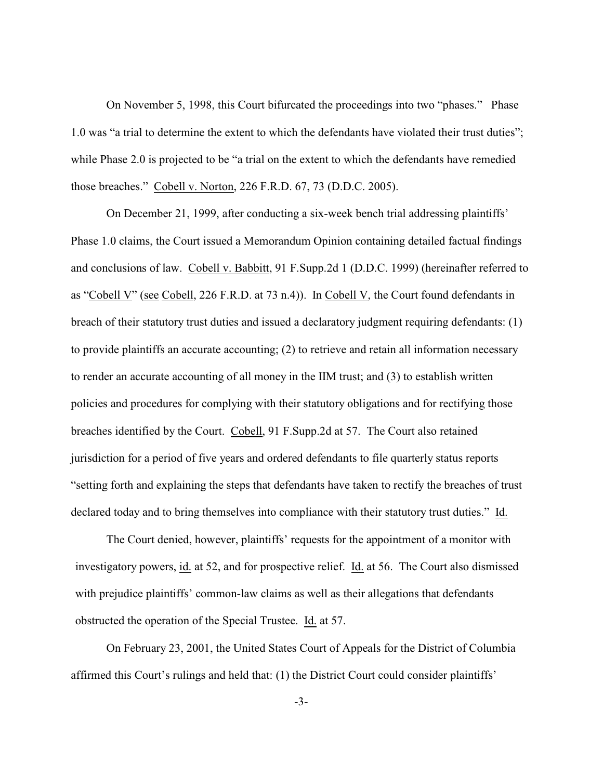On November 5, 1998, this Court bifurcated the proceedings into two "phases." Phase 1.0 was "a trial to determine the extent to which the defendants have violated their trust duties"; while Phase 2.0 is projected to be "a trial on the extent to which the defendants have remedied those breaches." Cobell v. Norton, 226 F.R.D. 67, 73 (D.D.C. 2005).

 On December 21, 1999, after conducting a six-week bench trial addressing plaintiffs' Phase 1.0 claims, the Court issued a Memorandum Opinion containing detailed factual findings and conclusions of law. Cobell v. Babbitt, 91 F.Supp.2d 1 (D.D.C. 1999) (hereinafter referred to as "Cobell V" (see Cobell, 226 F.R.D. at 73 n.4)). In Cobell V, the Court found defendants in breach of their statutory trust duties and issued a declaratory judgment requiring defendants: (1) to provide plaintiffs an accurate accounting; (2) to retrieve and retain all information necessary to render an accurate accounting of all money in the IIM trust; and (3) to establish written policies and procedures for complying with their statutory obligations and for rectifying those breaches identified by the Court. Cobell, 91 F.Supp.2d at 57. The Court also retained jurisdiction for a period of five years and ordered defendants to file quarterly status reports "setting forth and explaining the steps that defendants have taken to rectify the breaches of trust declared today and to bring themselves into compliance with their statutory trust duties." Id.

The Court denied, however, plaintiffs' requests for the appointment of a monitor with investigatory powers, id. at 52, and for prospective relief. Id. at 56. The Court also dismissed with prejudice plaintiffs' common-law claims as well as their allegations that defendants obstructed the operation of the Special Trustee. Id. at 57.

On February 23, 2001, the United States Court of Appeals for the District of Columbia affirmed this Court's rulings and held that: (1) the District Court could consider plaintiffs'

-3-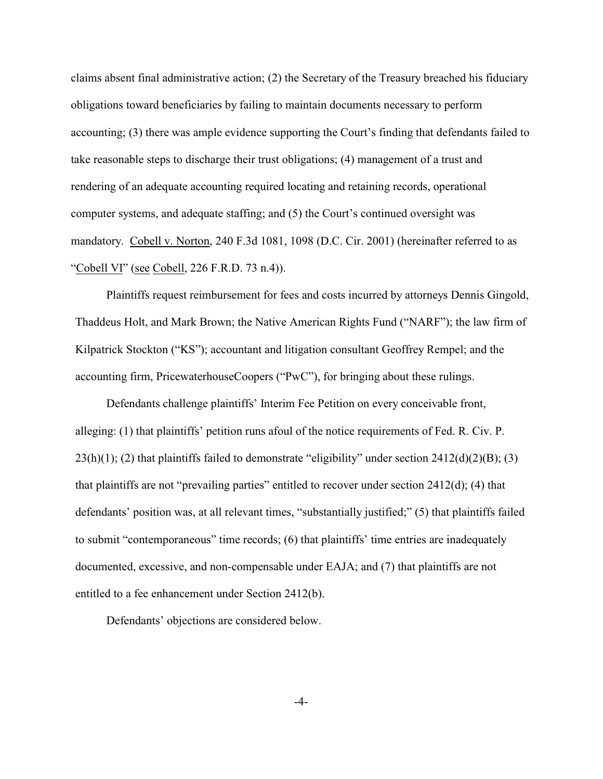claims absent final administrative action; (2) the Secretary of the Treasury breached his fiduciary obligations toward beneficiaries by failing to maintain documents necessary to perform accounting; (3) there was ample evidence supporting the Court's finding that defendants failed to take reasonable steps to discharge their trust obligations; (4) management of a trust and rendering of an adequate accounting required locating and retaining records, operational computer systems, and adequate staffing; and (5) the Court's continued oversight was mandatory. Cobell v. Norton, 240 F.3d 1081, 1098 (D.C. Cir. 2001) (hereinafter referred to as "Cobell VI" (see Cobell, 226 F.R.D. 73 n.4)).

Plaintiffs request reimbursement for fees and costs incurred by attorneys Dennis Gingold, Thaddeus Holt, and Mark Brown; the Native American Rights Fund ("NARF"); the law firm of Kilpatrick Stockton ("KS"); accountant and litigation consultant Geoffrey Rempel; and the accounting firm, PricewaterhouseCoopers ("PwC"), for bringing about these rulings.

Defendants challenge plaintiffs' Interim Fee Petition on every conceivable front, alleging: (1) that plaintiffs' petition runs afoul of the notice requirements of Fed. R. Civ. P.  $23(h)(1)$ ; (2) that plaintiffs failed to demonstrate "eligibility" under section  $2412(d)(2)(B)$ ; (3) that plaintiffs are not "prevailing parties" entitled to recover under section 2412(d); (4) that defendants' position was, at all relevant times, "substantially justified;" (5) that plaintiffs failed to submit "contemporaneous" time records; (6) that plaintiffs' time entries are inadequately documented, excessive, and non-compensable under EAJA; and (7) that plaintiffs are not entitled to a fee enhancement under Section 2412(b).

Defendants' objections are considered below.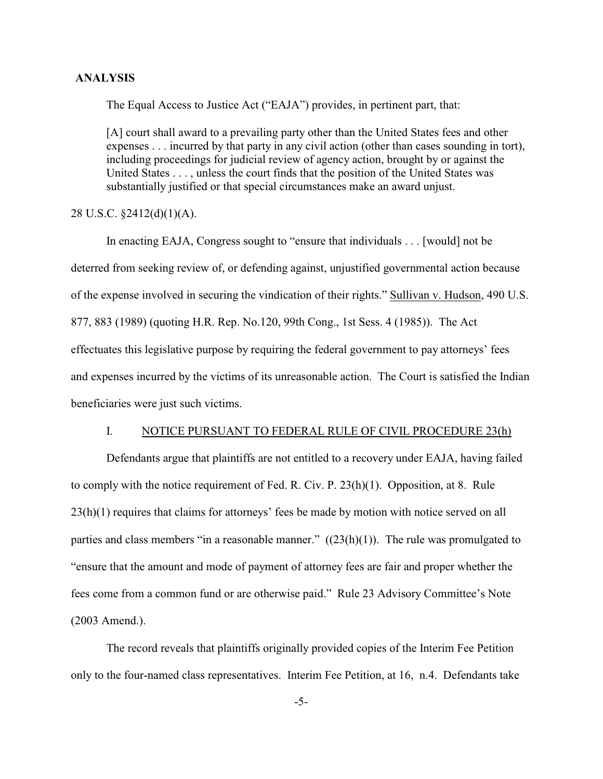## **ANALYSIS**

The Equal Access to Justice Act ("EAJA") provides, in pertinent part, that:

[A] court shall award to a prevailing party other than the United States fees and other expenses . . . incurred by that party in any civil action (other than cases sounding in tort), including proceedings for judicial review of agency action, brought by or against the United States . . . , unless the court finds that the position of the United States was substantially justified or that special circumstances make an award unjust.

# 28 U.S.C. §2412(d)(1)(A).

In enacting EAJA, Congress sought to "ensure that individuals . . . [would] not be deterred from seeking review of, or defending against, unjustified governmental action because of the expense involved in securing the vindication of their rights." Sullivan v. Hudson, 490 U.S. 877, 883 (1989) (quoting H.R. Rep. No.120, 99th Cong., 1st Sess. 4 (1985)). The Act effectuates this legislative purpose by requiring the federal government to pay attorneys' fees and expenses incurred by the victims of its unreasonable action. The Court is satisfied the Indian beneficiaries were just such victims.

### I. NOTICE PURSUANT TO FEDERAL RULE OF CIVIL PROCEDURE 23(h)

Defendants argue that plaintiffs are not entitled to a recovery under EAJA, having failed to comply with the notice requirement of Fed. R. Civ. P. 23(h)(1). Opposition, at 8. Rule 23(h)(1) requires that claims for attorneys' fees be made by motion with notice served on all parties and class members "in a reasonable manner."  $((23(h)(1))$ . The rule was promulgated to "ensure that the amount and mode of payment of attorney fees are fair and proper whether the fees come from a common fund or are otherwise paid." Rule 23 Advisory Committee's Note (2003 Amend.).

The record reveals that plaintiffs originally provided copies of the Interim Fee Petition only to the four-named class representatives. Interim Fee Petition, at 16, n.4. Defendants take

-5-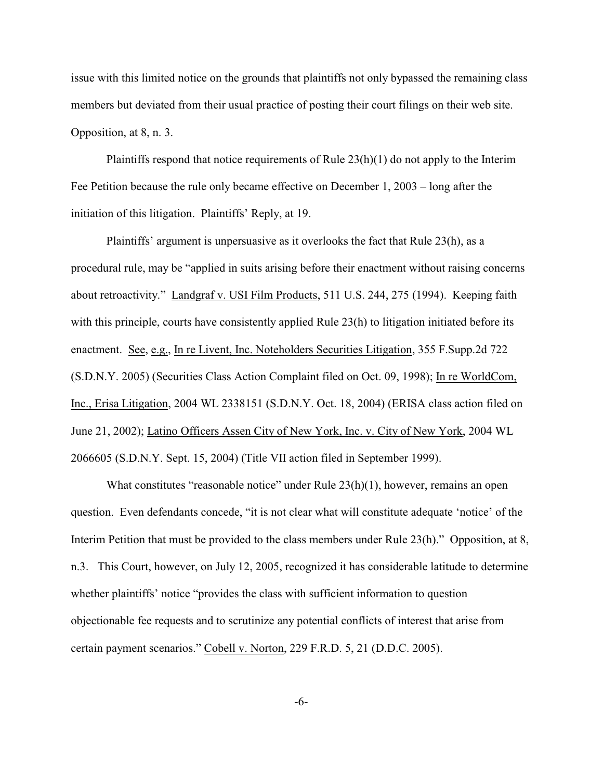issue with this limited notice on the grounds that plaintiffs not only bypassed the remaining class members but deviated from their usual practice of posting their court filings on their web site. Opposition, at 8, n. 3.

Plaintiffs respond that notice requirements of Rule 23(h)(1) do not apply to the Interim Fee Petition because the rule only became effective on December 1, 2003 – long after the initiation of this litigation. Plaintiffs' Reply, at 19.

Plaintiffs' argument is unpersuasive as it overlooks the fact that Rule 23(h), as a procedural rule, may be "applied in suits arising before their enactment without raising concerns about retroactivity." Landgraf v. USI Film Products, 511 U.S. 244, 275 (1994). Keeping faith with this principle, courts have consistently applied Rule 23(h) to litigation initiated before its enactment. See, e.g., In re Livent, Inc. Noteholders Securities Litigation, 355 F.Supp.2d 722 (S.D.N.Y. 2005) (Securities Class Action Complaint filed on Oct. 09, 1998); In re WorldCom, Inc., Erisa Litigation, 2004 WL 2338151 (S.D.N.Y. Oct. 18, 2004) (ERISA class action filed on June 21, 2002); Latino Officers Assen City of New York, Inc. v. City of New York, 2004 WL 2066605 (S.D.N.Y. Sept. 15, 2004) (Title VII action filed in September 1999).

What constitutes "reasonable notice" under Rule  $23(h)(1)$ , however, remains an open question. Even defendants concede, "it is not clear what will constitute adequate 'notice' of the Interim Petition that must be provided to the class members under Rule 23(h)." Opposition, at 8, n.3. This Court, however, on July 12, 2005, recognized it has considerable latitude to determine whether plaintiffs' notice "provides the class with sufficient information to question objectionable fee requests and to scrutinize any potential conflicts of interest that arise from certain payment scenarios." Cobell v. Norton, 229 F.R.D. 5, 21 (D.D.C. 2005).

-6-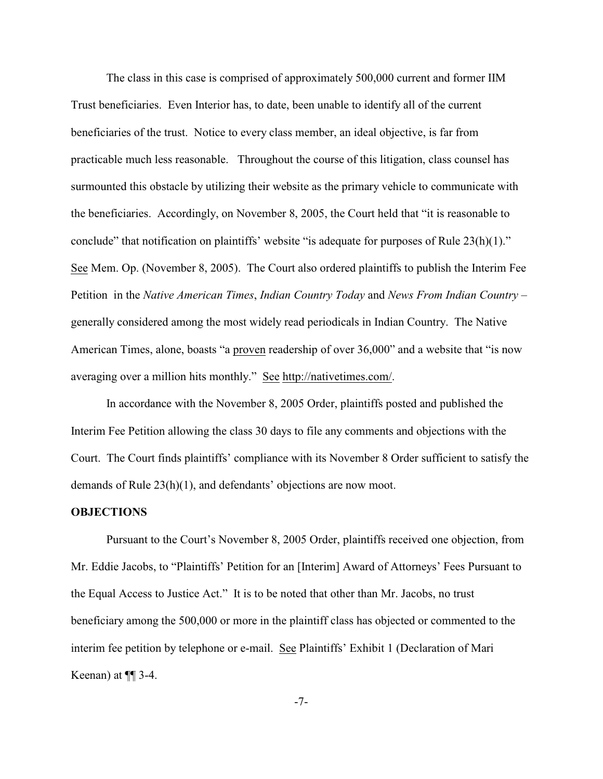The class in this case is comprised of approximately 500,000 current and former IIM Trust beneficiaries. Even Interior has, to date, been unable to identify all of the current beneficiaries of the trust. Notice to every class member, an ideal objective, is far from practicable much less reasonable. Throughout the course of this litigation, class counsel has surmounted this obstacle by utilizing their website as the primary vehicle to communicate with the beneficiaries. Accordingly, on November 8, 2005, the Court held that "it is reasonable to conclude" that notification on plaintiffs' website "is adequate for purposes of Rule 23(h)(1)." See Mem. Op. (November 8, 2005). The Court also ordered plaintiffs to publish the Interim Fee Petition in the *Native American Times*, *Indian Country Today* and *News From Indian Country* – generally considered among the most widely read periodicals in Indian Country. The Native American Times, alone, boasts "a proven readership of over 36,000" and a website that "is now averaging over a million hits monthly." See<http://nativetimes.com/>.

In accordance with the November 8, 2005 Order, plaintiffs posted and published the Interim Fee Petition allowing the class 30 days to file any comments and objections with the Court. The Court finds plaintiffs' compliance with its November 8 Order sufficient to satisfy the demands of Rule 23(h)(1), and defendants' objections are now moot.

#### **OBJECTIONS**

Pursuant to the Court's November 8, 2005 Order, plaintiffs received one objection, from Mr. Eddie Jacobs, to "Plaintiffs' Petition for an [Interim] Award of Attorneys' Fees Pursuant to the Equal Access to Justice Act." It is to be noted that other than Mr. Jacobs, no trust beneficiary among the 500,000 or more in the plaintiff class has objected or commented to the interim fee petition by telephone or e-mail. See Plaintiffs' Exhibit 1 (Declaration of Mari Keenan) at ¶¶ 3-4.

-7-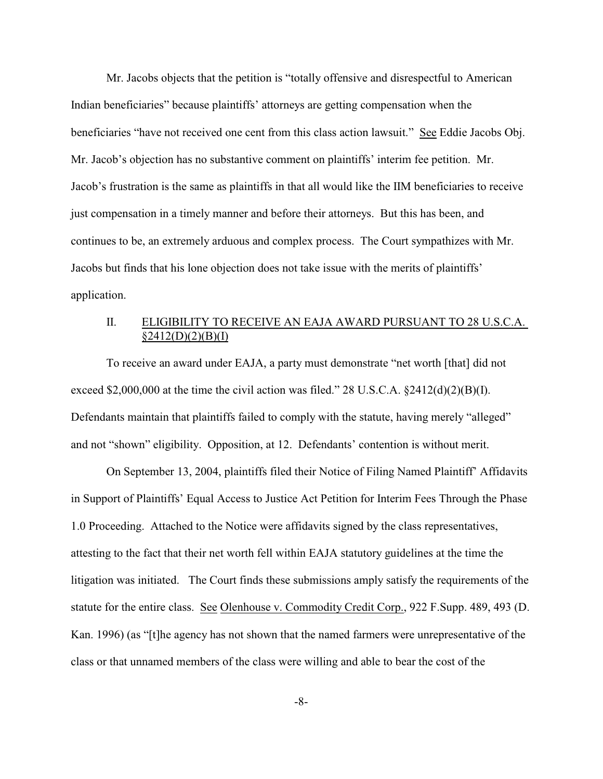Mr. Jacobs objects that the petition is "totally offensive and disrespectful to American Indian beneficiaries" because plaintiffs' attorneys are getting compensation when the beneficiaries "have not received one cent from this class action lawsuit." See Eddie Jacobs Obj. Mr. Jacob's objection has no substantive comment on plaintiffs' interim fee petition. Mr. Jacob's frustration is the same as plaintiffs in that all would like the IIM beneficiaries to receive just compensation in a timely manner and before their attorneys. But this has been, and continues to be, an extremely arduous and complex process. The Court sympathizes with Mr. Jacobs but finds that his lone objection does not take issue with the merits of plaintiffs' application.

# II. ELIGIBILITY TO RECEIVE AN EAJA AWARD PURSUANT TO 28 U.S.C.A.  $§2412(D)(2)(B)(I)$

To receive an award under EAJA, a party must demonstrate "net worth [that] did not exceed \$2,000,000 at the time the civil action was filed." 28 U.S.C.A.  $\S$ 2412(d)(2)(B)(I). Defendants maintain that plaintiffs failed to comply with the statute, having merely "alleged" and not "shown" eligibility. Opposition, at 12. Defendants' contention is without merit.

On September 13, 2004, plaintiffs filed their Notice of Filing Named Plaintiff' Affidavits in Support of Plaintiffs' Equal Access to Justice Act Petition for Interim Fees Through the Phase 1.0 Proceeding. Attached to the Notice were affidavits signed by the class representatives, attesting to the fact that their net worth fell within EAJA statutory guidelines at the time the litigation was initiated. The Court finds these submissions amply satisfy the requirements of the statute for the entire class. See Olenhouse v. Commodity Credit Corp., 922 F.Supp. 489, 493 (D. Kan. 1996) (as "[t]he agency has not shown that the named farmers were unrepresentative of the class or that unnamed members of the class were willing and able to bear the cost of the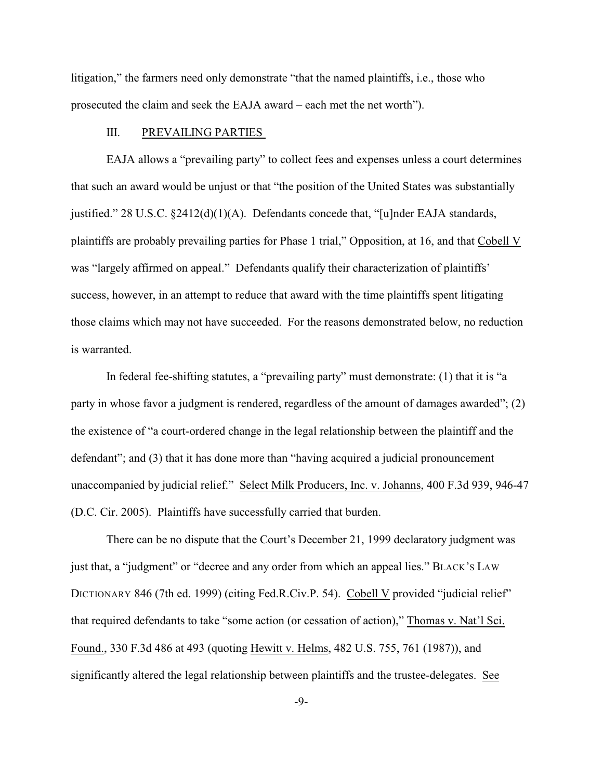litigation," the farmers need only demonstrate "that the named plaintiffs, i.e., those who prosecuted the claim and seek the EAJA award – each met the net worth").

## III. PREVAILING PARTIES

EAJA allows a "prevailing party" to collect fees and expenses unless a court determines that such an award would be unjust or that "the position of the United States was substantially justified." 28 U.S.C.  $\S2412(d)(1)(A)$ . Defendants concede that, "[u]nder EAJA standards, plaintiffs are probably prevailing parties for Phase 1 trial," Opposition, at 16, and that Cobell V was "largely affirmed on appeal." Defendants qualify their characterization of plaintiffs' success, however, in an attempt to reduce that award with the time plaintiffs spent litigating those claims which may not have succeeded. For the reasons demonstrated below, no reduction is warranted.

In federal fee-shifting statutes, a "prevailing party" must demonstrate: (1) that it is "a party in whose favor a judgment is rendered, regardless of the amount of damages awarded"; (2) the existence of "a court-ordered change in the legal relationship between the plaintiff and the defendant"; and (3) that it has done more than "having acquired a judicial pronouncement unaccompanied by judicial relief." Select Milk Producers, Inc. v. Johanns, 400 F.3d 939, 946-47 (D.C. Cir. 2005). Plaintiffs have successfully carried that burden.

There can be no dispute that the Court's December 21, 1999 declaratory judgment was just that, a "judgment" or "decree and any order from which an appeal lies." BLACK'S LAW DICTIONARY 846 (7th ed. 1999) (citing Fed.R.Civ.P. 54). Cobell V provided "judicial relief" that required defendants to take "some action (or cessation of action)," Thomas v. Nat'l Sci. Found., 330 F.3d 486 at 493 (quoting Hewitt v. Helms, 482 U.S. 755, 761 (1987)), and significantly altered the legal relationship between plaintiffs and the trustee-delegates. See

-9-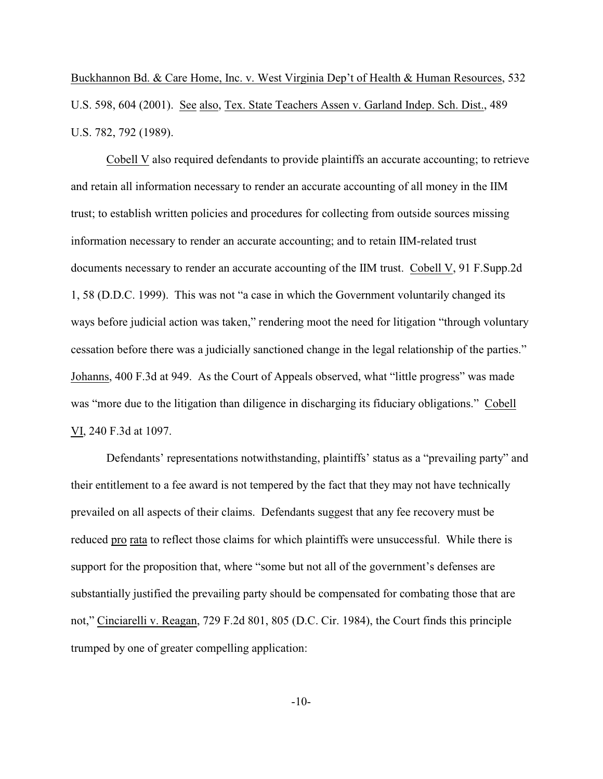Buckhannon Bd. & Care Home, Inc. v. West Virginia Dep't of Health & Human Resources, 532 U.S. 598, 604 (2001). See also, Tex. State Teachers Assen v. Garland Indep. Sch. Dist., 489 U.S. 782, 792 (1989).

Cobell V also required defendants to provide plaintiffs an accurate accounting; to retrieve and retain all information necessary to render an accurate accounting of all money in the IIM trust; to establish written policies and procedures for collecting from outside sources missing information necessary to render an accurate accounting; and to retain IIM-related trust documents necessary to render an accurate accounting of the IIM trust. Cobell V, 91 F.Supp.2d 1, 58 (D.D.C. 1999). This was not "a case in which the Government voluntarily changed its ways before judicial action was taken," rendering moot the need for litigation "through voluntary cessation before there was a judicially sanctioned change in the legal relationship of the parties." Johanns, 400 F.3d at 949. As the Court of Appeals observed, what "little progress" was made was "more due to the litigation than diligence in discharging its fiduciary obligations." Cobell VI, 240 F.3d at 1097.

Defendants' representations notwithstanding, plaintiffs' status as a "prevailing party" and their entitlement to a fee award is not tempered by the fact that they may not have technically prevailed on all aspects of their claims. Defendants suggest that any fee recovery must be reduced pro rata to reflect those claims for which plaintiffs were unsuccessful. While there is support for the proposition that, where "some but not all of the government's defenses are substantially justified the prevailing party should be compensated for combating those that are not," Cinciarelli v. Reagan, 729 F.2d 801, 805 (D.C. Cir. 1984), the Court finds this principle trumped by one of greater compelling application:

-10-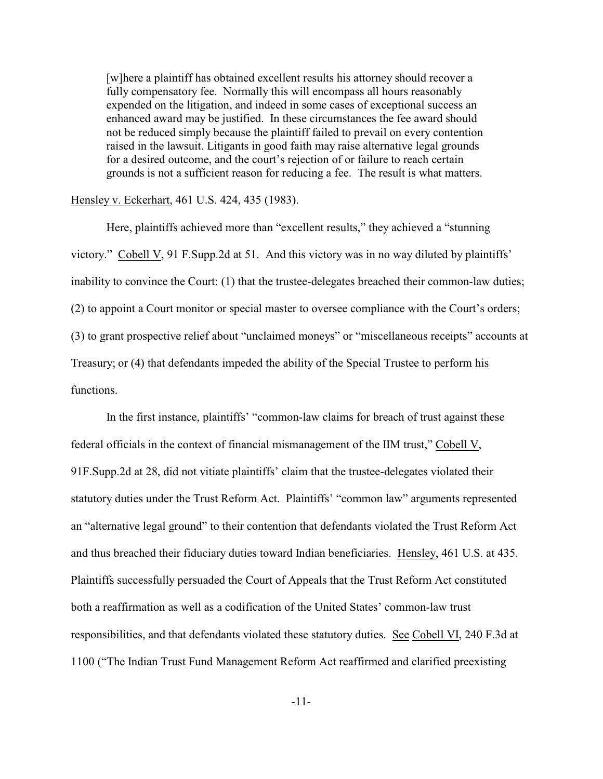[w]here a plaintiff has obtained excellent results his attorney should recover a fully compensatory fee. Normally this will encompass all hours reasonably expended on the litigation, and indeed in some cases of exceptional success an enhanced award may be justified. In these circumstances the fee award should not be reduced simply because the plaintiff failed to prevail on every contention raised in the lawsuit. Litigants in good faith may raise alternative legal grounds for a desired outcome, and the court's rejection of or failure to reach certain grounds is not a sufficient reason for reducing a fee. The result is what matters.

### Hensley v. Eckerhart, 461 U.S. 424, 435 (1983).

Here, plaintiffs achieved more than "excellent results," they achieved a "stunning victory." Cobell V, 91 F.Supp.2d at 51. And this victory was in no way diluted by plaintiffs' inability to convince the Court: (1) that the trustee-delegates breached their common-law duties; (2) to appoint a Court monitor or special master to oversee compliance with the Court's orders; (3) to grant prospective relief about "unclaimed moneys" or "miscellaneous receipts" accounts at Treasury; or (4) that defendants impeded the ability of the Special Trustee to perform his functions.

In the first instance, plaintiffs' "common-law claims for breach of trust against these federal officials in the context of financial mismanagement of the IIM trust," Cobell V, 91F.Supp.2d at 28, did not vitiate plaintiffs' claim that the trustee-delegates violated their statutory duties under the Trust Reform Act. Plaintiffs' "common law" arguments represented an "alternative legal ground" to their contention that defendants violated the Trust Reform Act and thus breached their fiduciary duties toward Indian beneficiaries. Hensley, 461 U.S. at 435. Plaintiffs successfully persuaded the Court of Appeals that the Trust Reform Act constituted both a reaffirmation as well as a codification of the United States' common-law trust responsibilities, and that defendants violated these statutory duties. See Cobell VI, 240 F.3d at 1100 ("The Indian Trust Fund Management Reform Act reaffirmed and clarified preexisting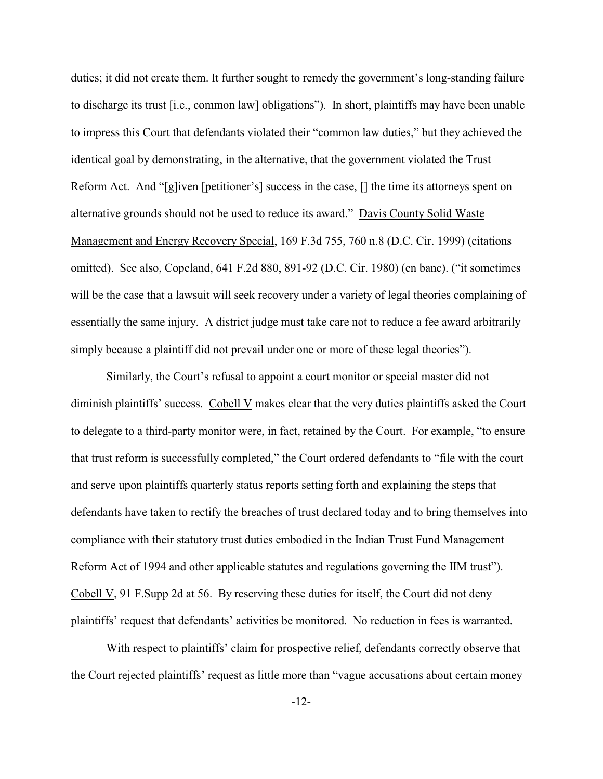duties; it did not create them. It further sought to remedy the government's long-standing failure to discharge its trust [i.e., common law] obligations"). In short, plaintiffs may have been unable to impress this Court that defendants violated their "common law duties," but they achieved the identical goal by demonstrating, in the alternative, that the government violated the Trust Reform Act. And "[g]iven [petitioner's] success in the case, [] the time its attorneys spent on alternative grounds should not be used to reduce its award." Davis County Solid Waste Management and Energy Recovery Special, 169 F.3d 755, 760 n.8 (D.C. Cir. 1999) (citations omitted). See also, Copeland, 641 F.2d 880, 891-92 (D.C. Cir. 1980) (en banc). ("it sometimes will be the case that a lawsuit will seek recovery under a variety of legal theories complaining of essentially the same injury. A district judge must take care not to reduce a fee award arbitrarily simply because a plaintiff did not prevail under one or more of these legal theories").

Similarly, the Court's refusal to appoint a court monitor or special master did not diminish plaintiffs' success. Cobell V makes clear that the very duties plaintiffs asked the Court to delegate to a third-party monitor were, in fact, retained by the Court. For example, "to ensure that trust reform is successfully completed," the Court ordered defendants to "file with the court and serve upon plaintiffs quarterly status reports setting forth and explaining the steps that defendants have taken to rectify the breaches of trust declared today and to bring themselves into compliance with their statutory trust duties embodied in the Indian Trust Fund Management Reform Act of 1994 and other applicable statutes and regulations governing the IIM trust"). Cobell V, 91 F.Supp 2d at 56. By reserving these duties for itself, the Court did not deny plaintiffs' request that defendants' activities be monitored. No reduction in fees is warranted.

With respect to plaintiffs' claim for prospective relief, defendants correctly observe that the Court rejected plaintiffs' request as little more than "vague accusations about certain money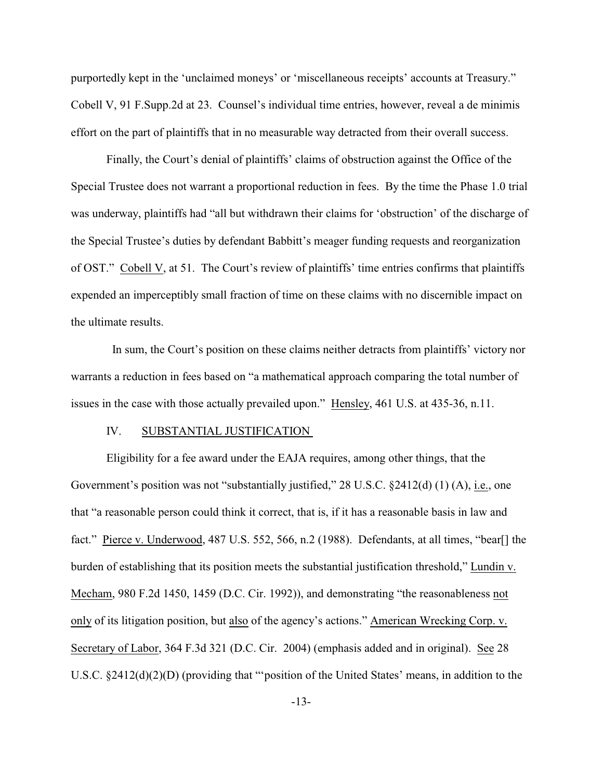purportedly kept in the 'unclaimed moneys' or 'miscellaneous receipts' accounts at Treasury." Cobell V, 91 F.Supp.2d at 23. Counsel's individual time entries, however, reveal a de minimis effort on the part of plaintiffs that in no measurable way detracted from their overall success.

Finally, the Court's denial of plaintiffs' claims of obstruction against the Office of the Special Trustee does not warrant a proportional reduction in fees. By the time the Phase 1.0 trial was underway, plaintiffs had "all but withdrawn their claims for 'obstruction' of the discharge of the Special Trustee's duties by defendant Babbitt's meager funding requests and reorganization of OST." Cobell V, at 51. The Court's review of plaintiffs' time entries confirms that plaintiffs expended an imperceptibly small fraction of time on these claims with no discernible impact on the ultimate results.

 In sum, the Court's position on these claims neither detracts from plaintiffs' victory nor warrants a reduction in fees based on "a mathematical approach comparing the total number of issues in the case with those actually prevailed upon." Hensley, 461 U.S. at 435-36, n.11.

#### IV. SUBSTANTIAL JUSTIFICATION

Eligibility for a fee award under the EAJA requires, among other things, that the Government's position was not "substantially justified," 28 U.S.C. §2412(d) (1) (A), i.e., one that "a reasonable person could think it correct, that is, if it has a reasonable basis in law and fact." Pierce v. Underwood, 487 U.S. 552, 566, n.2 (1988). Defendants, at all times, "bear[] the burden of establishing that its position meets the substantial justification threshold," Lundin v. Mecham, 980 F.2d 1450, 1459 (D.C. Cir. 1992)), and demonstrating "the reasonableness not only of its litigation position, but also of the agency's actions." American Wrecking Corp. v. Secretary of Labor, 364 F.3d 321 (D.C. Cir. 2004) (emphasis added and in original). See 28 U.S.C. §2412(d)(2)(D) (providing that "'position of the United States' means, in addition to the

-13-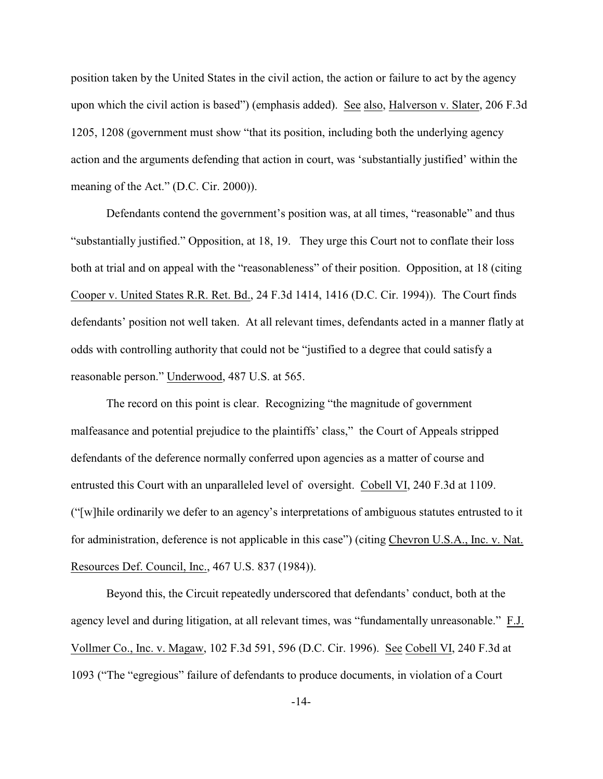position taken by the United States in the civil action, the action or failure to act by the agency upon which the civil action is based") (emphasis added). See also, Halverson v. Slater, 206 F.3d 1205, 1208 (government must show "that its position, including both the underlying agency action and the arguments defending that action in court, was 'substantially justified' within the meaning of the Act." (D.C. Cir. 2000)).

Defendants contend the government's position was, at all times, "reasonable" and thus "substantially justified." Opposition, at 18, 19. They urge this Court not to conflate their loss both at trial and on appeal with the "reasonableness" of their position. Opposition, at 18 (citing Cooper v. United States R.R. Ret. Bd., 24 F.3d 1414, 1416 (D.C. Cir. 1994)). The Court finds defendants' position not well taken. At all relevant times, defendants acted in a manner flatly at odds with controlling authority that could not be "justified to a degree that could satisfy a reasonable person." Underwood, 487 U.S. at 565.

The record on this point is clear. Recognizing "the magnitude of government malfeasance and potential prejudice to the plaintiffs' class," the Court of Appeals stripped defendants of the deference normally conferred upon agencies as a matter of course and entrusted this Court with an unparalleled level of oversight. Cobell VI, 240 F.3d at 1109. ("[w]hile ordinarily we defer to an agency's interpretations of ambiguous statutes entrusted to it for administration, deference is not applicable in this case") (citing Chevron U.S.A., Inc. v. Nat. Resources Def. Council, Inc., 467 U.S. 837 (1984)).

Beyond this, the Circuit repeatedly underscored that defendants' conduct, both at the agency level and during litigation, at all relevant times, was "fundamentally unreasonable." F.J. Vollmer Co., Inc. v. Magaw, 102 F.3d 591, 596 (D.C. Cir. 1996). See Cobell VI, 240 F.3d at 1093 ("The "egregious" failure of defendants to produce documents, in violation of a Court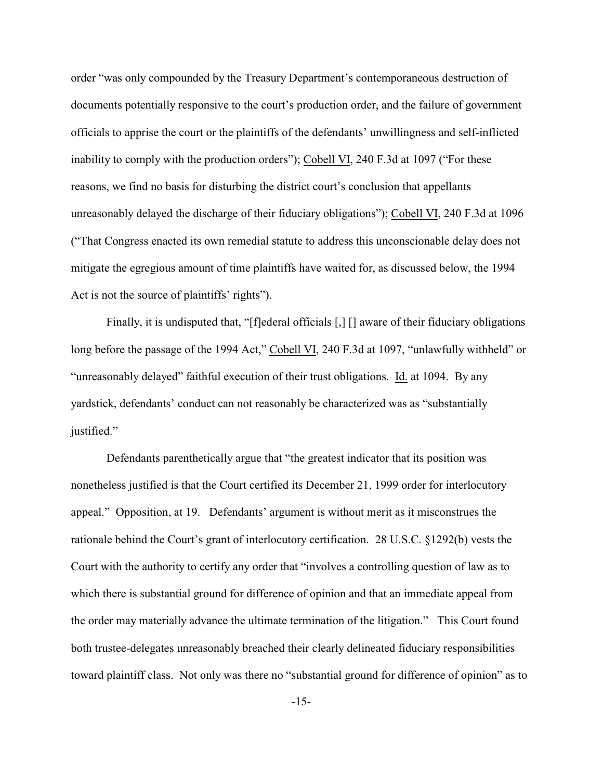order "was only compounded by the Treasury Department's contemporaneous destruction of documents potentially responsive to the court's production order, and the failure of government officials to apprise the court or the plaintiffs of the defendants' unwillingness and self-inflicted inability to comply with the production orders"); Cobell VI, 240 F.3d at 1097 ("For these reasons, we find no basis for disturbing the district court's conclusion that appellants unreasonably delayed the discharge of their fiduciary obligations"); Cobell VI, 240 F.3d at 1096 ("That Congress enacted its own remedial statute to address this unconscionable delay does not mitigate the egregious amount of time plaintiffs have waited for, as discussed below, the 1994 Act is not the source of plaintiffs' rights").

Finally, it is undisputed that, "[f]ederal officials [,] [] aware of their fiduciary obligations long before the passage of the 1994 Act," Cobell VI, 240 F.3d at 1097, "unlawfully withheld" or "unreasonably delayed" faithful execution of their trust obligations. Id. at 1094. By any yardstick, defendants' conduct can not reasonably be characterized was as "substantially justified."

Defendants parenthetically argue that "the greatest indicator that its position was nonetheless justified is that the Court certified its December 21, 1999 order for interlocutory appeal." Opposition, at 19. Defendants' argument is without merit as it misconstrues the rationale behind the Court's grant of interlocutory certification. 28 U.S.C. §1292(b) vests the Court with the authority to certify any order that "involves a controlling question of law as to which there is substantial ground for difference of opinion and that an immediate appeal from the order may materially advance the ultimate termination of the litigation." This Court found both trustee-delegates unreasonably breached their clearly delineated fiduciary responsibilities toward plaintiff class. Not only was there no "substantial ground for difference of opinion" as to

-15-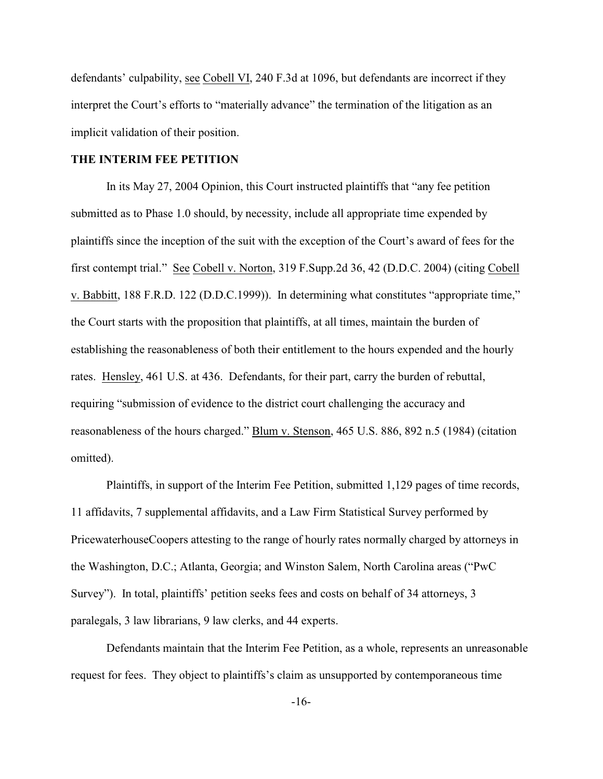defendants' culpability, see Cobell VI, 240 F.3d at 1096, but defendants are incorrect if they interpret the Court's efforts to "materially advance" the termination of the litigation as an implicit validation of their position.

# **THE INTERIM FEE PETITION**

In its May 27, 2004 Opinion, this Court instructed plaintiffs that "any fee petition submitted as to Phase 1.0 should, by necessity, include all appropriate time expended by plaintiffs since the inception of the suit with the exception of the Court's award of fees for the first contempt trial." See Cobell v. Norton, 319 F.Supp.2d 36, 42 (D.D.C. 2004) (citing Cobell v. Babbitt, 188 F.R.D. 122 (D.D.C.1999)). In determining what constitutes "appropriate time," the Court starts with the proposition that plaintiffs, at all times, maintain the burden of establishing the reasonableness of both their entitlement to the hours expended and the hourly rates. Hensley, 461 U.S. at 436. Defendants, for their part, carry the burden of rebuttal, requiring "submission of evidence to the district court challenging the accuracy and reasonableness of the hours charged." Blum v. Stenson, 465 U.S. 886, 892 n.5 (1984) (citation omitted).

Plaintiffs, in support of the Interim Fee Petition, submitted 1,129 pages of time records, 11 affidavits, 7 supplemental affidavits, and a Law Firm Statistical Survey performed by PricewaterhouseCoopers attesting to the range of hourly rates normally charged by attorneys in the Washington, D.C.; Atlanta, Georgia; and Winston Salem, North Carolina areas ("PwC Survey"). In total, plaintiffs' petition seeks fees and costs on behalf of 34 attorneys, 3 paralegals, 3 law librarians, 9 law clerks, and 44 experts.

Defendants maintain that the Interim Fee Petition, as a whole, represents an unreasonable request for fees. They object to plaintiffs's claim as unsupported by contemporaneous time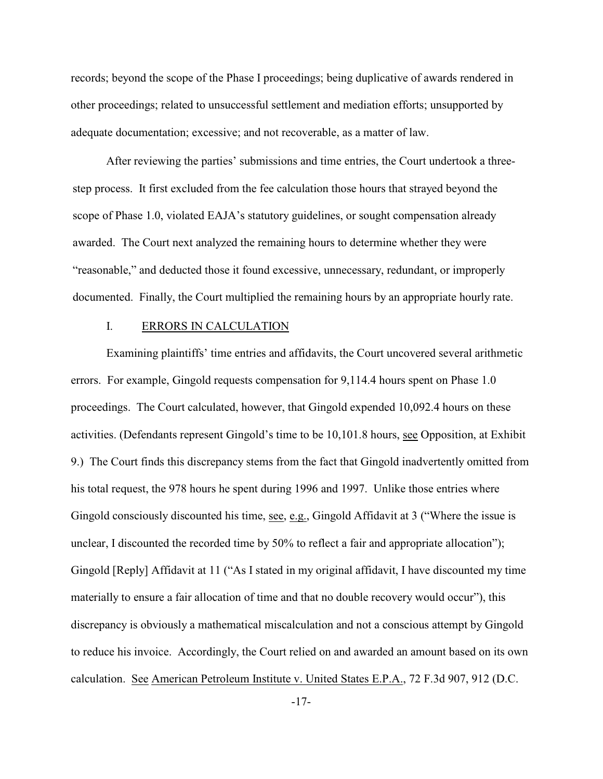records; beyond the scope of the Phase I proceedings; being duplicative of awards rendered in other proceedings; related to unsuccessful settlement and mediation efforts; unsupported by adequate documentation; excessive; and not recoverable, as a matter of law.

After reviewing the parties' submissions and time entries, the Court undertook a threestep process. It first excluded from the fee calculation those hours that strayed beyond the scope of Phase 1.0, violated EAJA's statutory guidelines, or sought compensation already awarded. The Court next analyzed the remaining hours to determine whether they were "reasonable," and deducted those it found excessive, unnecessary, redundant, or improperly documented. Finally, the Court multiplied the remaining hours by an appropriate hourly rate.

### I. ERRORS IN CALCULATION

Examining plaintiffs' time entries and affidavits, the Court uncovered several arithmetic errors. For example, Gingold requests compensation for 9,114.4 hours spent on Phase 1.0 proceedings. The Court calculated, however, that Gingold expended 10,092.4 hours on these activities. (Defendants represent Gingold's time to be 10,101.8 hours, see Opposition, at Exhibit 9.) The Court finds this discrepancy stems from the fact that Gingold inadvertently omitted from his total request, the 978 hours he spent during 1996 and 1997. Unlike those entries where Gingold consciously discounted his time, see, e.g., Gingold Affidavit at 3 ("Where the issue is unclear, I discounted the recorded time by 50% to reflect a fair and appropriate allocation"); Gingold [Reply] Affidavit at 11 ("As I stated in my original affidavit, I have discounted my time materially to ensure a fair allocation of time and that no double recovery would occur"), this discrepancy is obviously a mathematical miscalculation and not a conscious attempt by Gingold to reduce his invoice. Accordingly, the Court relied on and awarded an amount based on its own calculation. See American Petroleum Institute v. United States E.P.A., 72 F.3d 907, 912 (D.C.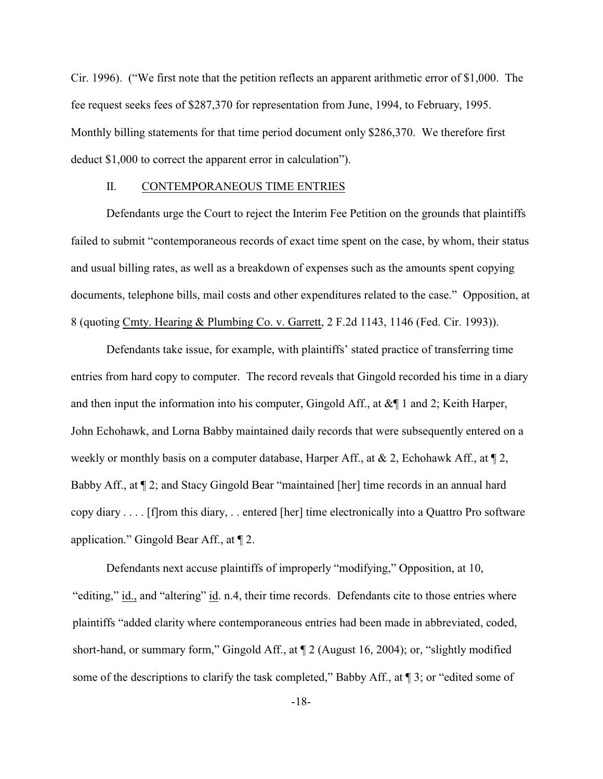Cir. 1996). ("We first note that the petition reflects an apparent arithmetic error of \$1,000. The fee request seeks fees of \$287,370 for representation from June, 1994, to February, 1995. Monthly billing statements for that time period document only \$286,370. We therefore first deduct \$1,000 to correct the apparent error in calculation").

### II. CONTEMPORANEOUS TIME ENTRIES

Defendants urge the Court to reject the Interim Fee Petition on the grounds that plaintiffs failed to submit "contemporaneous records of exact time spent on the case, by whom, their status and usual billing rates, as well as a breakdown of expenses such as the amounts spent copying documents, telephone bills, mail costs and other expenditures related to the case." Opposition, at 8 (quoting Cmty. Hearing & Plumbing Co. v. Garrett, 2 F.2d 1143, 1146 (Fed. Cir. 1993)).

Defendants take issue, for example, with plaintiffs' stated practice of transferring time entries from hard copy to computer. The record reveals that Gingold recorded his time in a diary and then input the information into his computer, Gingold Aff., at  $\&\P$  1 and 2; Keith Harper, John Echohawk, and Lorna Babby maintained daily records that were subsequently entered on a weekly or monthly basis on a computer database, Harper Aff., at  $\& 2$ , Echohawk Aff., at  $\P$ 2, Babby Aff., at ¶ 2; and Stacy Gingold Bear "maintained [her] time records in an annual hard copy diary . . . . [f]rom this diary, . . entered [her] time electronically into a Quattro Pro software application." Gingold Bear Aff., at ¶ 2.

Defendants next accuse plaintiffs of improperly "modifying," Opposition, at 10, "editing," id., and "altering" id. n.4, their time records. Defendants cite to those entries where plaintiffs "added clarity where contemporaneous entries had been made in abbreviated, coded, short-hand, or summary form," Gingold Aff., at ¶ 2 (August 16, 2004); or, "slightly modified some of the descriptions to clarify the task completed," Babby Aff., at  $\P$  3; or "edited some of

-18-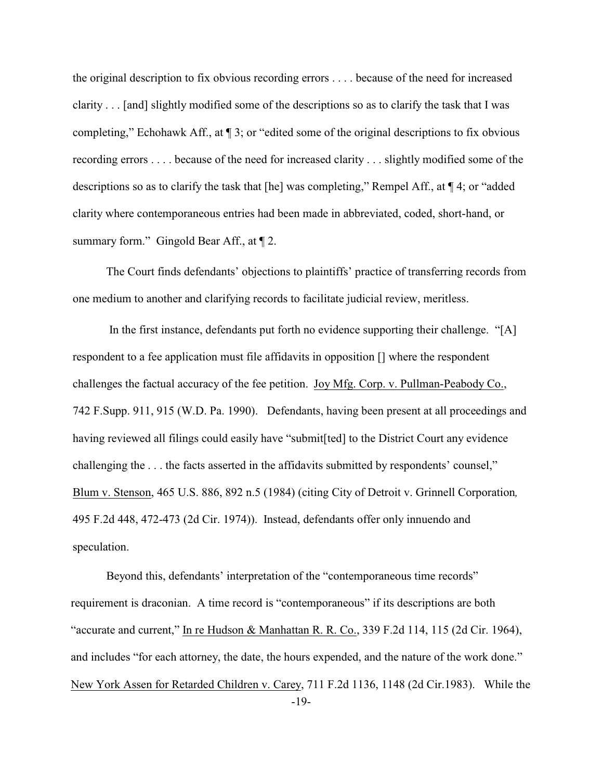the original description to fix obvious recording errors . . . . because of the need for increased clarity . . . [and] slightly modified some of the descriptions so as to clarify the task that I was completing," Echohawk Aff., at ¶ 3; or "edited some of the original descriptions to fix obvious recording errors . . . . because of the need for increased clarity . . . slightly modified some of the descriptions so as to clarify the task that [he] was completing," Rempel Aff., at ¶ 4; or "added clarity where contemporaneous entries had been made in abbreviated, coded, short-hand, or summary form." Gingold Bear Aff., at  $\P$  2.

The Court finds defendants' objections to plaintiffs' practice of transferring records from one medium to another and clarifying records to facilitate judicial review, meritless.

In the first instance, defendants put forth no evidence supporting their challenge. "[A] respondent to a fee application must file affidavits in opposition [] where the respondent challenges the factual accuracy of the fee petition. Joy Mfg. Corp. v. Pullman-Peabody Co., 742 F.Supp. 911, 915 (W.D. Pa. 1990). Defendants, having been present at all proceedings and having reviewed all filings could easily have "submit [ted] to the District Court any evidence challenging the . . . the facts asserted in the affidavits submitted by respondents' counsel," Blum v. Stenson, 465 U.S. 886, 892 n.5 (1984) (citing City of Detroit v. Grinnell Corporation*,* 495 F.2d 448, 472-473 (2d Cir. 1974)). Instead, defendants offer only innuendo and speculation.

-19- Beyond this, defendants' interpretation of the "contemporaneous time records" requirement is draconian. A time record is "contemporaneous" if its descriptions are both "accurate and current," In re Hudson & Manhattan R. R. Co., 339 F.2d 114, 115 (2d Cir. 1964), and includes "for each attorney, the date, the hours expended, and the nature of the work done." New York Assen for Retarded Children v. Carey, 711 F.2d 1136, 1148 (2d Cir.1983). While the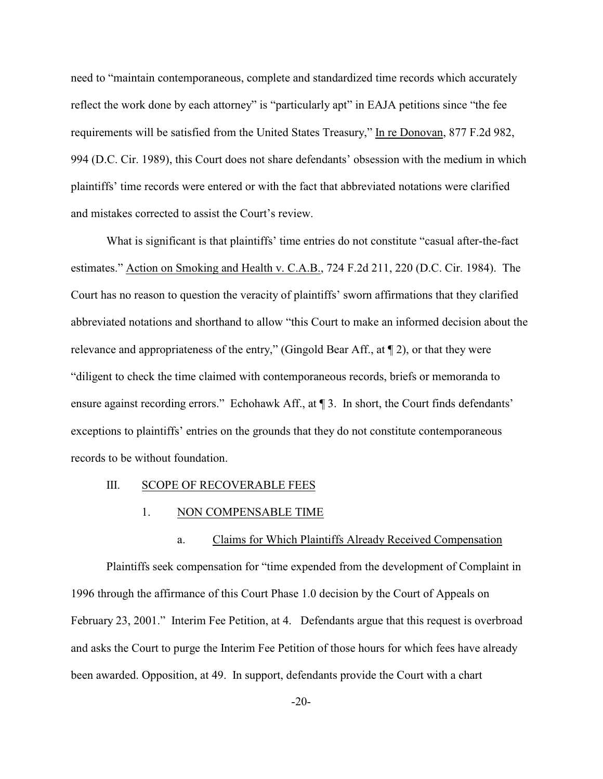need to "maintain contemporaneous, complete and standardized time records which accurately reflect the work done by each attorney" is "particularly apt" in EAJA petitions since "the fee requirements will be satisfied from the United States Treasury," In re Donovan, 877 F.2d 982, 994 (D.C. Cir. 1989), this Court does not share defendants' obsession with the medium in which plaintiffs' time records were entered or with the fact that abbreviated notations were clarified and mistakes corrected to assist the Court's review.

What is significant is that plaintiffs' time entries do not constitute "casual after-the-fact estimates." Action on Smoking and Health v. C.A.B., 724 F.2d 211, 220 (D.C. Cir. 1984). The Court has no reason to question the veracity of plaintiffs' sworn affirmations that they clarified abbreviated notations and shorthand to allow "this Court to make an informed decision about the relevance and appropriateness of the entry," (Gingold Bear Aff., at ¶ 2), or that they were "diligent to check the time claimed with contemporaneous records, briefs or memoranda to ensure against recording errors." Echohawk Aff., at ¶ 3. In short, the Court finds defendants' exceptions to plaintiffs' entries on the grounds that they do not constitute contemporaneous records to be without foundation.

#### III. SCOPE OF RECOVERABLE FEES

### 1. NON COMPENSABLE TIME

### a. Claims for Which Plaintiffs Already Received Compensation

Plaintiffs seek compensation for "time expended from the development of Complaint in 1996 through the affirmance of this Court Phase 1.0 decision by the Court of Appeals on February 23, 2001." Interim Fee Petition, at 4. Defendants argue that this request is overbroad and asks the Court to purge the Interim Fee Petition of those hours for which fees have already been awarded. Opposition, at 49. In support, defendants provide the Court with a chart

-20-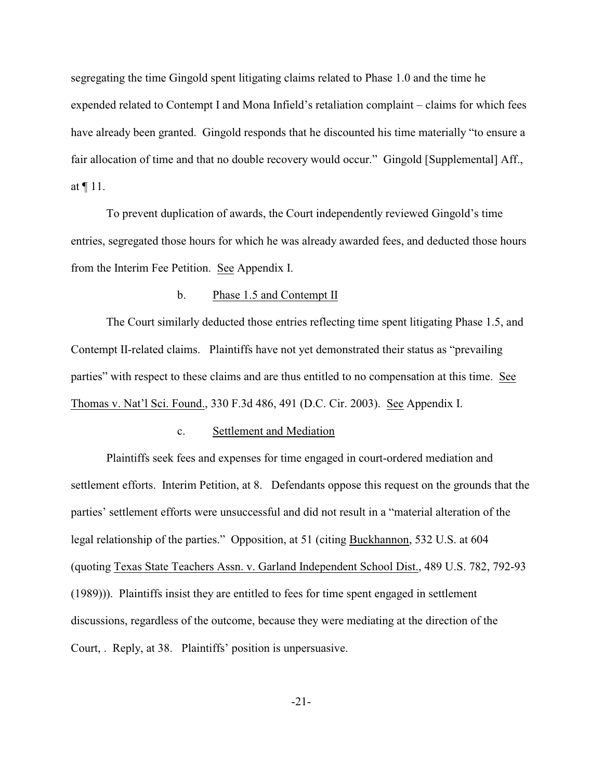segregating the time Gingold spent litigating claims related to Phase 1.0 and the time he expended related to Contempt I and Mona Infield's retaliation complaint – claims for which fees have already been granted. Gingold responds that he discounted his time materially "to ensure a fair allocation of time and that no double recovery would occur." Gingold [Supplemental] Aff., at ¶ 11.

To prevent duplication of awards, the Court independently reviewed Gingold's time entries, segregated those hours for which he was already awarded fees, and deducted those hours from the Interim Fee Petition. See Appendix I.

## b. Phase 1.5 and Contempt II

The Court similarly deducted those entries reflecting time spent litigating Phase 1.5, and Contempt II-related claims. Plaintiffs have not yet demonstrated their status as "prevailing parties" with respect to these claims and are thus entitled to no compensation at this time. See Thomas v. Nat'l Sci. Found., 330 F.3d 486, 491 (D.C. Cir. 2003). See Appendix I.

#### c. Settlement and Mediation

Plaintiffs seek fees and expenses for time engaged in court-ordered mediation and settlement efforts. Interim Petition, at 8. Defendants oppose this request on the grounds that the parties' settlement efforts were unsuccessful and did not result in a "material alteration of the legal relationship of the parties." Opposition, at 51 (citing Buckhannon, 532 U.S. at 604 (quoting Texas State Teachers Assn. v. Garland Independent School Dist., 489 U.S. 782, 792-93 (1989))). Plaintiffs insist they are entitled to fees for time spent engaged in settlement discussions, regardless of the outcome, because they were mediating at the direction of the Court, . Reply, at 38. Plaintiffs' position is unpersuasive.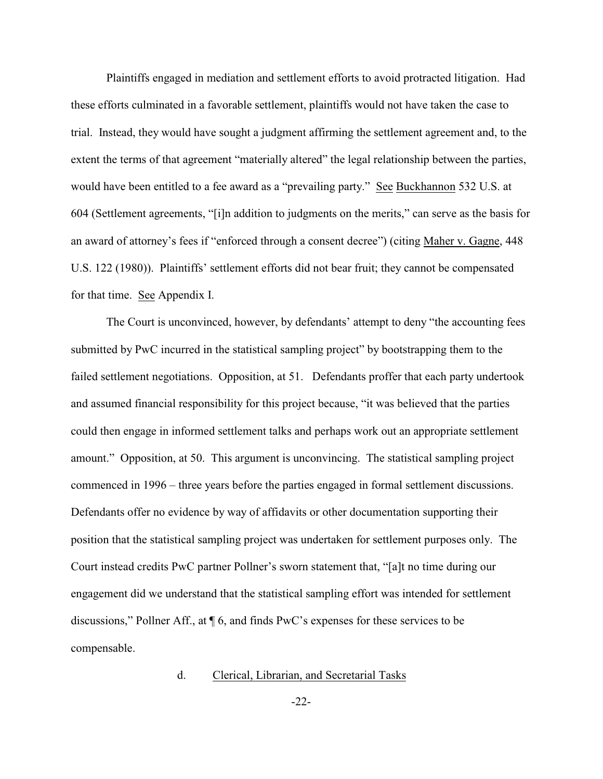Plaintiffs engaged in mediation and settlement efforts to avoid protracted litigation. Had these efforts culminated in a favorable settlement, plaintiffs would not have taken the case to trial. Instead, they would have sought a judgment affirming the settlement agreement and, to the extent the terms of that agreement "materially altered" the legal relationship between the parties, would have been entitled to a fee award as a "prevailing party." See Buckhannon 532 U.S. at 604 (Settlement agreements, "[i]n addition to judgments on the merits," can serve as the basis for an award of attorney's fees if "enforced through a consent decree") (citing Maher v. Gagne, 448 U.S. 122 (1980)). Plaintiffs' settlement efforts did not bear fruit; they cannot be compensated for that time. See Appendix I.

The Court is unconvinced, however, by defendants' attempt to deny "the accounting fees submitted by PwC incurred in the statistical sampling project" by bootstrapping them to the failed settlement negotiations. Opposition, at 51. Defendants proffer that each party undertook and assumed financial responsibility for this project because, "it was believed that the parties could then engage in informed settlement talks and perhaps work out an appropriate settlement amount." Opposition, at 50. This argument is unconvincing. The statistical sampling project commenced in 1996 – three years before the parties engaged in formal settlement discussions. Defendants offer no evidence by way of affidavits or other documentation supporting their position that the statistical sampling project was undertaken for settlement purposes only. The Court instead credits PwC partner Pollner's sworn statement that, "[a]t no time during our engagement did we understand that the statistical sampling effort was intended for settlement discussions," Pollner Aff., at ¶ 6, and finds PwC's expenses for these services to be compensable.

### d. Clerical, Librarian, and Secretarial Tasks

-22-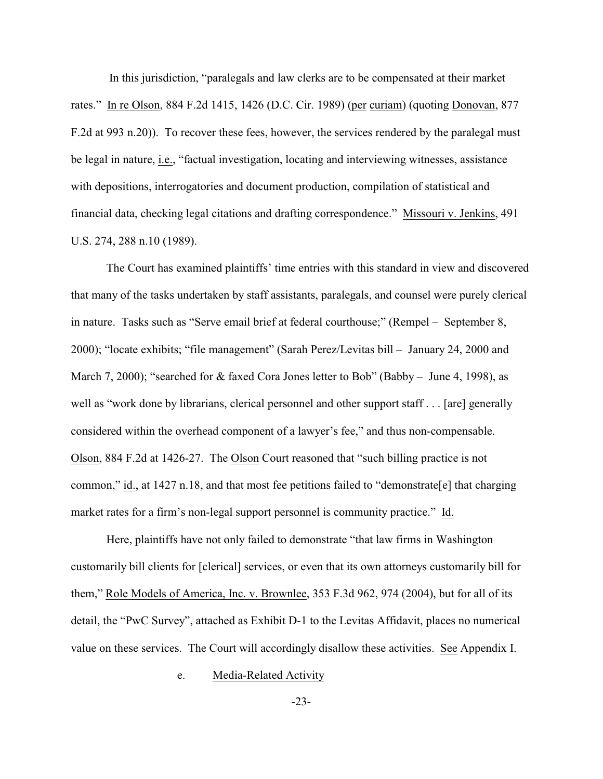In this jurisdiction, "paralegals and law clerks are to be compensated at their market rates." In re Olson, 884 F.2d 1415, 1426 (D.C. Cir. 1989) (per curiam) (quoting Donovan, 877 F.2d at 993 n.20)). To recover these fees, however, the services rendered by the paralegal must be legal in nature, i.e., "factual investigation, locating and interviewing witnesses, assistance with depositions, interrogatories and document production, compilation of statistical and financial data, checking legal citations and drafting correspondence." Missouri v. Jenkins, 491 U.S. 274, 288 n.10 (1989).

The Court has examined plaintiffs' time entries with this standard in view and discovered that many of the tasks undertaken by staff assistants, paralegals, and counsel were purely clerical in nature. Tasks such as "Serve email brief at federal courthouse;" (Rempel – September 8, 2000); "locate exhibits; "file management" (Sarah Perez/Levitas bill – January 24, 2000 and March 7, 2000); "searched for & faxed Cora Jones letter to Bob" (Babby – June 4, 1998), as well as "work done by librarians, clerical personnel and other support staff... [are] generally considered within the overhead component of a lawyer's fee," and thus non-compensable. Olson, 884 F.2d at 1426-27. The Olson Court reasoned that "such billing practice is not common," id., at 1427 n.18, and that most fee petitions failed to "demonstrate[e] that charging market rates for a firm's non-legal support personnel is community practice." Id.

Here, plaintiffs have not only failed to demonstrate "that law firms in Washington customarily bill clients for [clerical] services, or even that its own attorneys customarily bill for them," Role Models of America, Inc. v. Brownlee, 353 F.3d 962, 974 (2004), but for all of its detail, the "PwC Survey", attached as Exhibit D-1 to the Levitas Affidavit, places no numerical value on these services. The Court will accordingly disallow these activities. See Appendix I.

#### e. Media-Related Activity

-23-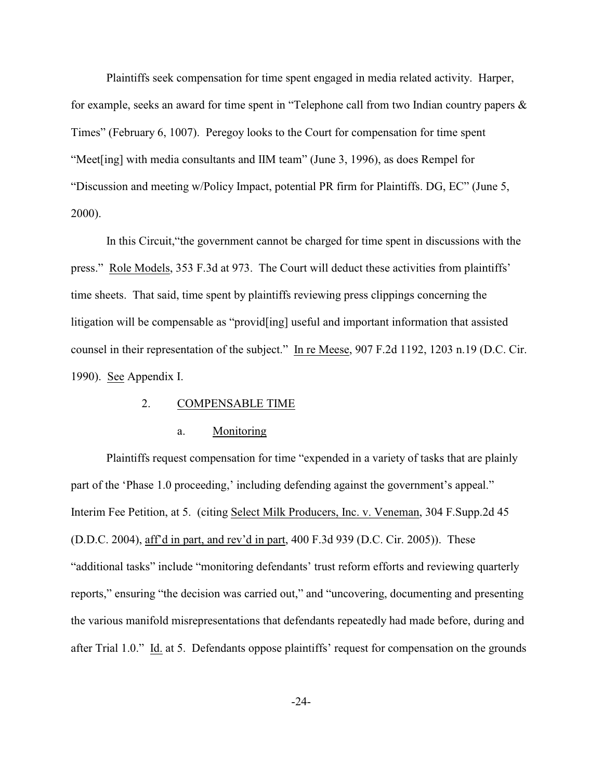Plaintiffs seek compensation for time spent engaged in media related activity. Harper, for example, seeks an award for time spent in "Telephone call from two Indian country papers & Times" (February 6, 1007). Peregoy looks to the Court for compensation for time spent "Meet[ing] with media consultants and IIM team" (June 3, 1996), as does Rempel for "Discussion and meeting w/Policy Impact, potential PR firm for Plaintiffs. DG, EC" (June 5, 2000).

In this Circuit,"the government cannot be charged for time spent in discussions with the press." Role Models, 353 F.3d at 973. The Court will deduct these activities from plaintiffs' time sheets. That said, time spent by plaintiffs reviewing press clippings concerning the litigation will be compensable as "provid[ing] useful and important information that assisted counsel in their representation of the subject." In re Meese, 907 F.2d 1192, 1203 n.19 (D.C. Cir. 1990). See Appendix I.

### 2. COMPENSABLE TIME

#### a. Monitoring

Plaintiffs request compensation for time "expended in a variety of tasks that are plainly part of the 'Phase 1.0 proceeding,' including defending against the government's appeal." Interim Fee Petition, at 5. (citing Select Milk Producers, Inc. v. Veneman, 304 F.Supp.2d 45 (D.D.C. 2004), aff'd in part, and rev'd in part, 400 F.3d 939 (D.C. Cir. 2005)). These "additional tasks" include "monitoring defendants' trust reform efforts and reviewing quarterly reports," ensuring "the decision was carried out," and "uncovering, documenting and presenting the various manifold misrepresentations that defendants repeatedly had made before, during and after Trial 1.0." Id. at 5. Defendants oppose plaintiffs' request for compensation on the grounds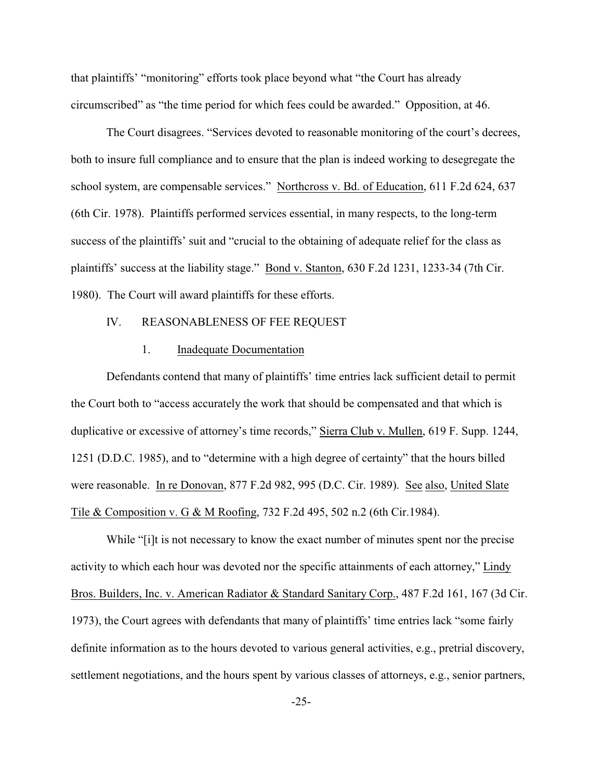that plaintiffs' "monitoring" efforts took place beyond what "the Court has already circumscribed" as "the time period for which fees could be awarded." Opposition, at 46.

The Court disagrees. "Services devoted to reasonable monitoring of the court's decrees, both to insure full compliance and to ensure that the plan is indeed working to desegregate the school system, are compensable services." Northcross v. Bd. of Education, 611 F.2d 624, 637 (6th Cir. 1978). Plaintiffs performed services essential, in many respects, to the long-term success of the plaintiffs' suit and "crucial to the obtaining of adequate relief for the class as plaintiffs' success at the liability stage." Bond v. Stanton, 630 F.2d 1231, 1233-34 (7th Cir. 1980). The Court will award plaintiffs for these efforts.

## IV. REASONABLENESS OF FEE REQUEST

### 1. Inadequate Documentation

Defendants contend that many of plaintiffs' time entries lack sufficient detail to permit the Court both to "access accurately the work that should be compensated and that which is duplicative or excessive of attorney's time records," Sierra Club v. Mullen, 619 F. Supp. 1244, 1251 (D.D.C. 1985), and to "determine with a high degree of certainty" that the hours billed were reasonable. In re Donovan, 877 F.2d 982, 995 (D.C. Cir. 1989). See also, United Slate Tile & Composition v. G & M Roofing, 732 F.2d 495, 502 n.2 (6th Cir.1984).

While "[i]t is not necessary to know the exact number of minutes spent nor the precise activity to which each hour was devoted nor the specific attainments of each attorney," Lindy Bros. Builders, Inc. v. American Radiator & Standard Sanitary Corp., 487 F.2d 161, 167 (3d Cir. 1973), the Court agrees with defendants that many of plaintiffs' time entries lack "some fairly definite information as to the hours devoted to various general activities, e.g., pretrial discovery, settlement negotiations, and the hours spent by various classes of attorneys, e.g., senior partners,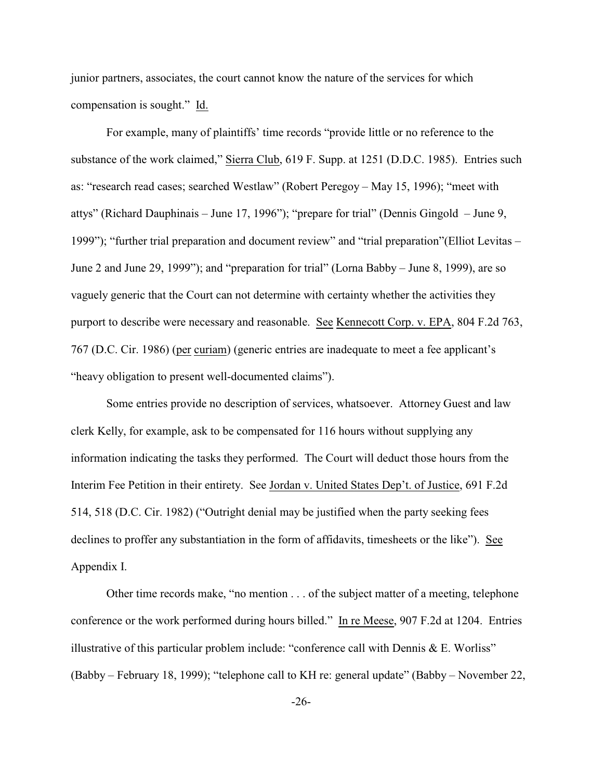junior partners, associates, the court cannot know the nature of the services for which compensation is sought." Id.

For example, many of plaintiffs' time records "provide little or no reference to the substance of the work claimed," Sierra Club, 619 F. Supp. at 1251 (D.D.C. 1985). Entries such as: "research read cases; searched Westlaw" (Robert Peregoy – May 15, 1996); "meet with attys" (Richard Dauphinais – June 17, 1996"); "prepare for trial" (Dennis Gingold – June 9, 1999"); "further trial preparation and document review" and "trial preparation"(Elliot Levitas – June 2 and June 29, 1999"); and "preparation for trial" (Lorna Babby – June 8, 1999), are so vaguely generic that the Court can not determine with certainty whether the activities they purport to describe were necessary and reasonable. See Kennecott Corp. v. EPA, 804 F.2d 763, 767 (D.C. Cir. 1986) (per curiam) (generic entries are inadequate to meet a fee applicant's "heavy obligation to present well-documented claims").

Some entries provide no description of services, whatsoever. Attorney Guest and law clerk Kelly, for example, ask to be compensated for 116 hours without supplying any information indicating the tasks they performed. The Court will deduct those hours from the Interim Fee Petition in their entirety. See Jordan v. United States Dep't. of Justice, 691 F.2d 514, 518 (D.C. Cir. 1982) ("Outright denial may be justified when the party seeking fees declines to proffer any substantiation in the form of affidavits, timesheets or the like"). See Appendix I.

Other time records make, "no mention . . . of the subject matter of a meeting, telephone conference or the work performed during hours billed." In re Meese, 907 F.2d at 1204. Entries illustrative of this particular problem include: "conference call with Dennis  $\&$  E. Worliss" (Babby – February 18, 1999); "telephone call to KH re: general update" (Babby – November 22,

-26-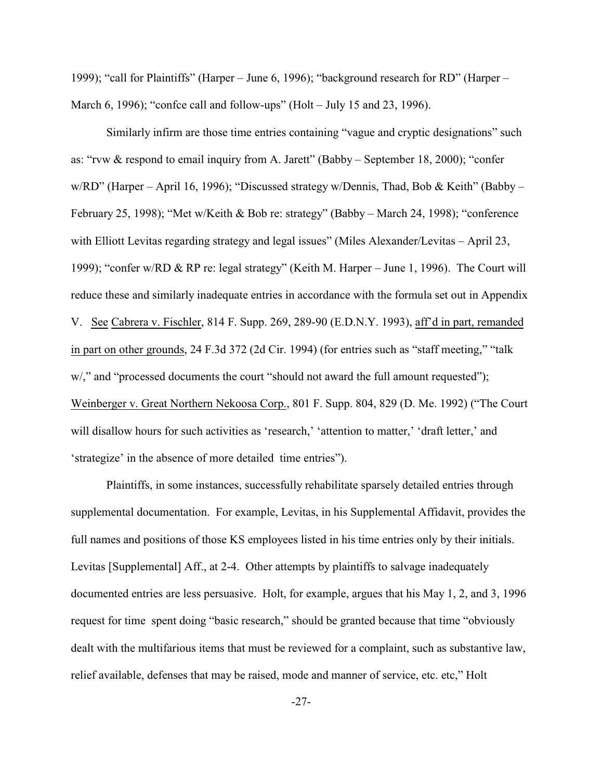1999); "call for Plaintiffs" (Harper – June 6, 1996); "background research for RD" (Harper – March 6, 1996); "confce call and follow-ups" (Holt – July 15 and 23, 1996).

Similarly infirm are those time entries containing "vague and cryptic designations" such as: "rvw & respond to email inquiry from A. Jarett" (Babby – September 18, 2000); "confer w/RD" (Harper – April 16, 1996); "Discussed strategy w/Dennis, Thad, Bob & Keith" (Babby – February 25, 1998); "Met w/Keith & Bob re: strategy" (Babby – March 24, 1998); "conference with Elliott Levitas regarding strategy and legal issues" (Miles Alexander/Levitas – April 23, 1999); "confer w/RD & RP re: legal strategy" (Keith M. Harper – June 1, 1996). The Court will reduce these and similarly inadequate entries in accordance with the formula set out in Appendix V. See Cabrera v. Fischler, 814 F. Supp. 269, 289-90 (E.D.N.Y. 1993), aff'd in part, remanded in part on other grounds, 24 F.3d 372 (2d Cir. 1994) (for entries such as "staff meeting," "talk w/," and "processed documents the court "should not award the full amount requested"); Weinberger v. Great Northern Nekoosa Corp., 801 F. Supp. 804, 829 (D. Me. 1992) ("The Court will disallow hours for such activities as 'research,' 'attention to matter,' 'draft letter,' and 'strategize' in the absence of more detailed time entries").

Plaintiffs, in some instances, successfully rehabilitate sparsely detailed entries through supplemental documentation. For example, Levitas, in his Supplemental Affidavit, provides the full names and positions of those KS employees listed in his time entries only by their initials. Levitas [Supplemental] Aff., at 2-4. Other attempts by plaintiffs to salvage inadequately documented entries are less persuasive. Holt, for example, argues that his May 1, 2, and 3, 1996 request for time spent doing "basic research," should be granted because that time "obviously dealt with the multifarious items that must be reviewed for a complaint, such as substantive law, relief available, defenses that may be raised, mode and manner of service, etc. etc," Holt

-27-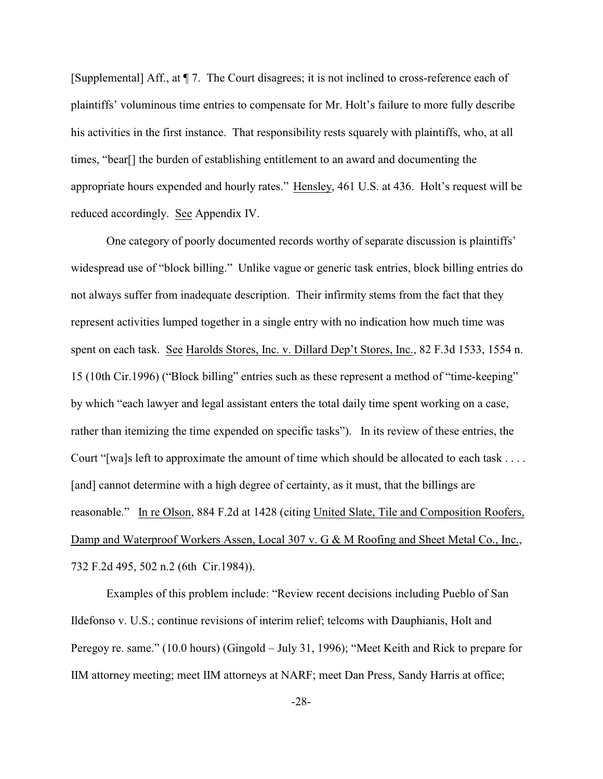[Supplemental] Aff., at ¶ 7. The Court disagrees; it is not inclined to cross-reference each of plaintiffs' voluminous time entries to compensate for Mr. Holt's failure to more fully describe his activities in the first instance. That responsibility rests squarely with plaintiffs, who, at all times, "bear[] the burden of establishing entitlement to an award and documenting the appropriate hours expended and hourly rates." Hensley, 461 U.S. at 436. Holt's request will be reduced accordingly. See Appendix IV.

One category of poorly documented records worthy of separate discussion is plaintiffs' widespread use of "block billing." Unlike vague or generic task entries, block billing entries do not always suffer from inadequate description. Their infirmity stems from the fact that they represent activities lumped together in a single entry with no indication how much time was spent on each task. See Harolds Stores, Inc. v. Dillard Dep't Stores, Inc., 82 F.3d 1533, 1554 n. 15 (10th Cir.1996) ("Block billing" entries such as these represent a method of "time-keeping" by which "each lawyer and legal assistant enters the total daily time spent working on a case, rather than itemizing the time expended on specific tasks"). In its review of these entries, the Court "[wa]s left to approximate the amount of time which should be allocated to each task . . . . [and] cannot determine with a high degree of certainty, as it must, that the billings are reasonable." In re Olson, 884 F.2d at 1428 (citing United Slate, Tile and Composition Roofers, Damp and Waterproof Workers Assen, Local 307 v. G & M Roofing and Sheet Metal Co., Inc., 732 F.2d 495, 502 n.2 (6th Cir.1984)).

Examples of this problem include: "Review recent decisions including Pueblo of San Ildefonso v. U.S.; continue revisions of interim relief; telcoms with Dauphianis, Holt and Peregoy re. same." (10.0 hours) (Gingold – July 31, 1996); "Meet Keith and Rick to prepare for IIM attorney meeting; meet IIM attorneys at NARF; meet Dan Press, Sandy Harris at office;

-28-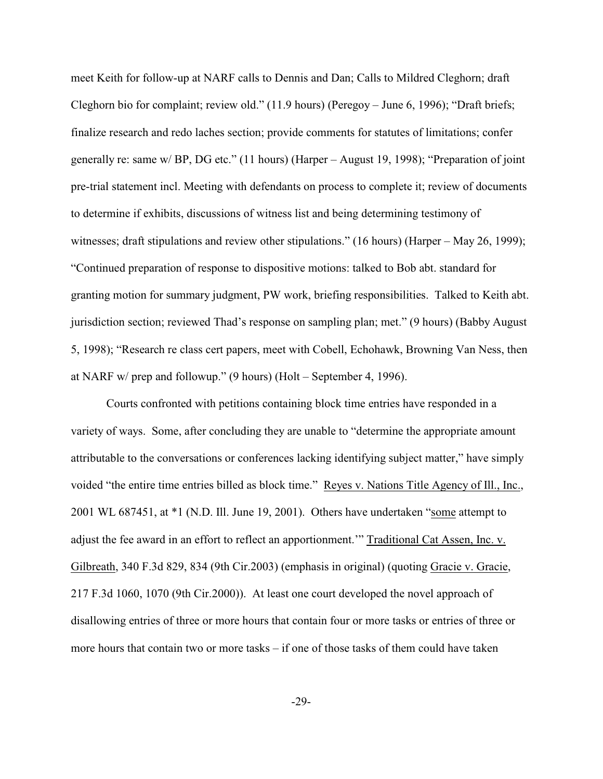meet Keith for follow-up at NARF calls to Dennis and Dan; Calls to Mildred Cleghorn; draft Cleghorn bio for complaint; review old." (11.9 hours) (Peregoy – June 6, 1996); "Draft briefs; finalize research and redo laches section; provide comments for statutes of limitations; confer generally re: same w/ BP, DG etc." (11 hours) (Harper – August 19, 1998); "Preparation of joint pre-trial statement incl. Meeting with defendants on process to complete it; review of documents to determine if exhibits, discussions of witness list and being determining testimony of witnesses; draft stipulations and review other stipulations." (16 hours) (Harper – May 26, 1999); "Continued preparation of response to dispositive motions: talked to Bob abt. standard for granting motion for summary judgment, PW work, briefing responsibilities. Talked to Keith abt. jurisdiction section; reviewed Thad's response on sampling plan; met." (9 hours) (Babby August 5, 1998); "Research re class cert papers, meet with Cobell, Echohawk, Browning Van Ness, then at NARF w/ prep and followup." (9 hours) (Holt – September 4, 1996).

Courts confronted with petitions containing block time entries have responded in a variety of ways. Some, after concluding they are unable to "determine the appropriate amount attributable to the conversations or conferences lacking identifying subject matter," have simply voided "the entire time entries billed as block time." Reyes v. Nations Title Agency of Ill., Inc., 2001 WL 687451, at \*1 (N.D. Ill. June 19, 2001). Others have undertaken "some attempt to adjust the fee award in an effort to reflect an apportionment.'" Traditional Cat Assen, Inc. v. Gilbreath, 340 F.3d 829, 834 (9th Cir.2003) (emphasis in original) (quoting Gracie v. Gracie, 217 F.3d 1060, 1070 (9th Cir.2000)). At least one court developed the novel approach of disallowing entries of three or more hours that contain four or more tasks or entries of three or more hours that contain two or more tasks – if one of those tasks of them could have taken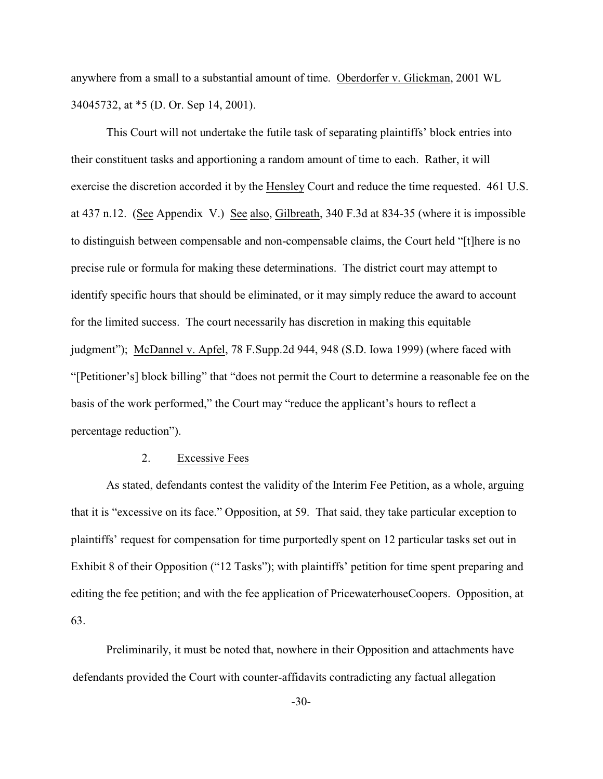anywhere from a small to a substantial amount of time. Oberdorfer v. Glickman, 2001 WL 34045732, at \*5 (D. Or. Sep 14, 2001).

This Court will not undertake the futile task of separating plaintiffs' block entries into their constituent tasks and apportioning a random amount of time to each. Rather, it will exercise the discretion accorded it by the Hensley Court and reduce the time requested. 461 U.S. at 437 n.12. (See Appendix V.) See also, Gilbreath, 340 F.3d at 834-35 (where it is impossible to distinguish between compensable and non-compensable claims, the Court held "[t]here is no precise rule or formula for making these determinations. The district court may attempt to identify specific hours that should be eliminated, or it may simply reduce the award to account for the limited success. The court necessarily has discretion in making this equitable judgment"); McDannel v. Apfel, 78 F.Supp.2d 944, 948 (S.D. Iowa 1999) (where faced with "[Petitioner's] block billing" that "does not permit the Court to determine a reasonable fee on the basis of the work performed," the Court may "reduce the applicant's hours to reflect a percentage reduction").

### 2. Excessive Fees

As stated, defendants contest the validity of the Interim Fee Petition, as a whole, arguing that it is "excessive on its face." Opposition, at 59. That said, they take particular exception to plaintiffs' request for compensation for time purportedly spent on 12 particular tasks set out in Exhibit 8 of their Opposition ("12 Tasks"); with plaintiffs' petition for time spent preparing and editing the fee petition; and with the fee application of PricewaterhouseCoopers. Opposition, at 63.

Preliminarily, it must be noted that, nowhere in their Opposition and attachments have defendants provided the Court with counter-affidavits contradicting any factual allegation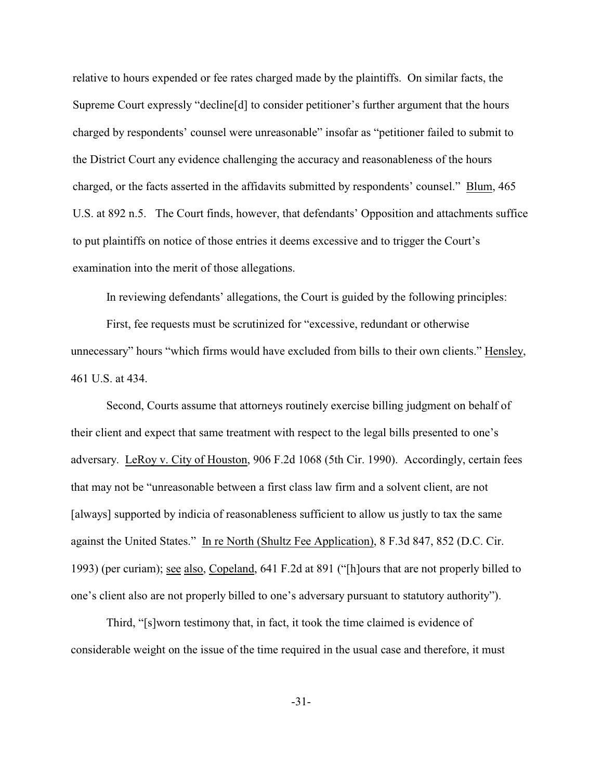relative to hours expended or fee rates charged made by the plaintiffs. On similar facts, the Supreme Court expressly "decline[d] to consider petitioner's further argument that the hours charged by respondents' counsel were unreasonable" insofar as "petitioner failed to submit to the District Court any evidence challenging the accuracy and reasonableness of the hours charged, or the facts asserted in the affidavits submitted by respondents' counsel." Blum, 465 U.S. at 892 n.5. The Court finds, however, that defendants' Opposition and attachments suffice to put plaintiffs on notice of those entries it deems excessive and to trigger the Court's examination into the merit of those allegations.

In reviewing defendants' allegations, the Court is guided by the following principles:

First, fee requests must be scrutinized for "excessive, redundant or otherwise unnecessary" hours "which firms would have excluded from bills to their own clients." Hensley, 461 U.S. at 434.

Second, Courts assume that attorneys routinely exercise billing judgment on behalf of their client and expect that same treatment with respect to the legal bills presented to one's adversary. LeRoy v. City of Houston, 906 F.2d 1068 (5th Cir. 1990). Accordingly, certain fees that may not be "unreasonable between a first class law firm and a solvent client, are not [always] supported by indicia of reasonableness sufficient to allow us justly to tax the same against the United States." In re North (Shultz Fee Application), 8 F.3d 847, 852 (D.C. Cir. 1993) (per curiam); see also, Copeland, 641 F.2d at 891 ("[h]ours that are not properly billed to one's client also are not properly billed to one's adversary pursuant to statutory authority").

Third, "[s]worn testimony that, in fact, it took the time claimed is evidence of considerable weight on the issue of the time required in the usual case and therefore, it must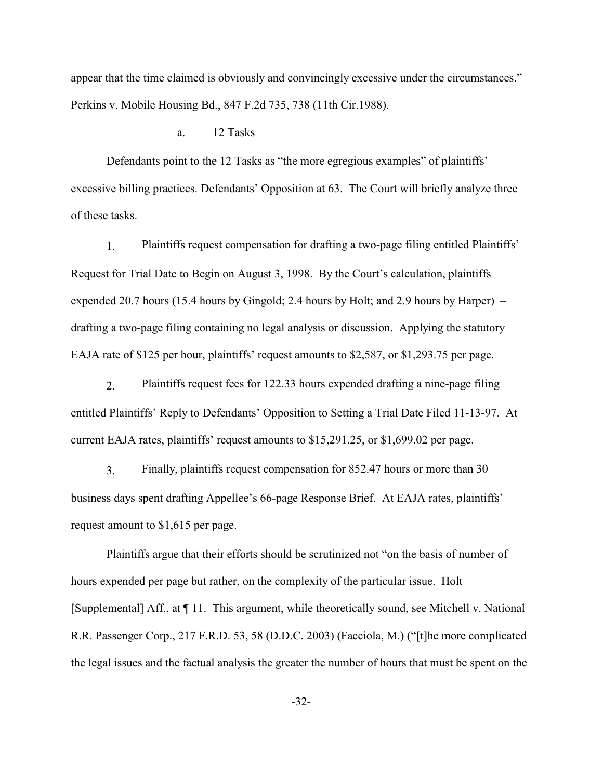appear that the time claimed is obviously and convincingly excessive under the circumstances." Perkins v. Mobile Housing Bd., 847 F.2d 735, 738 (11th Cir.1988).

### a. 12 Tasks

Defendants point to the 12 Tasks as "the more egregious examples" of plaintiffs' excessive billing practices. Defendants' Opposition at 63. The Court will briefly analyze three of these tasks.

1. Plaintiffs request compensation for drafting a two-page filing entitled Plaintiffs' Request for Trial Date to Begin on August 3, 1998. By the Court's calculation, plaintiffs expended 20.7 hours (15.4 hours by Gingold; 2.4 hours by Holt; and 2.9 hours by Harper) – drafting a two-page filing containing no legal analysis or discussion. Applying the statutory EAJA rate of \$125 per hour, plaintiffs' request amounts to \$2,587, or \$1,293.75 per page.

2. Plaintiffs request fees for 122.33 hours expended drafting a nine-page filing entitled Plaintiffs' Reply to Defendants' Opposition to Setting a Trial Date Filed 11-13-97. At current EAJA rates, plaintiffs' request amounts to \$15,291.25, or \$1,699.02 per page.

3. Finally, plaintiffs request compensation for 852.47 hours or more than 30 business days spent drafting Appellee's 66-page Response Brief. At EAJA rates, plaintiffs' request amount to \$1,615 per page.

Plaintiffs argue that their efforts should be scrutinized not "on the basis of number of hours expended per page but rather, on the complexity of the particular issue. Holt [Supplemental] Aff., at ¶ 11. This argument, while theoretically sound, see Mitchell v. National R.R. Passenger Corp., 217 F.R.D. 53, 58 (D.D.C. 2003) (Facciola, M.) ("[t]he more complicated the legal issues and the factual analysis the greater the number of hours that must be spent on the

-32-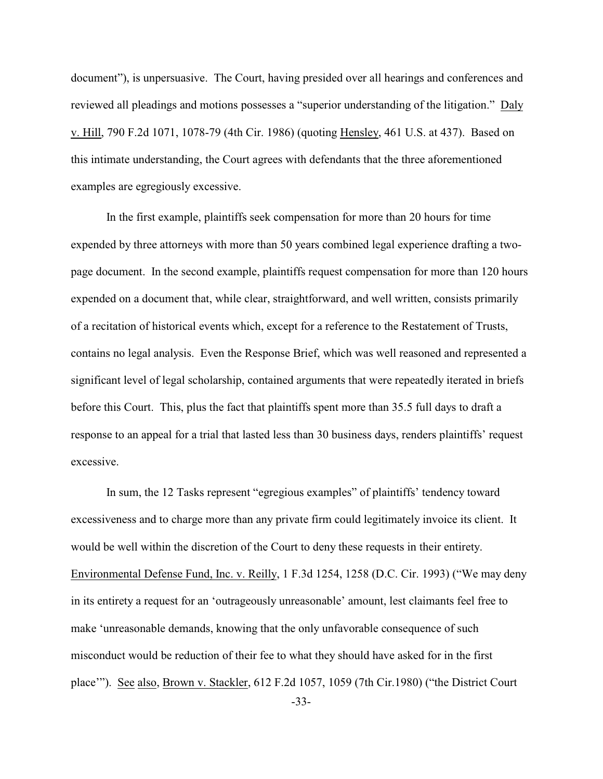document"), is unpersuasive. The Court, having presided over all hearings and conferences and reviewed all pleadings and motions possesses a "superior understanding of the litigation." Daly v. Hill, 790 F.2d 1071, 1078-79 (4th Cir. 1986) (quoting Hensley, 461 U.S. at 437). Based on this intimate understanding, the Court agrees with defendants that the three aforementioned examples are egregiously excessive.

In the first example, plaintiffs seek compensation for more than 20 hours for time expended by three attorneys with more than 50 years combined legal experience drafting a twopage document. In the second example, plaintiffs request compensation for more than 120 hours expended on a document that, while clear, straightforward, and well written, consists primarily of a recitation of historical events which, except for a reference to the Restatement of Trusts, contains no legal analysis. Even the Response Brief, which was well reasoned and represented a significant level of legal scholarship, contained arguments that were repeatedly iterated in briefs before this Court. This, plus the fact that plaintiffs spent more than 35.5 full days to draft a response to an appeal for a trial that lasted less than 30 business days, renders plaintiffs' request excessive.

In sum, the 12 Tasks represent "egregious examples" of plaintiffs' tendency toward excessiveness and to charge more than any private firm could legitimately invoice its client. It would be well within the discretion of the Court to deny these requests in their entirety. Environmental Defense Fund, Inc. v. Reilly, 1 F.3d 1254, 1258 (D.C. Cir. 1993) ("We may deny in its entirety a request for an 'outrageously unreasonable' amount, lest claimants feel free to make 'unreasonable demands, knowing that the only unfavorable consequence of such misconduct would be reduction of their fee to what they should have asked for in the first place'"). See also, Brown v. Stackler, 612 F.2d 1057, 1059 (7th Cir.1980) ("the District Court

-33-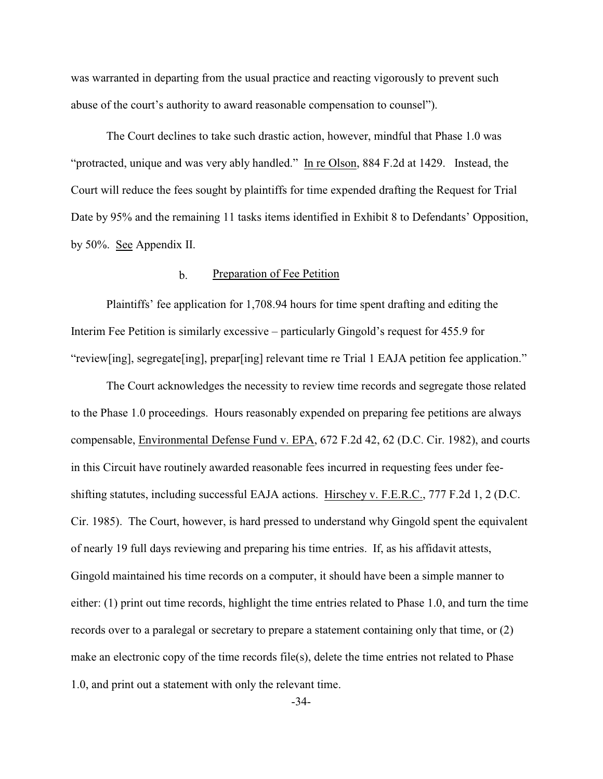was warranted in departing from the usual practice and reacting vigorously to prevent such abuse of the court's authority to award reasonable compensation to counsel").

The Court declines to take such drastic action, however, mindful that Phase 1.0 was "protracted, unique and was very ably handled." In re Olson, 884 F.2d at 1429. Instead, the Court will reduce the fees sought by plaintiffs for time expended drafting the Request for Trial Date by 95% and the remaining 11 tasks items identified in Exhibit 8 to Defendants' Opposition, by 50%. See Appendix II.

### b. Preparation of Fee Petition

Plaintiffs' fee application for 1,708.94 hours for time spent drafting and editing the Interim Fee Petition is similarly excessive – particularly Gingold's request for 455.9 for "review[ing], segregate[ing], prepar[ing] relevant time re Trial 1 EAJA petition fee application."

The Court acknowledges the necessity to review time records and segregate those related to the Phase 1.0 proceedings. Hours reasonably expended on preparing fee petitions are always compensable, Environmental Defense Fund v. EPA, 672 F.2d 42, 62 (D.C. Cir. 1982), and courts in this Circuit have routinely awarded reasonable fees incurred in requesting fees under feeshifting statutes, including successful EAJA actions. Hirschey v. F.E.R.C., 777 F.2d 1, 2 (D.C. Cir. 1985). The Court, however, is hard pressed to understand why Gingold spent the equivalent of nearly 19 full days reviewing and preparing his time entries. If, as his affidavit attests, Gingold maintained his time records on a computer, it should have been a simple manner to either: (1) print out time records, highlight the time entries related to Phase 1.0, and turn the time records over to a paralegal or secretary to prepare a statement containing only that time, or (2) make an electronic copy of the time records file(s), delete the time entries not related to Phase 1.0, and print out a statement with only the relevant time.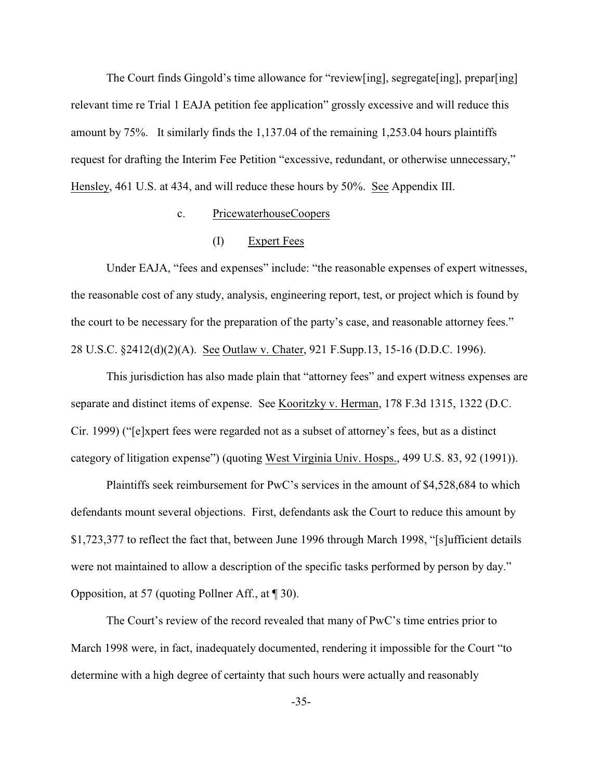The Court finds Gingold's time allowance for "review[ing], segregate[ing], prepar[ing] relevant time re Trial 1 EAJA petition fee application" grossly excessive and will reduce this amount by 75%. It similarly finds the 1,137.04 of the remaining 1,253.04 hours plaintiffs request for drafting the Interim Fee Petition "excessive, redundant, or otherwise unnecessary," Hensley, 461 U.S. at 434, and will reduce these hours by 50%. See Appendix III.

## c. PricewaterhouseCoopers

# (I) Expert Fees

Under EAJA, "fees and expenses" include: "the reasonable expenses of expert witnesses, the reasonable cost of any study, analysis, engineering report, test, or project which is found by the court to be necessary for the preparation of the party's case, and reasonable attorney fees." 28 U.S.C. §2412(d)(2)(A). See Outlaw v. Chater, 921 F.Supp.13, 15-16 (D.D.C. 1996).

This jurisdiction has also made plain that "attorney fees" and expert witness expenses are separate and distinct items of expense. See Kooritzky v. Herman, 178 F.3d 1315, 1322 (D.C. Cir. 1999) ("[e]xpert fees were regarded not as a subset of attorney's fees, but as a distinct category of litigation expense") (quoting West Virginia Univ. Hosps., 499 U.S. 83, 92 (1991)).

Plaintiffs seek reimbursement for PwC's services in the amount of \$4,528,684 to which defendants mount several objections. First, defendants ask the Court to reduce this amount by \$1,723,377 to reflect the fact that, between June 1996 through March 1998, "[s]ufficient details were not maintained to allow a description of the specific tasks performed by person by day." Opposition, at 57 (quoting Pollner Aff., at ¶ 30).

The Court's review of the record revealed that many of PwC's time entries prior to March 1998 were, in fact, inadequately documented, rendering it impossible for the Court "to determine with a high degree of certainty that such hours were actually and reasonably

-35-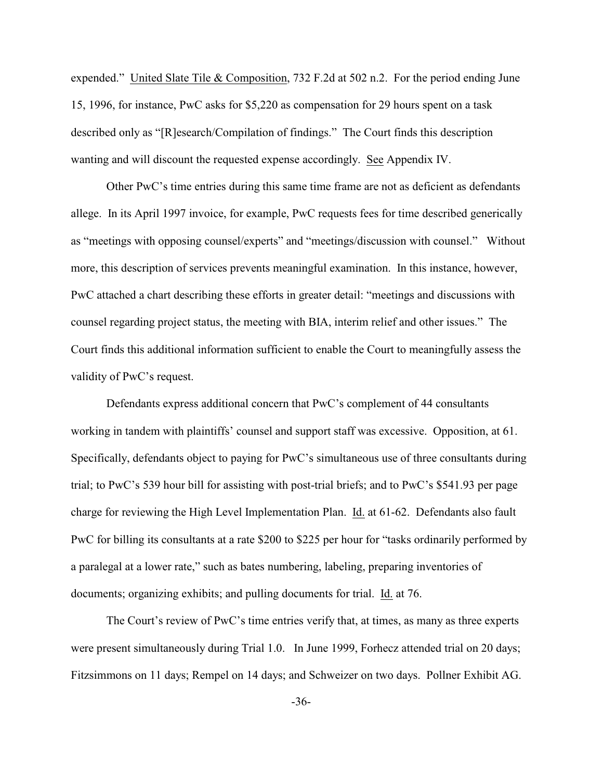expended." United Slate Tile & Composition, 732 F.2d at 502 n.2. For the period ending June 15, 1996, for instance, PwC asks for \$5,220 as compensation for 29 hours spent on a task described only as "[R]esearch/Compilation of findings." The Court finds this description wanting and will discount the requested expense accordingly. See Appendix IV.

Other PwC's time entries during this same time frame are not as deficient as defendants allege. In its April 1997 invoice, for example, PwC requests fees for time described generically as "meetings with opposing counsel/experts" and "meetings/discussion with counsel." Without more, this description of services prevents meaningful examination. In this instance, however, PwC attached a chart describing these efforts in greater detail: "meetings and discussions with counsel regarding project status, the meeting with BIA, interim relief and other issues." The Court finds this additional information sufficient to enable the Court to meaningfully assess the validity of PwC's request.

Defendants express additional concern that PwC's complement of 44 consultants working in tandem with plaintiffs' counsel and support staff was excessive. Opposition, at 61. Specifically, defendants object to paying for PwC's simultaneous use of three consultants during trial; to PwC's 539 hour bill for assisting with post-trial briefs; and to PwC's \$541.93 per page charge for reviewing the High Level Implementation Plan. Id. at 61-62. Defendants also fault PwC for billing its consultants at a rate \$200 to \$225 per hour for "tasks ordinarily performed by a paralegal at a lower rate," such as bates numbering, labeling, preparing inventories of documents; organizing exhibits; and pulling documents for trial. Id. at 76.

The Court's review of PwC's time entries verify that, at times, as many as three experts were present simultaneously during Trial 1.0. In June 1999, Forhecz attended trial on 20 days; Fitzsimmons on 11 days; Rempel on 14 days; and Schweizer on two days. Pollner Exhibit AG.

-36-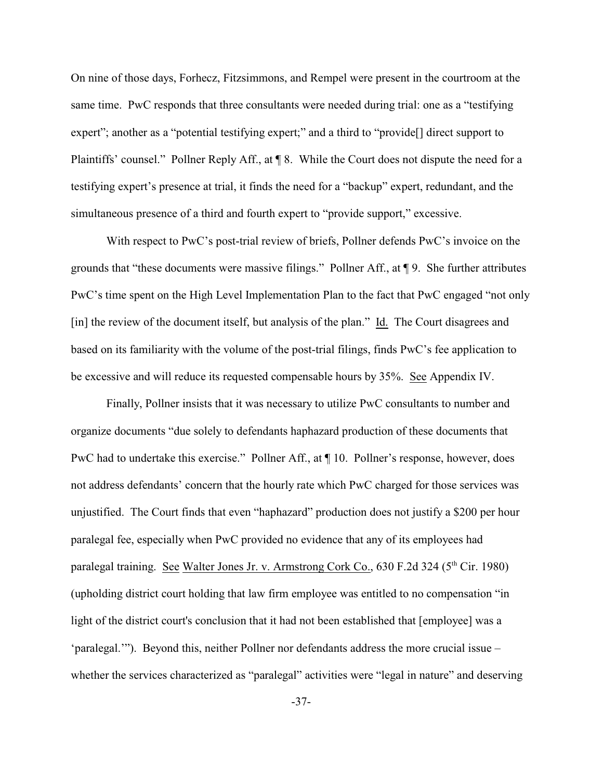On nine of those days, Forhecz, Fitzsimmons, and Rempel were present in the courtroom at the same time. PwC responds that three consultants were needed during trial: one as a "testifying expert"; another as a "potential testifying expert;" and a third to "provide<sup>[]</sup> direct support to Plaintiffs' counsel." Pollner Reply Aff., at ¶ 8. While the Court does not dispute the need for a testifying expert's presence at trial, it finds the need for a "backup" expert, redundant, and the simultaneous presence of a third and fourth expert to "provide support," excessive.

With respect to PwC's post-trial review of briefs, Pollner defends PwC's invoice on the grounds that "these documents were massive filings." Pollner Aff., at ¶ 9. She further attributes PwC's time spent on the High Level Implementation Plan to the fact that PwC engaged "not only [in] the review of the document itself, but analysis of the plan." Id. The Court disagrees and based on its familiarity with the volume of the post-trial filings, finds PwC's fee application to be excessive and will reduce its requested compensable hours by 35%. See Appendix IV.

Finally, Pollner insists that it was necessary to utilize PwC consultants to number and organize documents "due solely to defendants haphazard production of these documents that PwC had to undertake this exercise." Pollner Aff., at ¶ 10. Pollner's response, however, does not address defendants' concern that the hourly rate which PwC charged for those services was unjustified. The Court finds that even "haphazard" production does not justify a \$200 per hour paralegal fee, especially when PwC provided no evidence that any of its employees had paralegal training. See Walter Jones Jr. v. Armstrong Cork Co.,  $630$  F.2d 324 ( $5<sup>th</sup>$  Cir. 1980) (upholding district court holding that law firm employee was entitled to no compensation "in light of the district court's conclusion that it had not been established that [employee] was a 'paralegal.'"). Beyond this, neither Pollner nor defendants address the more crucial issue – whether the services characterized as "paralegal" activities were "legal in nature" and deserving

-37-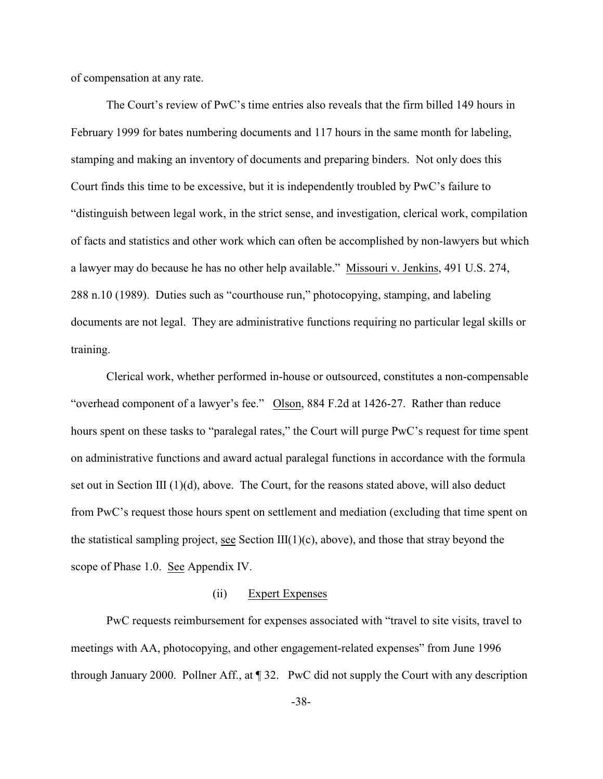of compensation at any rate.

The Court's review of PwC's time entries also reveals that the firm billed 149 hours in February 1999 for bates numbering documents and 117 hours in the same month for labeling, stamping and making an inventory of documents and preparing binders. Not only does this Court finds this time to be excessive, but it is independently troubled by PwC's failure to "distinguish between legal work, in the strict sense, and investigation, clerical work, compilation of facts and statistics and other work which can often be accomplished by non-lawyers but which a lawyer may do because he has no other help available." Missouri v. Jenkins, 491 U.S. 274, 288 n.10 (1989). Duties such as "courthouse run," photocopying, stamping, and labeling documents are not legal. They are administrative functions requiring no particular legal skills or training.

Clerical work, whether performed in-house or outsourced, constitutes a non-compensable "overhead component of a lawyer's fee." Olson, 884 F.2d at 1426-27. Rather than reduce hours spent on these tasks to "paralegal rates," the Court will purge PwC's request for time spent on administrative functions and award actual paralegal functions in accordance with the formula set out in Section III  $(1)(d)$ , above. The Court, for the reasons stated above, will also deduct from PwC's request those hours spent on settlement and mediation (excluding that time spent on the statistical sampling project, see Section  $III(1)(c)$ , above), and those that stray beyond the scope of Phase 1.0. See Appendix IV.

### (ii) Expert Expenses

PwC requests reimbursement for expenses associated with "travel to site visits, travel to meetings with AA, photocopying, and other engagement-related expenses" from June 1996 through January 2000. Pollner Aff., at ¶ 32. PwC did not supply the Court with any description

-38-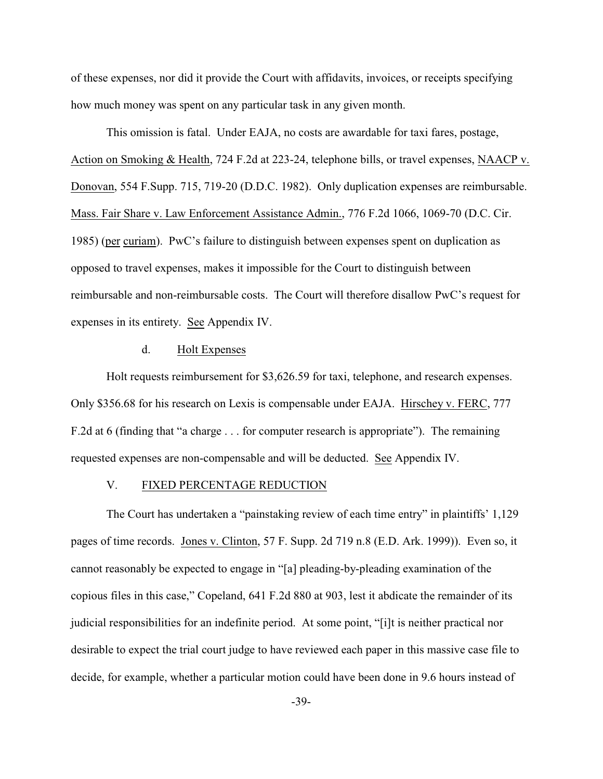of these expenses, nor did it provide the Court with affidavits, invoices, or receipts specifying how much money was spent on any particular task in any given month.

This omission is fatal. Under EAJA, no costs are awardable for taxi fares, postage, Action on Smoking & Health, 724 F.2d at 223-24, telephone bills, or travel expenses, NAACP v. Donovan, 554 F.Supp. 715, 719-20 (D.D.C. 1982). Only duplication expenses are reimbursable. Mass. Fair Share v. Law Enforcement Assistance Admin., 776 F.2d 1066, 1069-70 (D.C. Cir. 1985) (per curiam). PwC's failure to distinguish between expenses spent on duplication as opposed to travel expenses, makes it impossible for the Court to distinguish between reimbursable and non-reimbursable costs. The Court will therefore disallow PwC's request for expenses in its entirety. See Appendix IV.

#### d. Holt Expenses

Holt requests reimbursement for \$3,626.59 for taxi, telephone, and research expenses. Only \$356.68 for his research on Lexis is compensable under EAJA. Hirschey v. FERC, 777 F.2d at 6 (finding that "a charge . . . for computer research is appropriate"). The remaining requested expenses are non-compensable and will be deducted. See Appendix IV.

#### V. FIXED PERCENTAGE REDUCTION

The Court has undertaken a "painstaking review of each time entry" in plaintiffs' 1,129 pages of time records. Jones v. Clinton, 57 F. Supp. 2d 719 n.8 (E.D. Ark. 1999)). Even so, it cannot reasonably be expected to engage in "[a] pleading-by-pleading examination of the copious files in this case," Copeland, 641 F.2d 880 at 903, lest it abdicate the remainder of its judicial responsibilities for an indefinite period. At some point, "[i]t is neither practical nor desirable to expect the trial court judge to have reviewed each paper in this massive case file to decide, for example, whether a particular motion could have been done in 9.6 hours instead of

-39-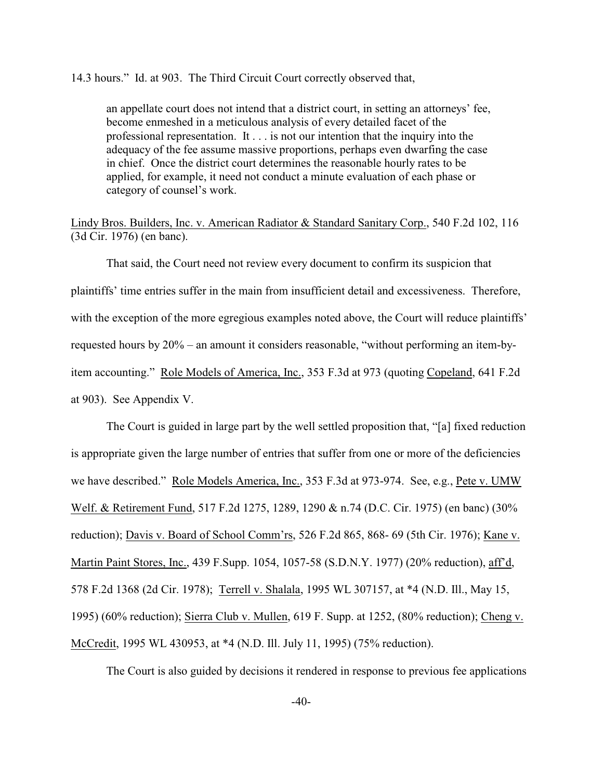14.3 hours." Id. at 903. The Third Circuit Court correctly observed that,

an appellate court does not intend that a district court, in setting an attorneys' fee, become enmeshed in a meticulous analysis of every detailed facet of the professional representation. It . . . is not our intention that the inquiry into the adequacy of the fee assume massive proportions, perhaps even dwarfing the case in chief. Once the district court determines the reasonable hourly rates to be applied, for example, it need not conduct a minute evaluation of each phase or category of counsel's work.

Lindy Bros. Builders, Inc. v. American Radiator & Standard Sanitary Corp., 540 F.2d 102, 116 (3d Cir. 1976) (en banc).

That said, the Court need not review every document to confirm its suspicion that plaintiffs' time entries suffer in the main from insufficient detail and excessiveness. Therefore, with the exception of the more egregious examples noted above, the Court will reduce plaintiffs' requested hours by 20% – an amount it considers reasonable, "without performing an item-byitem accounting." Role Models of America, Inc., 353 F.3d at 973 (quoting Copeland, 641 F.2d at 903). See Appendix V.

The Court is guided in large part by the well settled proposition that, "[a] fixed reduction is appropriate given the large number of entries that suffer from one or more of the deficiencies we have described." Role Models America, Inc., 353 F.3d at 973-974. See, e.g., Pete v. UMW Welf. & Retirement Fund, 517 F.2d 1275, 1289, 1290 & n.74 (D.C. Cir. 1975) (en banc) (30% reduction); Davis v. Board of School Comm'rs, 526 F.2d 865, 868- 69 (5th Cir. 1976); Kane v. Martin Paint Stores, Inc., 439 F.Supp. 1054, 1057-58 (S.D.N.Y. 1977) (20% reduction), aff'd, 578 F.2d 1368 (2d Cir. 1978); Terrell v. Shalala, 1995 WL 307157, at \*4 (N.D. Ill., May 15, 1995) (60% reduction); Sierra Club v. Mullen, 619 F. Supp. at 1252, (80% reduction); Cheng v. McCredit, 1995 WL 430953, at \*4 (N.D. Ill. July 11, 1995) (75% reduction).

The Court is also guided by decisions it rendered in response to previous fee applications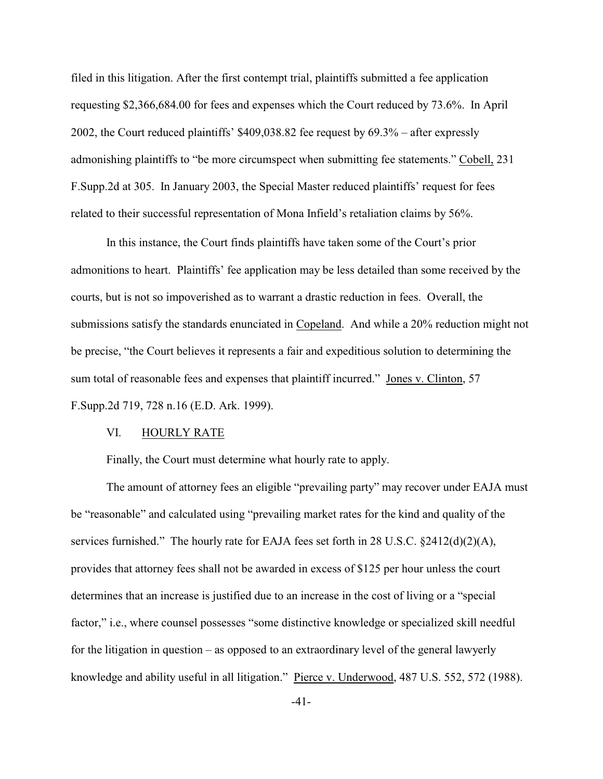filed in this litigation. After the first contempt trial, plaintiffs submitted a fee application requesting \$2,366,684.00 for fees and expenses which the Court reduced by 73.6%. In April 2002, the Court reduced plaintiffs' \$409,038.82 fee request by 69.3% – after expressly admonishing plaintiffs to "be more circumspect when submitting fee statements." Cobell, 231 F.Supp.2d at 305. In January 2003, the Special Master reduced plaintiffs' request for fees related to their successful representation of Mona Infield's retaliation claims by 56%.

In this instance, the Court finds plaintiffs have taken some of the Court's prior admonitions to heart. Plaintiffs' fee application may be less detailed than some received by the courts, but is not so impoverished as to warrant a drastic reduction in fees. Overall, the submissions satisfy the standards enunciated in Copeland. And while a 20% reduction might not be precise, "the Court believes it represents a fair and expeditious solution to determining the sum total of reasonable fees and expenses that plaintiff incurred." Jones v. Clinton, 57 F.Supp.2d 719, 728 n.16 (E.D. Ark. 1999).

### VI. HOURLY RATE

Finally, the Court must determine what hourly rate to apply.

The amount of attorney fees an eligible "prevailing party" may recover under EAJA must be "reasonable" and calculated using "prevailing market rates for the kind and quality of the services furnished." The hourly rate for EAJA fees set forth in 28 U.S.C.  $\S 2412(d)(2)(A)$ , provides that attorney fees shall not be awarded in excess of \$125 per hour unless the court determines that an increase is justified due to an increase in the cost of living or a "special factor," i.e., where counsel possesses "some distinctive knowledge or specialized skill needful for the litigation in question – as opposed to an extraordinary level of the general lawyerly knowledge and ability useful in all litigation." Pierce v. Underwood, 487 U.S. 552, 572 (1988).

-41-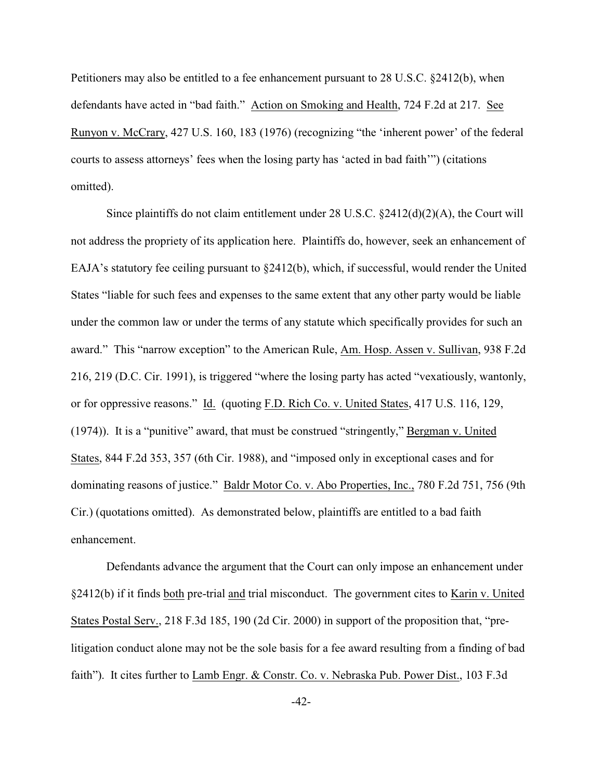Petitioners may also be entitled to a fee enhancement pursuant to 28 U.S.C. §2412(b), when defendants have acted in "bad faith." Action on Smoking and Health, 724 F.2d at 217. See Runyon v. McCrary, 427 U.S. 160, 183 (1976) (recognizing "the 'inherent power' of the federal courts to assess attorneys' fees when the losing party has 'acted in bad faith'") (citations omitted).

Since plaintiffs do not claim entitlement under 28 U.S.C.  $\frac{2412(d)(2)(A)}{2}$ , the Court will not address the propriety of its application here. Plaintiffs do, however, seek an enhancement of EAJA's statutory fee ceiling pursuant to §2412(b), which, if successful, would render the United States "liable for such fees and expenses to the same extent that any other party would be liable under the common law or under the terms of any statute which specifically provides for such an award." This "narrow exception" to the American Rule, Am. Hosp. Assen v. Sullivan, 938 F.2d 216, 219 (D.C. Cir. 1991), is triggered "where the losing party has acted "vexatiously, wantonly, or for oppressive reasons." Id. (quoting F.D. Rich Co. v. United States, 417 U.S. 116, 129, (1974)). It is a "punitive" award, that must be construed "stringently," Bergman v. United States, 844 F.2d 353, 357 (6th Cir. 1988), and "imposed only in exceptional cases and for dominating reasons of justice." Baldr Motor Co. v. Abo Properties, Inc., 780 F.2d 751, 756 (9th Cir.) (quotations omitted). As demonstrated below, plaintiffs are entitled to a bad faith enhancement.

Defendants advance the argument that the Court can only impose an enhancement under §2412(b) if it finds both pre-trial and trial misconduct. The government cites to Karin v. United States Postal Serv., 218 F.3d 185, 190 (2d Cir. 2000) in support of the proposition that, "prelitigation conduct alone may not be the sole basis for a fee award resulting from a finding of bad faith"). It cites further to Lamb Engr. & Constr. Co. v. Nebraska Pub. Power Dist., 103 F.3d

-42-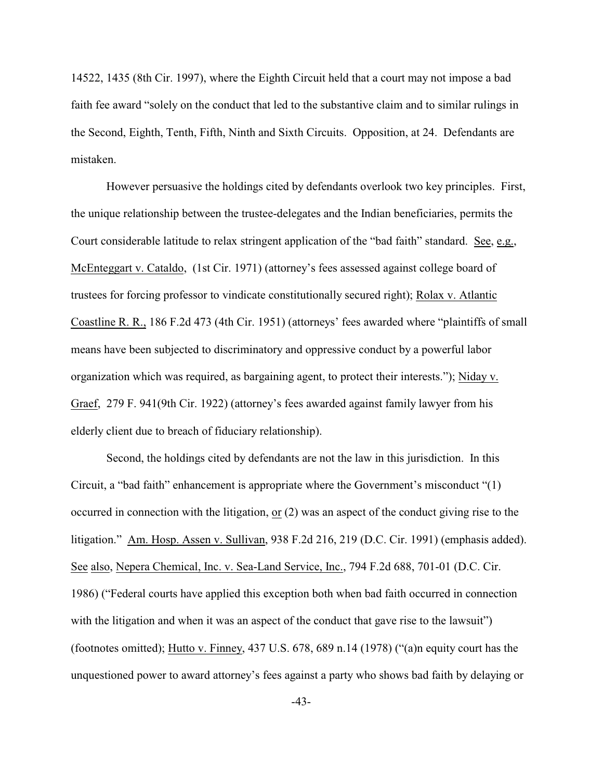14522, 1435 (8th Cir. 1997), where the Eighth Circuit held that a court may not impose a bad faith fee award "solely on the conduct that led to the substantive claim and to similar rulings in the Second, Eighth, Tenth, Fifth, Ninth and Sixth Circuits. Opposition, at 24. Defendants are mistaken.

However persuasive the holdings cited by defendants overlook two key principles. First, the unique relationship between the trustee-delegates and the Indian beneficiaries, permits the Court considerable latitude to relax stringent application of the "bad faith" standard. See, e.g., McEnteggart v. Cataldo, (1st Cir. 1971) (attorney's fees assessed against college board of trustees for forcing professor to vindicate constitutionally secured right); Rolax v. Atlantic Coastline R. R., 186 F.2d 473 (4th Cir. 1951) (attorneys' fees awarded where "plaintiffs of small means have been subjected to discriminatory and oppressive conduct by a powerful labor organization which was required, as bargaining agent, to protect their interests."); Niday v. Graef, 279 F. 941(9th Cir. 1922) (attorney's fees awarded against family lawyer from his elderly client due to breach of fiduciary relationship).

Second, the holdings cited by defendants are not the law in this jurisdiction. In this Circuit, a "bad faith" enhancement is appropriate where the Government's misconduct "(1) occurred in connection with the litigation, or (2) was an aspect of the conduct giving rise to the litigation." Am. Hosp. Assen v. Sullivan, 938 F.2d 216, 219 (D.C. Cir. 1991) (emphasis added). See also, Nepera Chemical, Inc. v. Sea-Land Service, Inc., 794 F.2d 688, 701-01 (D.C. Cir. 1986) ("Federal courts have applied this exception both when bad faith occurred in connection with the litigation and when it was an aspect of the conduct that gave rise to the lawsuit") (footnotes omitted); Hutto v. Finney, 437 U.S. 678, 689 n.14 (1978) ("(a)n equity court has the unquestioned power to award attorney's fees against a party who shows bad faith by delaying or

-43-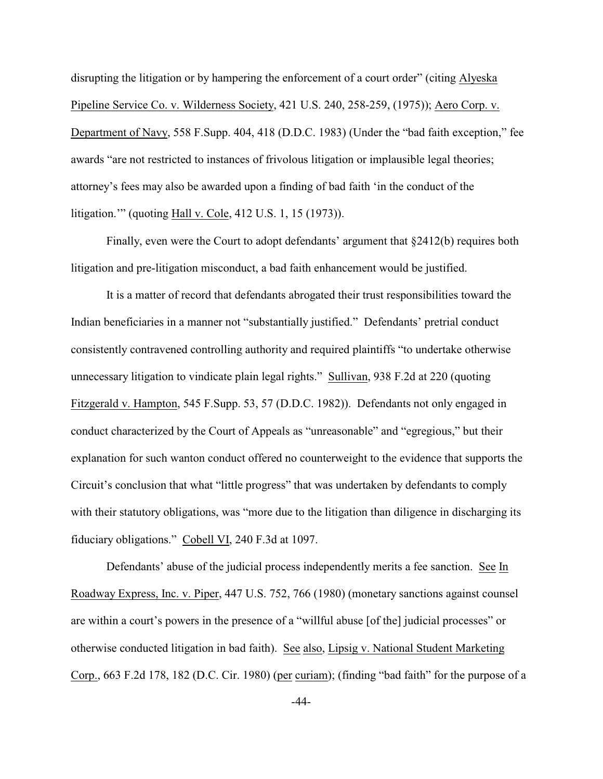disrupting the litigation or by hampering the enforcement of a court order" (citing Alyeska Pipeline Service Co. v. Wilderness Society, 421 U.S. 240, 258-259, (1975)); Aero Corp. v. Department of Navy, 558 F.Supp. 404, 418 (D.D.C. 1983) (Under the "bad faith exception," fee awards "are not restricted to instances of frivolous litigation or implausible legal theories; attorney's fees may also be awarded upon a finding of bad faith 'in the conduct of the litigation.'" (quoting Hall v. Cole, 412 U.S. 1, 15 (1973)).

Finally, even were the Court to adopt defendants' argument that §2412(b) requires both litigation and pre-litigation misconduct, a bad faith enhancement would be justified.

It is a matter of record that defendants abrogated their trust responsibilities toward the Indian beneficiaries in a manner not "substantially justified." Defendants' pretrial conduct consistently contravened controlling authority and required plaintiffs "to undertake otherwise unnecessary litigation to vindicate plain legal rights." Sullivan, 938 F.2d at 220 (quoting Fitzgerald v. Hampton, 545 F.Supp. 53, 57 (D.D.C. 1982)). Defendants not only engaged in conduct characterized by the Court of Appeals as "unreasonable" and "egregious," but their explanation for such wanton conduct offered no counterweight to the evidence that supports the Circuit's conclusion that what "little progress" that was undertaken by defendants to comply with their statutory obligations, was "more due to the litigation than diligence in discharging its fiduciary obligations." Cobell VI, 240 F.3d at 1097.

Defendants' abuse of the judicial process independently merits a fee sanction. See In Roadway Express, Inc. v. Piper, 447 U.S. 752, 766 (1980) (monetary sanctions against counsel are within a court's powers in the presence of a "willful abuse [of the] judicial processes" or otherwise conducted litigation in bad faith). See also, Lipsig v. National Student Marketing Corp., 663 F.2d 178, 182 (D.C. Cir. 1980) (per curiam); (finding "bad faith" for the purpose of a

-44-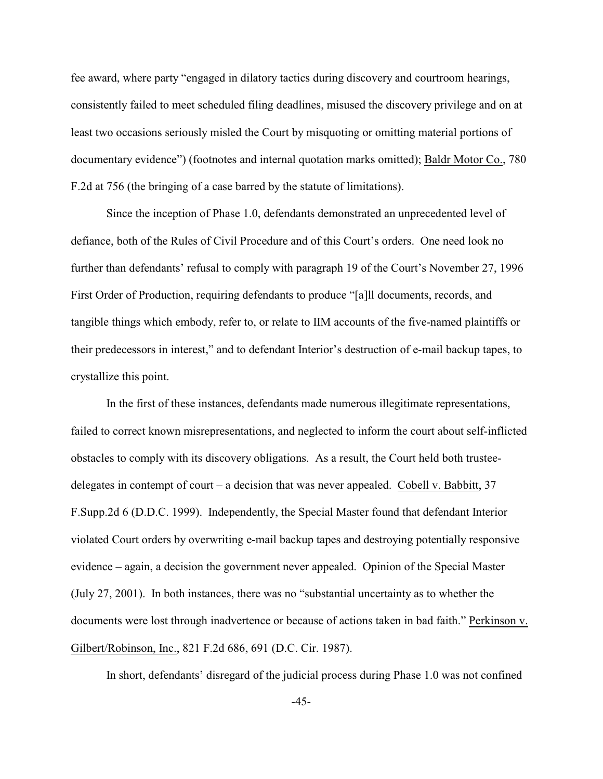fee award, where party "engaged in dilatory tactics during discovery and courtroom hearings, consistently failed to meet scheduled filing deadlines, misused the discovery privilege and on at least two occasions seriously misled the Court by misquoting or omitting material portions of documentary evidence") (footnotes and internal quotation marks omitted); Baldr Motor Co., 780 F.2d at 756 (the bringing of a case barred by the statute of limitations).

Since the inception of Phase 1.0, defendants demonstrated an unprecedented level of defiance, both of the Rules of Civil Procedure and of this Court's orders. One need look no further than defendants' refusal to comply with paragraph 19 of the Court's November 27, 1996 First Order of Production, requiring defendants to produce "[a]ll documents, records, and tangible things which embody, refer to, or relate to IIM accounts of the five-named plaintiffs or their predecessors in interest," and to defendant Interior's destruction of e-mail backup tapes, to crystallize this point.

In the first of these instances, defendants made numerous illegitimate representations, failed to correct known misrepresentations, and neglected to inform the court about self-inflicted obstacles to comply with its discovery obligations. As a result, the Court held both trusteedelegates in contempt of court – a decision that was never appealed. Cobell v. Babbitt, 37 F.Supp.2d 6 (D.D.C. 1999). Independently, the Special Master found that defendant Interior violated Court orders by overwriting e-mail backup tapes and destroying potentially responsive evidence – again, a decision the government never appealed. Opinion of the Special Master (July 27, 2001). In both instances, there was no "substantial uncertainty as to whether the documents were lost through inadvertence or because of actions taken in bad faith." Perkinson v. Gilbert/Robinson, Inc., 821 F.2d 686, 691 (D.C. Cir. 1987).

In short, defendants' disregard of the judicial process during Phase 1.0 was not confined

-45-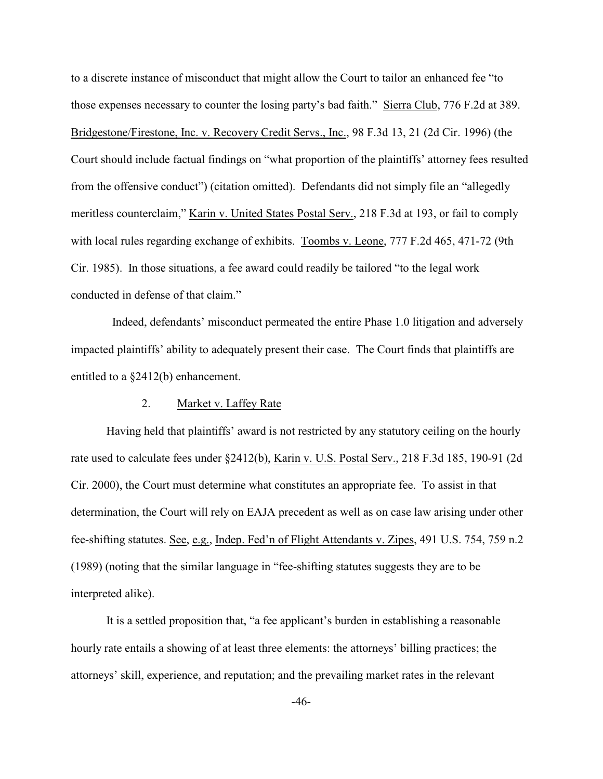to a discrete instance of misconduct that might allow the Court to tailor an enhanced fee "to those expenses necessary to counter the losing party's bad faith." Sierra Club, 776 F.2d at 389. Bridgestone/Firestone, Inc. v. Recovery Credit Servs., Inc., 98 F.3d 13, 21 (2d Cir. 1996) (the Court should include factual findings on "what proportion of the plaintiffs' attorney fees resulted from the offensive conduct") (citation omitted). Defendants did not simply file an "allegedly meritless counterclaim," Karin v. United States Postal Serv., 218 F.3d at 193, or fail to comply with local rules regarding exchange of exhibits. Toombs v. Leone, 777 F.2d 465, 471-72 (9th Cir. 1985). In those situations, a fee award could readily be tailored "to the legal work conducted in defense of that claim."

 Indeed, defendants' misconduct permeated the entire Phase 1.0 litigation and adversely impacted plaintiffs' ability to adequately present their case. The Court finds that plaintiffs are entitled to a §2412(b) enhancement.

#### 2. Market v. Laffey Rate

Having held that plaintiffs' award is not restricted by any statutory ceiling on the hourly rate used to calculate fees under §2412(b), Karin v. U.S. Postal Serv., 218 F.3d 185, 190-91 (2d Cir. 2000), the Court must determine what constitutes an appropriate fee. To assist in that determination, the Court will rely on EAJA precedent as well as on case law arising under other fee-shifting statutes. See, e.g., Indep. Fed'n of Flight Attendants v. Zipes, 491 U.S. 754, 759 n.2 (1989) (noting that the similar language in "fee-shifting statutes suggests they are to be interpreted alike).

It is a settled proposition that, "a fee applicant's burden in establishing a reasonable hourly rate entails a showing of at least three elements: the attorneys' billing practices; the attorneys' skill, experience, and reputation; and the prevailing market rates in the relevant

-46-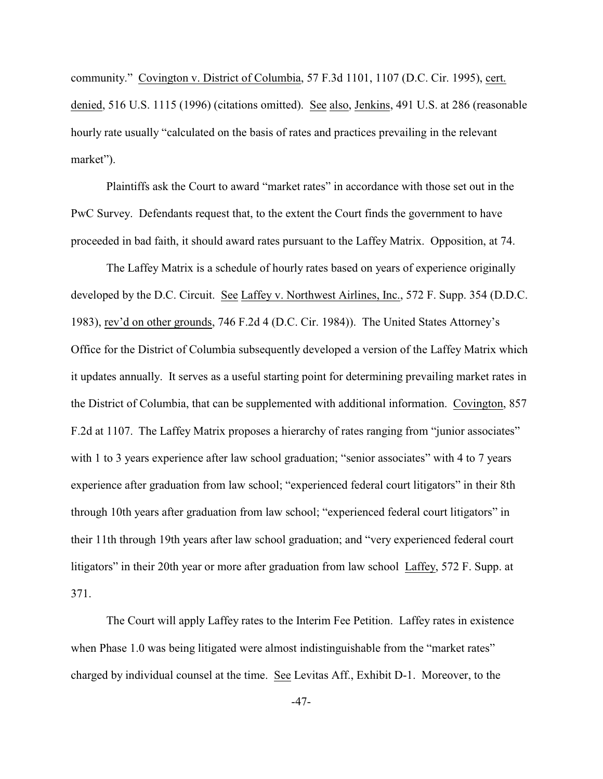community." Covington v. District of Columbia, 57 F.3d 1101, 1107 (D.C. Cir. 1995), cert. denied, 516 U.S. 1115 (1996) (citations omitted). See also, Jenkins, 491 U.S. at 286 (reasonable hourly rate usually "calculated on the basis of rates and practices prevailing in the relevant market").

Plaintiffs ask the Court to award "market rates" in accordance with those set out in the PwC Survey. Defendants request that, to the extent the Court finds the government to have proceeded in bad faith, it should award rates pursuant to the Laffey Matrix. Opposition, at 74.

The Laffey Matrix is a schedule of hourly rates based on years of experience originally developed by the D.C. Circuit. See Laffey v. Northwest Airlines, Inc., 572 F. Supp. 354 (D.D.C. 1983), rev'd on other grounds, 746 F.2d 4 (D.C. Cir. 1984)). The United States Attorney's Office for the District of Columbia subsequently developed a version of the Laffey Matrix which it updates annually. It serves as a useful starting point for determining prevailing market rates in the District of Columbia, that can be supplemented with additional information. Covington, 857 F.2d at 1107. The Laffey Matrix proposes a hierarchy of rates ranging from "junior associates" with 1 to 3 years experience after law school graduation; "senior associates" with 4 to 7 years experience after graduation from law school; "experienced federal court litigators" in their 8th through 10th years after graduation from law school; "experienced federal court litigators" in their 11th through 19th years after law school graduation; and "very experienced federal court litigators" in their 20th year or more after graduation from law school Laffey, 572 F. Supp. at 371.

The Court will apply Laffey rates to the Interim Fee Petition. Laffey rates in existence when Phase 1.0 was being litigated were almost indistinguishable from the "market rates" charged by individual counsel at the time. See Levitas Aff., Exhibit D-1. Moreover, to the

-47-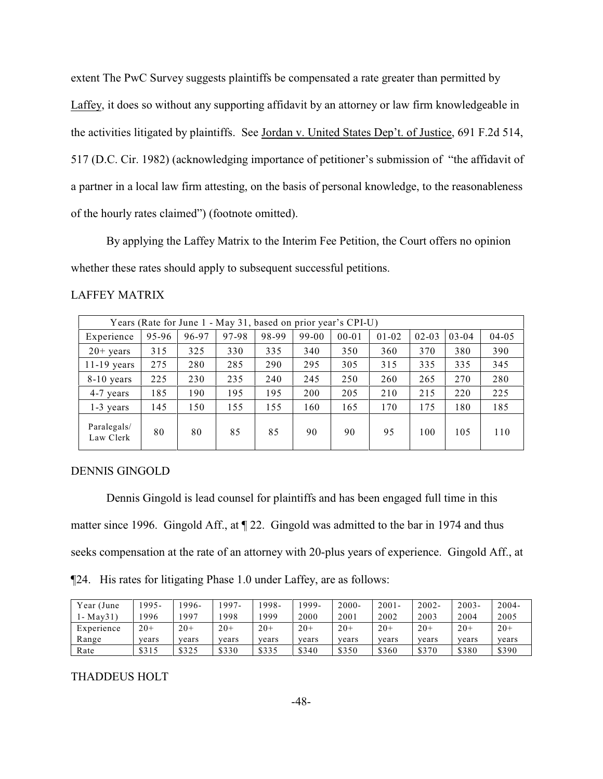extent The PwC Survey suggests plaintiffs be compensated a rate greater than permitted by Laffey, it does so without any supporting affidavit by an attorney or law firm knowledgeable in the activities litigated by plaintiffs. See Jordan v. United States Dep't. of Justice, 691 F.2d 514, 517 (D.C. Cir. 1982) (acknowledging importance of petitioner's submission of "the affidavit of a partner in a local law firm attesting, on the basis of personal knowledge, to the reasonableness of the hourly rates claimed") (footnote omitted).

By applying the Laffey Matrix to the Interim Fee Petition, the Court offers no opinion whether these rates should apply to subsequent successful petitions.

| Years (Rate for June 1 - May 31, based on prior year's CPI-U) |       |       |       |       |       |           |           |           |           |           |
|---------------------------------------------------------------|-------|-------|-------|-------|-------|-----------|-----------|-----------|-----------|-----------|
| Experience                                                    | 95-96 | 96-97 | 97-98 | 98-99 | 99-00 | $00 - 01$ | $01 - 02$ | $02 - 03$ | $03 - 04$ | $04 - 05$ |
| $20+$ years                                                   | 315   | 325   | 330   | 335   | 340   | 350       | 360       | 370       | 380       | 390       |
| $11-19$ years                                                 | 275   | 280   | 285   | 290   | 295   | 305       | 315       | 335       | 335       | 345       |
| $8-10$ years                                                  | 225   | 230   | 235   | 240   | 245   | 250       | 260       | 265       | 270       | 280       |
| 4-7 years                                                     | 185   | 190   | 195   | 195   | 200   | 205       | 210       | 215       | 220       | 225       |
| $1-3$ years                                                   | 145   | 150   | 155   | 155   | 160   | 165       | 170       | 175       | 180       | 185       |
| Paralegals/<br>Law Clerk                                      | 80    | 80    | 85    | 85    | 90    | 90        | 95        | 100       | 105       | 110       |

#### LAFFEY MATRIX

#### DENNIS GINGOLD

Dennis Gingold is lead counsel for plaintiffs and has been engaged full time in this matter since 1996. Gingold Aff., at ¶ 22. Gingold was admitted to the bar in 1974 and thus seeks compensation at the rate of an attorney with 20-plus years of experience. Gingold Aff., at ¶24. His rates for litigating Phase 1.0 under Laffey, are as follows:

| Year (June | '995- | $1996-$ | $.997 -$ | 1998- | '999- | $2000 -$ | $2001 -$ | 2002- | $2003 -$ | $2004 -$ |
|------------|-------|---------|----------|-------|-------|----------|----------|-------|----------|----------|
| l - Mav31) | '996  | 1997    | .998     | 1999  | 2000  | 2001     | 2002     | 2003  | 2004     | 2005     |
| Experience | $20+$ | $20+$   | $20+$    | $20+$ | $20+$ | $20+$    | $20+$    | $20+$ | $20+$    | $20+$    |
| Range      | years | vears   | vears    | years | years | years    | vears    | vears | vears    | years    |
| Rate       | \$315 | \$325   | \$330    | \$335 | \$340 | \$350    | \$360    | \$370 | \$380    | \$390    |

#### THADDEUS HOLT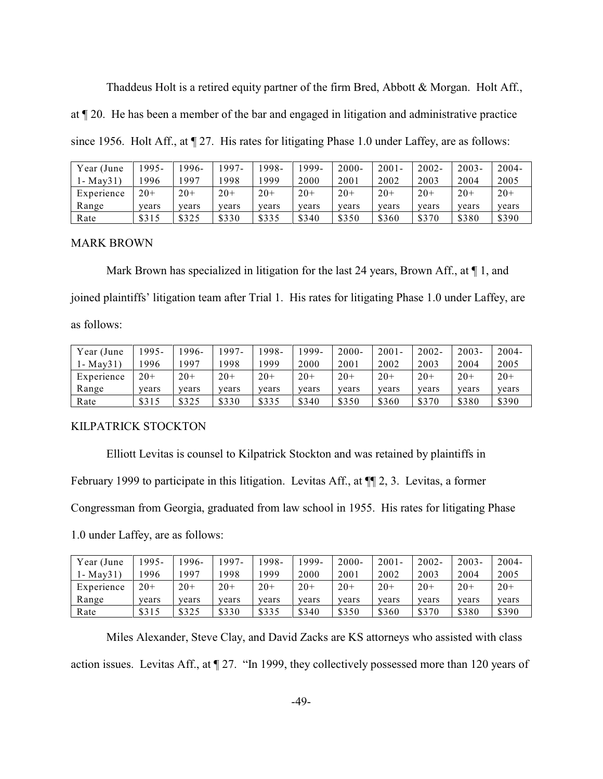Thaddeus Holt is a retired equity partner of the firm Bred, Abbott & Morgan. Holt Aff.,

at ¶ 20. He has been a member of the bar and engaged in litigation and administrative practice

since 1956. Holt Aff., at  $\P$  27. His rates for litigating Phase 1.0 under Laffey, are as follows:

| Year (June | $995-$ | .996- | $997-$ | 1998- | 1999- | $2000 -$ | $2001 -$ | $2002 -$ | $2003 -$ | 2004- |
|------------|--------|-------|--------|-------|-------|----------|----------|----------|----------|-------|
| 1- Mav31)  | 996    | 997   | .998   | 1999  | 2000  | 2001     | 2002     | 2003     | 2004     | 2005  |
| Experience | $20+$  | $20+$ | $20+$  | $20+$ | $20+$ | $20+$    | $20+$    | $20+$    | $20+$    | $20+$ |
| Range      | years  | vears | years  | years | years | vears    | vears    | vears    | vears    | years |
| Rate       | \$315  | \$325 | \$330  | \$335 | \$340 | \$350    | \$360    | \$370    | \$380    | \$390 |

### MARK BROWN

Mark Brown has specialized in litigation for the last 24 years, Brown Aff., at  $\P$  1, and joined plaintiffs' litigation team after Trial 1. His rates for litigating Phase 1.0 under Laffey, are as follows:

| Year (June         | 995-  | 1996- | 1997- | 1998- | .999- | $2000 -$ | $2001 -$ | $2002 -$ | $2003 -$ | $2004 -$ |
|--------------------|-------|-------|-------|-------|-------|----------|----------|----------|----------|----------|
| $1 - \text{Mav31}$ | '996  | 1997  | 1998  | 999   | 2000  | 2001     | 2002     | 2003     | 2004     | 2005     |
| Experience         | $20+$ | $20+$ | $20+$ | $20+$ | $20+$ | $20+$    | $20+$    | $20+$    | $20+$    | $20+$    |
| Range              | years | vears | years | years | vears | vears    | years    | vears    | vears    | years    |
| Rate               | \$315 | \$325 | \$330 | \$335 | \$340 | \$350    | \$360    | \$370    | \$380    | \$390    |

### KILPATRICK STOCKTON

Elliott Levitas is counsel to Kilpatrick Stockton and was retained by plaintiffs in February 1999 to participate in this litigation. Levitas Aff., at ¶¶ 2, 3. Levitas, a former Congressman from Georgia, graduated from law school in 1955. His rates for litigating Phase

1.0 under Laffey, are as follows:

| Year (June         | 995-  | $1996-$ | 1997- | '998- | '999- | $2000 -$ | $2001 -$ | $2002 -$ | $2003 -$ | $2004 -$ |
|--------------------|-------|---------|-------|-------|-------|----------|----------|----------|----------|----------|
| $1 - \text{Mav31}$ | 996   | 1997    | 1998  | 999   | 2000  | 2001     | 2002     | 2003     | 2004     | 2005     |
| Experience         | $20+$ | $20+$   | $20+$ | $20+$ | $20+$ | $20+$    | $20+$    | $20+$    | $20+$    | $20+$    |
| Range              | vears | vears   | years | vears | vears | vears    | vears    | vears    | vears    | years    |
| Rate               | \$315 | \$325   | \$330 | \$335 | \$340 | \$350    | \$360    | \$370    | \$380    | \$390    |

Miles Alexander, Steve Clay, and David Zacks are KS attorneys who assisted with class action issues. Levitas Aff., at ¶ 27. "In 1999, they collectively possessed more than 120 years of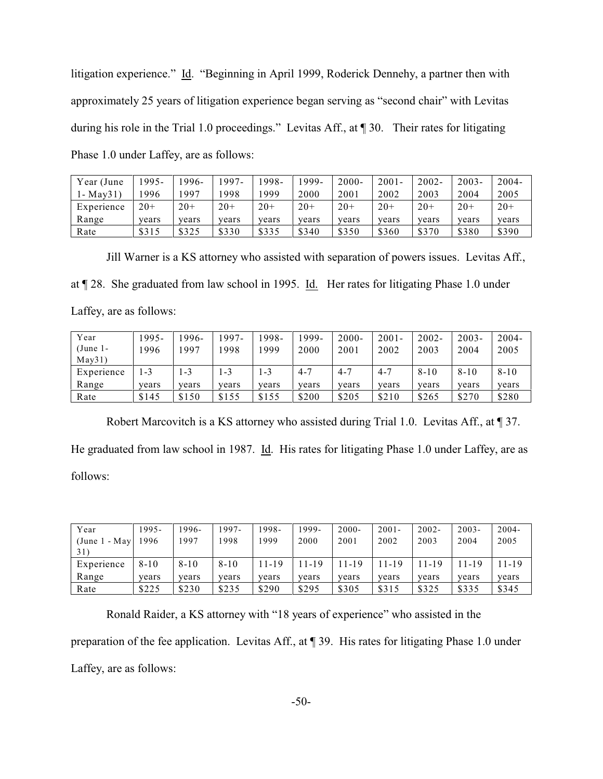litigation experience." Id. "Beginning in April 1999, Roderick Dennehy, a partner then with approximately 25 years of litigation experience began serving as "second chair" with Levitas during his role in the Trial 1.0 proceedings." Levitas Aff., at ¶ 30. Their rates for litigating Phase 1.0 under Laffey, are as follows:

| Year (June         | .995- | $.996-$ | $1997 -$ | 1998- | $.999-$ | $2000 -$ | $2001 -$ | $2002 -$ | $2003 -$ | $2004 -$ |
|--------------------|-------|---------|----------|-------|---------|----------|----------|----------|----------|----------|
| $1 - \text{Mav31}$ | .996  | 997     | .998     | 1999  | 2000    | 2001     | 2002     | 2003     | 2004     | 2005     |
| Experience         | $20+$ | $20+$   | $20+$    | $20+$ | $20+$   | $20+$    | $20+$    | $20+$    | $20+$    | $20+$    |
| Range              | vears | vears   | years    | vears | vears   | vears    | vears    | vears    | vears    | vears    |
| Rate               | \$315 | \$325   | \$330    | \$335 | \$340   | \$350    | \$360    | \$370    | \$380    | \$390    |

Jill Warner is a KS attorney who assisted with separation of powers issues. Levitas Aff., at ¶ 28. She graduated from law school in 1995. Id. Her rates for litigating Phase 1.0 under Laffey, are as follows:

| Year        | 1995- | 1996- | 1997- | 1998-   | 1999-   | $2000 -$ | $2001 -$ | $2002 -$ | $2003 -$ | $2004 -$ |
|-------------|-------|-------|-------|---------|---------|----------|----------|----------|----------|----------|
| $(June 1 -$ | 1996  | 1997  | 1998  | 999     | 2000    | 2001     | 2002     | 2003     | 2004     | 2005     |
| May31)      |       |       |       |         |         |          |          |          |          |          |
| Experience  | $-3$  | 1-3   | 1-3   | $1 - 3$ | $4 - 7$ | $-4 - 7$ | $4 - 7$  | $8 - 10$ | $8 - 10$ | $8 - 10$ |
| Range       | vears | vears | years | years   | vears   | vears    | vears    | vears    | vears    | vears    |
| Rate        | \$145 | \$150 | \$155 | \$155   | \$200   | \$205    | \$210    | \$265    | \$270    | \$280    |

Robert Marcovitch is a KS attorney who assisted during Trial 1.0. Levitas Aff., at ¶ 37. He graduated from law school in 1987. Id. His rates for litigating Phase 1.0 under Laffey, are as follows:

| Year            | 1995-    | 1996-    | $1997-$  | 1998- | 1999- | $2000 -$ | $2001 -$ | 2002- | $2003 -$ | $2004 -$ |
|-----------------|----------|----------|----------|-------|-------|----------|----------|-------|----------|----------|
| (June $1 - May$ | 1996     | 1997     | 1998     | 1999  | 2000  | 2001     | 2002     | 2003  | 2004     | 2005     |
| 31)             |          |          |          |       |       |          |          |       |          |          |
| Experience      | $8 - 10$ | $8 - 10$ | $8 - 10$ | 11-19 | 11-19 | 11-19    | 11-19    | 11-19 | 11-19    | 11-19    |
| Range           | years    | years    | years    | years | years | years    | vears    | vears | years    | vears    |
| Rate            | \$225    | \$230    | \$235    | \$290 | \$295 | \$305    | \$315    | \$325 | \$335    | \$345    |

Ronald Raider, a KS attorney with "18 years of experience" who assisted in the preparation of the fee application. Levitas Aff., at ¶ 39. His rates for litigating Phase 1.0 under Laffey, are as follows: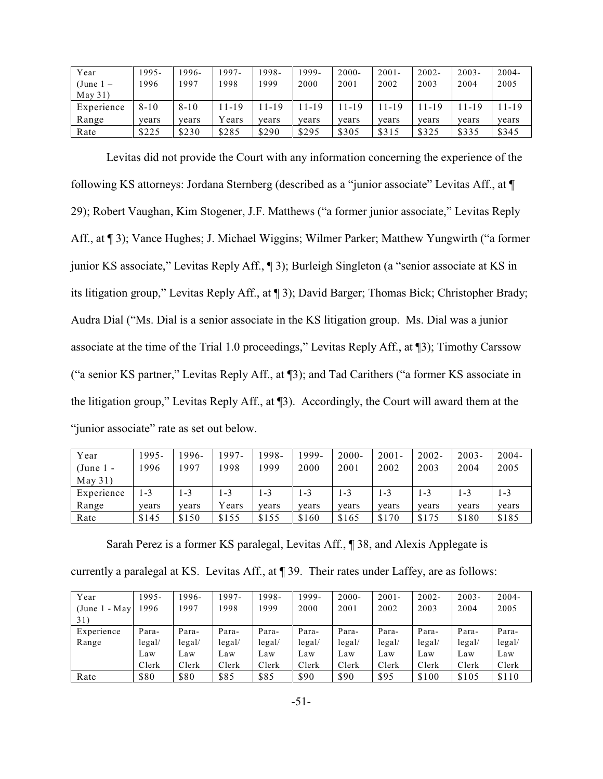| Year        | 1995-    | 1996-    | 997-  | 1998- | 1999- | $2000 -$ | $2001 -$ | $2002 -$ | $2003 -$ | $2004 -$ |
|-------------|----------|----------|-------|-------|-------|----------|----------|----------|----------|----------|
| $(June 1 -$ | 1996     | 1997     | .998  | 1999  | 2000  | 2001     | 2002     | 2003     | 2004     | 2005     |
| May 31)     |          |          |       |       |       |          |          |          |          |          |
| Experience  | $8 - 10$ | $8 - 10$ | 11-19 | 11-19 | -19   | 11-19    | $1 - 19$ | 11-19    | 11-19    | 11-19    |
| Range       | vears    | vears    | Years | years | vears | vears    | vears    | vears    | vears    | vears    |
| Rate        | \$225    | \$230    | \$285 | \$290 | \$295 | \$305    | \$315    | \$325    | \$335    | \$345    |

Levitas did not provide the Court with any information concerning the experience of the following KS attorneys: Jordana Sternberg (described as a "junior associate" Levitas Aff., at ¶ 29); Robert Vaughan, Kim Stogener, J.F. Matthews ("a former junior associate," Levitas Reply Aff., at ¶ 3); Vance Hughes; J. Michael Wiggins; Wilmer Parker; Matthew Yungwirth ("a former junior KS associate," Levitas Reply Aff., ¶ 3); Burleigh Singleton (a "senior associate at KS in its litigation group," Levitas Reply Aff., at ¶ 3); David Barger; Thomas Bick; Christopher Brady; Audra Dial ("Ms. Dial is a senior associate in the KS litigation group. Ms. Dial was a junior associate at the time of the Trial 1.0 proceedings," Levitas Reply Aff., at ¶3); Timothy Carssow ("a senior KS partner," Levitas Reply Aff., at ¶3); and Tad Carithers ("a former KS associate in the litigation group," Levitas Reply Aff., at ¶3). Accordingly, the Court will award them at the "junior associate" rate as set out below.

| Year        | 1995- | 1996- | 1997-   | 1998- | 1999-   | $2000 -$ | $2001 -$ | $2002 -$ | $2003 -$ | $2004 -$ |
|-------------|-------|-------|---------|-------|---------|----------|----------|----------|----------|----------|
| $(June 1 -$ | 1996  | 1997  | 1998    | 1999  | 2000    | 2001     | 2002     | 2003     | 2004     | 2005     |
| May 31)     |       |       |         |       |         |          |          |          |          |          |
| Experience  | $-3$  | 1-3   | $1 - 3$ | 1-3   | $1 - 3$ | $-3$     | $-3$     | $-3$     | $-3$     | $1 - 3$  |
| Range       | years | vears | Years   | vears | years   | years    | years    | vears    | vears    | years    |
| Rate        | \$145 | \$150 | \$155   | \$155 | \$160   | \$165    | \$170    | \$175    | \$180    | \$185    |

Sarah Perez is a former KS paralegal, Levitas Aff., ¶ 38, and Alexis Applegate is

| currently a paralegal at KS. Levitas Aff., at ¶ 39. Their rates under Laffey, are as follows: |  |  |  |
|-----------------------------------------------------------------------------------------------|--|--|--|
|-----------------------------------------------------------------------------------------------|--|--|--|

| Year             | 1995-  | 1996-                  | 1997-  | 1998-                  | 1999-                  | $2000 -$               | $2001 -$ | 2002-  | $2003 -$               | $2004 -$ |
|------------------|--------|------------------------|--------|------------------------|------------------------|------------------------|----------|--------|------------------------|----------|
| $(June 1 - May)$ | 1996   | 1997                   | 1998   | 1999                   | 2000                   | 2001                   | 2002     | 2003   | 2004                   | 2005     |
| 31)              |        |                        |        |                        |                        |                        |          |        |                        |          |
| Experience       | Para-  | Para-                  | Para-  | Para-                  | Para-                  | Para-                  | Para-    | Para-  | Para-                  | Para-    |
| Range            | legal/ | $\text{legal}/\text{}$ | legal/ | $\text{legal}/\text{}$ | $\text{legal}/\text{}$ | $\text{legal}/\text{}$ | legal/   | legal/ | $\text{legal}/\text{}$ | legal/   |
|                  | Law    | Law                    | Law    | Law                    | Law                    | Law                    | Law      | Law    | Law                    | Law      |
|                  | Clerk  | Clerk                  | Clerk  | Clerk                  | Clerk                  | Clerk                  | Clerk    | Clerk  | Clerk                  | Clerk    |
| Rate             | \$80   | \$80                   | \$85   | \$85                   | \$90                   | \$90                   | \$95     | \$100  | \$105                  | \$110    |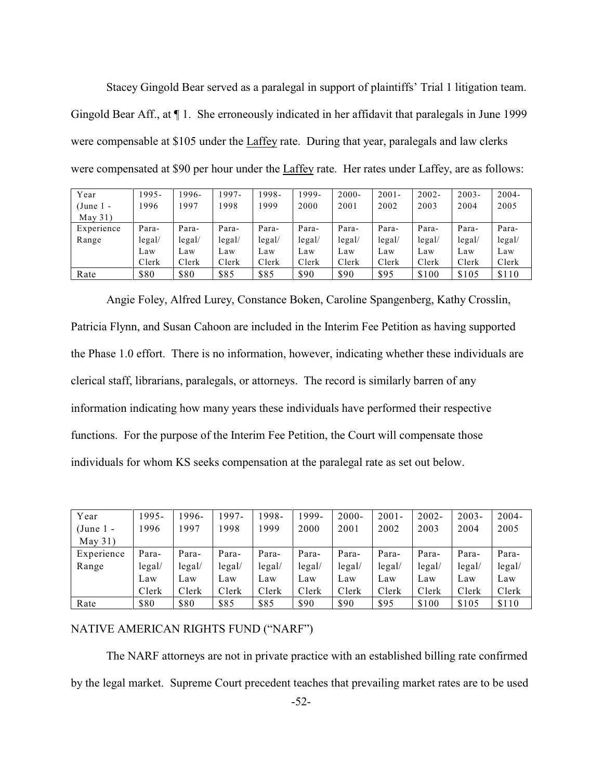Stacey Gingold Bear served as a paralegal in support of plaintiffs' Trial 1 litigation team. Gingold Bear Aff., at ¶ 1. She erroneously indicated in her affidavit that paralegals in June 1999 were compensable at \$105 under the Laffey rate. During that year, paralegals and law clerks were compensated at \$90 per hour under the Laffey rate. Her rates under Laffey, are as follows:

| Year       | 1995-  | 1996-  | 1997-  | 1998-  | 1999-  | $2000 -$ | $2001 -$ | $2002 -$ | $2003 -$               | $2004 -$ |
|------------|--------|--------|--------|--------|--------|----------|----------|----------|------------------------|----------|
| (June 1 -  | 1996   | 1997   | 1998   | 1999   | 2000   | 2001     | 2002     | 2003     | 2004                   | 2005     |
| May 31)    |        |        |        |        |        |          |          |          |                        |          |
| Experience | Para-  | Para-  | Para-  | Para-  | Para-  | Para-    | Para-    | Para-    | Para-                  | Para-    |
| Range      | legal/ | legal/ | legal/ | legal/ | legal/ | legal/   | legal/   | legal/   | $\text{legal}/\text{}$ | legal/   |
|            | Law    | Law    | Law    | Law    | Law    | Law      | Law      | Law      | Law                    | Law      |
|            | Clerk  | Clerk  | Clerk  | Clerk  | Clerk  | Clerk    | Clerk    | Clerk    | Clerk                  | Clerk    |
| Rate       | \$80   | \$80   | \$85   | \$85   | \$90   | \$90     | \$95     | \$100    | \$105                  | \$110    |

Angie Foley, Alfred Lurey, Constance Boken, Caroline Spangenberg, Kathy Crosslin, Patricia Flynn, and Susan Cahoon are included in the Interim Fee Petition as having supported the Phase 1.0 effort. There is no information, however, indicating whether these individuals are clerical staff, librarians, paralegals, or attorneys. The record is similarly barren of any information indicating how many years these individuals have performed their respective functions. For the purpose of the Interim Fee Petition, the Court will compensate those individuals for whom KS seeks compensation at the paralegal rate as set out below.

| Year        | 1995-                  | 1996-  | $997 -$ | 1998-                   | 1999-                   | 2000-                   | $2001 -$               | $2002 -$ | $2003 -$                | $2004 -$ |
|-------------|------------------------|--------|---------|-------------------------|-------------------------|-------------------------|------------------------|----------|-------------------------|----------|
| $(June 1 -$ | 1996                   | 1997   | 1998    | 1999                    | 2000                    | 2001                    | 2002                   | 2003     | 2004                    | 2005     |
| May 31)     |                        |        |         |                         |                         |                         |                        |          |                         |          |
| Experience  | Para-                  | Para-  | Para-   | Para-                   | Para-                   | Para-                   | Para-                  | Para-    | Para-                   | Para-    |
| Range       | $\text{legal}/\text{}$ | legal/ | legal/  | $\text{legal}/\text{[}$ | $\text{legal}/\text{[}$ | $\text{legal}/\text{[}$ | $\text{legal}/\text{}$ | legal/   | $\text{legal}/\text{[}$ | legal/   |
|             | Law                    | Law    | Law     | Law                     | Law                     | Law                     | Law                    | Law      | Law                     | Law      |
|             | Clerk                  | Clerk  | Clerk   | Clerk                   | Clerk                   | Clerk                   | Clerk                  | Clerk    | Clerk                   | Clerk    |
| Rate        | \$80                   | \$80   | \$85    | \$85                    | \$90                    | \$90                    | \$95                   | \$100    | \$105                   | \$110    |

### NATIVE AMERICAN RIGHTS FUND ("NARF")

The NARF attorneys are not in private practice with an established billing rate confirmed by the legal market. Supreme Court precedent teaches that prevailing market rates are to be used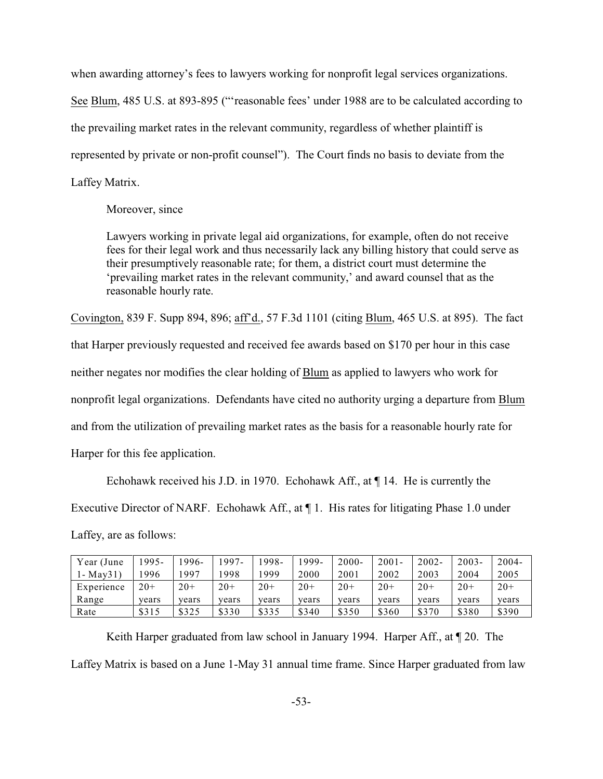when awarding attorney's fees to lawyers working for nonprofit legal services organizations.

See Blum, 485 U.S. at 893-895 ("'reasonable fees' under 1988 are to be calculated according to the prevailing market rates in the relevant community, regardless of whether plaintiff is represented by private or non-profit counsel"). The Court finds no basis to deviate from the Laffey Matrix.

### Moreover, since

Lawyers working in private legal aid organizations, for example, often do not receive fees for their legal work and thus necessarily lack any billing history that could serve as their presumptively reasonable rate; for them, a district court must determine the 'prevailing market rates in the relevant community,' and award counsel that as the reasonable hourly rate.

Covington, 839 F. Supp 894, 896; aff'd., 57 F.3d 1101 (citing Blum, 465 U.S. at 895). The fact that Harper previously requested and received fee awards based on \$170 per hour in this case neither negates nor modifies the clear holding of Blum as applied to lawyers who work for nonprofit legal organizations. Defendants have cited no authority urging a departure from Blum and from the utilization of prevailing market rates as the basis for a reasonable hourly rate for Harper for this fee application.

Echohawk received his J.D. in 1970. Echohawk Aff., at ¶ 14. He is currently the Executive Director of NARF. Echohawk Aff., at ¶ 1. His rates for litigating Phase 1.0 under Laffey, are as follows:

| Year (June         | 995-  | 1996- | $'997-$ | 1998- | 1999- | $2000 -$ | $2001 -$ | $2002 -$ | $2003 -$ | $2004 -$ |
|--------------------|-------|-------|---------|-------|-------|----------|----------|----------|----------|----------|
| $1 - \text{Mav31}$ | 996   | 1997  | .998    | 999   | 2000  | 2001     | 2002     | 2003     | 2004     | 2005     |
| Experience         | $20+$ | $20+$ | $20+$   | $20+$ | $20+$ | $20+$    | $20+$    | $20+$    | $20+$    | $20+$    |
| Range              | vears | vears | years   | vears | vears | vears    | vears    | vears    | vears    | years    |
| Rate               | \$315 | \$325 | \$330   | \$335 | \$340 | \$350    | \$360    | \$370    | \$380    | \$390    |

Keith Harper graduated from law school in January 1994. Harper Aff., at  $\P$  20. The Laffey Matrix is based on a June 1-May 31 annual time frame. Since Harper graduated from law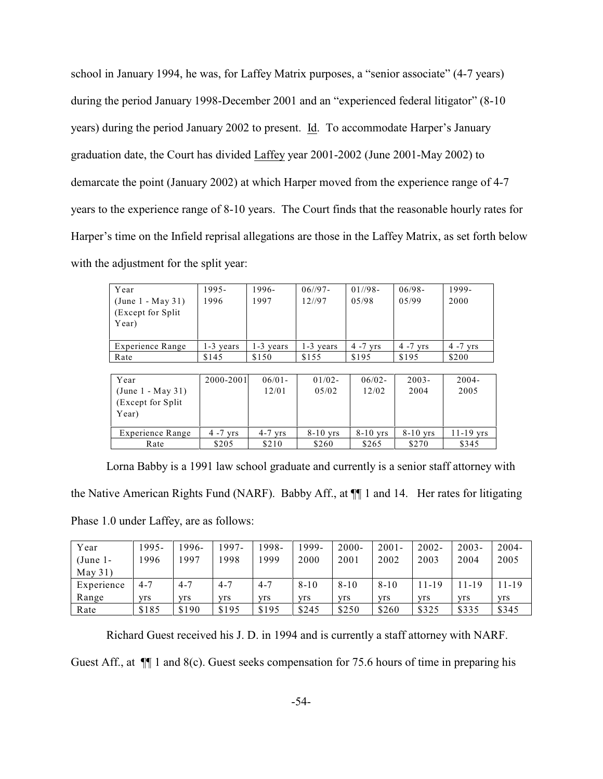school in January 1994, he was, for Laffey Matrix purposes, a "senior associate" (4-7 years) during the period January 1998-December 2001 and an "experienced federal litigator" (8-10 years) during the period January 2002 to present. Id. To accommodate Harper's January graduation date, the Court has divided Laffey year 2001-2002 (June 2001-May 2002) to demarcate the point (January 2002) at which Harper moved from the experience range of 4-7 years to the experience range of 8-10 years. The Court finds that the reasonable hourly rates for Harper's time on the Infield reprisal allegations are those in the Laffey Matrix, as set forth below with the adjustment for the split year:

| Year<br>$(June 1 - May 31)$<br>(Except for Split)<br>Year) | 1995-<br>1996 | 1996-<br>1997 | $06^{1/97}$<br>12//97 | $01//98-$<br>0.5/98 | $06/98 -$<br>0.5/99 | 1999-<br>2000 |
|------------------------------------------------------------|---------------|---------------|-----------------------|---------------------|---------------------|---------------|
| Experience Range                                           | 1-3 years     | $1-3$ years   | $1-3$ years           | $4 - 7$ yrs         | $4 - 7$ yrs         | $4 - 7$ yrs   |
| Rate                                                       | \$145         | \$150         | \$155                 | \$195               | \$195               | \$200         |

| Year               | 2000-2001   | $06/01 -$ | $01/02 -$  | $06/02 -$  | $2003 -$   | $2004 -$    |
|--------------------|-------------|-----------|------------|------------|------------|-------------|
| (June 1 - May 31)  |             | 12/01     | 05/02      | 12/02      | 2004       | 2005        |
| (Except for Split) |             |           |            |            |            |             |
| Year)              |             |           |            |            |            |             |
|                    |             |           |            |            |            |             |
| Experience Range   | $4 - 7$ yrs | $4-7$ yrs | $8-10$ yrs | $8-10$ yrs | $8-10$ yrs | $11-19$ yrs |
| Rate               | \$205       | \$210     | \$260      | \$265      | \$270      | \$345       |

Lorna Babby is a 1991 law school graduate and currently is a senior staff attorney with the Native American Rights Fund (NARF). Babby Aff., at ¶¶ 1 and 14. Her rates for litigating Phase 1.0 under Laffey, are as follows:

| Year        | 1995-   | 1996-   | 1997-   | 1998-   | 999-     | $2000 -$ | $2001 -$   | $2002 -$ | $2003 -$ | $2004 -$ |
|-------------|---------|---------|---------|---------|----------|----------|------------|----------|----------|----------|
| $(June 1 -$ | 1996    | 1997    | 1998    | 1999    | 2000     | 2001     | 2002       | 2003     | 2004     | 2005     |
| May 31)     |         |         |         |         |          |          |            |          |          |          |
| Experience  | $4 - 7$ | $4 - 7$ | $4 - 7$ | $4 - 7$ | $8 - 10$ | $8 - 10$ | $8 - 10$   | 11-19    | 11-19    | 11-19    |
| Range       | yrs     | yrs     | yrs     | yrs     | yrs      | yrs      | <b>yrs</b> | yrs      | yrs      | yrs      |
| Rate        | \$185   | \$190   | \$195   | \$195   | \$245    | \$250    | \$260      | \$325    | \$335    | \$345    |

Richard Guest received his J. D. in 1994 and is currently a staff attorney with NARF.

Guest Aff., at  $\P$  1 and 8(c). Guest seeks compensation for 75.6 hours of time in preparing his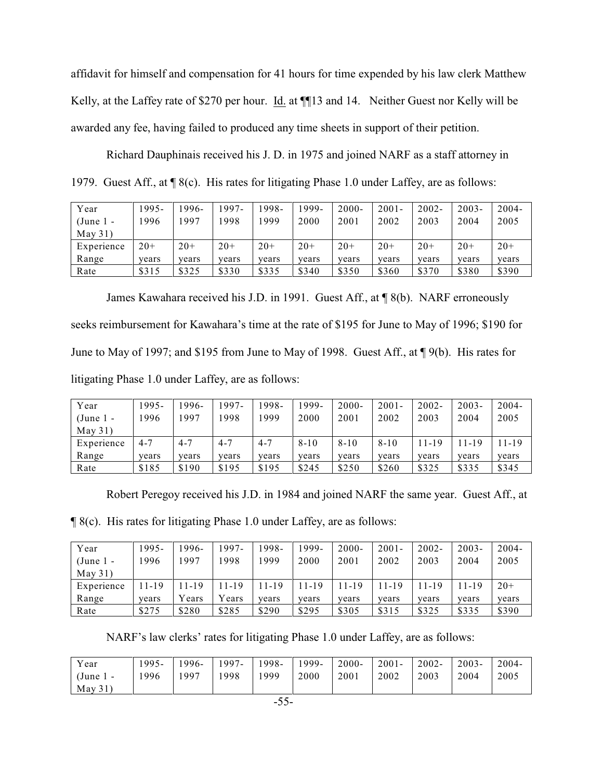affidavit for himself and compensation for 41 hours for time expended by his law clerk Matthew Kelly, at the Laffey rate of \$270 per hour. Id. at ¶[13 and 14. Neither Guest nor Kelly will be awarded any fee, having failed to produced any time sheets in support of their petition.

Richard Dauphinais received his J. D. in 1975 and joined NARF as a staff attorney in 1979. Guest Aff., at ¶ 8(c). His rates for litigating Phase 1.0 under Laffey, are as follows:

| Year       | 1995- | 1996- | 1997- | '998- | 1999- | $2000 -$ | $2001 -$ | $2002 -$ | $2003 -$ | $2004 -$ |
|------------|-------|-------|-------|-------|-------|----------|----------|----------|----------|----------|
| $(June1 -$ | 1996  | 1997  | 1998  | 999   | 2000  | 2001     | 2002     | 2003     | 2004     | 2005     |
| May 31)    |       |       |       |       |       |          |          |          |          |          |
| Experience | $20+$ | $20+$ | $20+$ | $20+$ | $20+$ | $20+$    | $20+$    | $20+$    | $20+$    | $20+$    |
| Range      | years | years | years | vears | years | years    | years    | vears    | years    | years    |
| Rate       | \$315 | \$325 | \$330 | \$335 | \$340 | \$350    | \$360    | \$370    | \$380    | \$390    |

James Kawahara received his J.D. in 1991. Guest Aff., at ¶ 8(b). NARF erroneously seeks reimbursement for Kawahara's time at the rate of \$195 for June to May of 1996; \$190 for June to May of 1997; and \$195 from June to May of 1998. Guest Aff., at ¶ 9(b). His rates for litigating Phase 1.0 under Laffey, are as follows:

| Year       | 1995-   | 1996-   | 1997-   | '998-   | 1999-    | $2000 -$ | $2001 -$ | $2002 -$ | $2003 -$ | $2004 -$ |
|------------|---------|---------|---------|---------|----------|----------|----------|----------|----------|----------|
| $(June1 -$ | 1996    | 1997    | 1998    | 1999    | 2000     | 2001     | 2002     | 2003     | 2004     | 2005     |
| May 31)    |         |         |         |         |          |          |          |          |          |          |
| Experience | $4 - 7$ | $4 - 7$ | $4 - 7$ | $4 - 7$ | $8 - 10$ | $8 - 10$ | $8 - 10$ | 11-19    | 11-19    | 11-19    |
| Range      | years   | years   | years   | years   | years    | years    | years    | vears    | years    | years    |
| Rate       | \$185   | \$190   | \$195   | \$195   | \$245    | \$250    | \$260    | \$325    | \$335    | \$345    |

Robert Peregoy received his J.D. in 1984 and joined NARF the same year. Guest Aff., at

¶ 8(c). His rates for litigating Phase 1.0 under Laffey, are as follows:

| Year        | 1995- | 1996-  | 1997-    | 1998- | 1999- | $2000 -$ | $2001 -$ | $2002 -$ | $2003 -$ | $2004 -$ |
|-------------|-------|--------|----------|-------|-------|----------|----------|----------|----------|----------|
| $(June 1 -$ | 1996  | 1997   | 1998     | 1999  | 2000  | 2001     | 2002     | 2003     | 2004     | 2005     |
| May 31)     |       |        |          |       |       |          |          |          |          |          |
| Experience  | 11-19 | 11-19  | $1 - 19$ | 11-19 | 11-19 | 11-19    | $1 - 19$ | 1 - 1 9  | 11-19    | $20+$    |
| Range       | vears | Y ears | Years    | years | vears | vears    | years    | vears    | years    | years    |
| Rate        | \$275 | \$280  | \$285    | \$290 | \$295 | \$305    | \$315    | \$325    | \$335    | \$390    |

NARF's law clerks' rates for litigating Phase 1.0 under Laffey, are as follows:

| Year        | 1995- | $1996-$ | 1997- | 1998- | 1999- | $2000 -$ | $2001 -$ | $2002 -$ | $2003 -$ | $2004 -$ |
|-------------|-------|---------|-------|-------|-------|----------|----------|----------|----------|----------|
| $(June 1 -$ | 1996  | 1997    | 1998  | 1999  | 2000  | 2001     | 2002     | 2003     | 2004     | 2005     |
| May 31)     |       |         |       |       |       |          |          |          |          |          |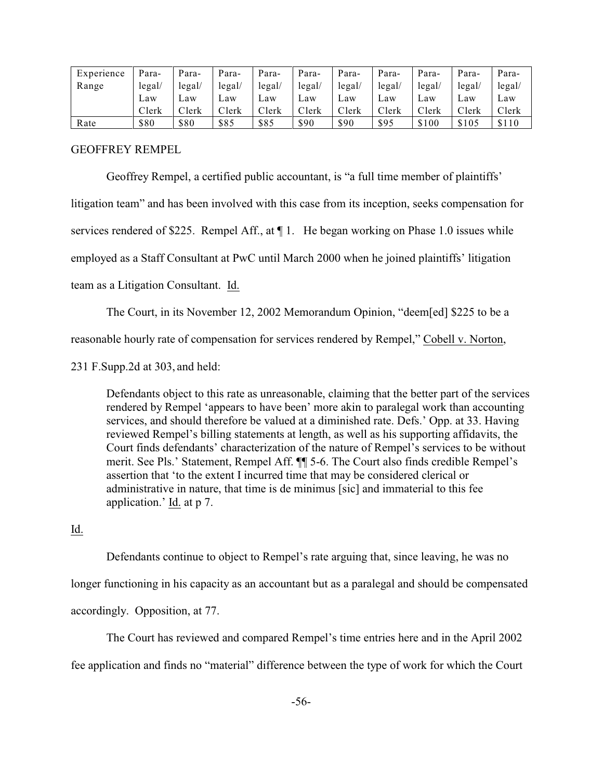| Experience | Para-  | Para-             | Para-       | Para-  | Para-  | Para-  | Para-  | Para-  | Para-  | Para-  |
|------------|--------|-------------------|-------------|--------|--------|--------|--------|--------|--------|--------|
| Range      | legal/ | legal/            | legal/      | legal/ | legal/ | legal/ | legal/ | legal/ | legal/ | legal/ |
|            | Law    | Law               | Law         | Law    | Law    | Law    | Law    | Law    | Law    | Law    |
|            | Clerk  | $\mathbb{C}$ lerk | $\cap$ lerk | Clerk  | Clerk  | Clerk  | Clerk  | Clerk  | Clerk  | Clerk  |
| Rate       | \$80   | \$80              | \$85        | \$85   | \$90   | \$90   | \$95   | \$100  | \$105  | \$110  |

GEOFFREY REMPEL

Geoffrey Rempel, a certified public accountant, is "a full time member of plaintiffs'

litigation team" and has been involved with this case from its inception, seeks compensation for

services rendered of \$225. Rempel Aff., at  $\P$ 1. He began working on Phase 1.0 issues while

employed as a Staff Consultant at PwC until March 2000 when he joined plaintiffs' litigation

team as a Litigation Consultant. Id.

The Court, in its November 12, 2002 Memorandum Opinion, "deem[ed] \$225 to be a

reasonable hourly rate of compensation for services rendered by Rempel," Cobell v. Norton,

231 F.Supp.2d at 303, and held:

Defendants object to this rate as unreasonable, claiming that the better part of the services rendered by Rempel 'appears to have been' more akin to paralegal work than accounting services, and should therefore be valued at a diminished rate. Defs.' Opp. at 33. Having reviewed Rempel's billing statements at length, as well as his supporting affidavits, the Court finds defendants' characterization of the nature of Rempel's services to be without merit. See Pls.' Statement, Rempel Aff. ¶¶ 5-6. The Court also finds credible Rempel's assertion that 'to the extent I incurred time that may be considered clerical or administrative in nature, that time is de minimus [sic] and immaterial to this fee application.' Id. at p 7.

Id.

Defendants continue to object to Rempel's rate arguing that, since leaving, he was no longer functioning in his capacity as an accountant but as a paralegal and should be compensated accordingly. Opposition, at 77.

The Court has reviewed and compared Rempel's time entries here and in the April 2002 fee application and finds no "material" difference between the type of work for which the Court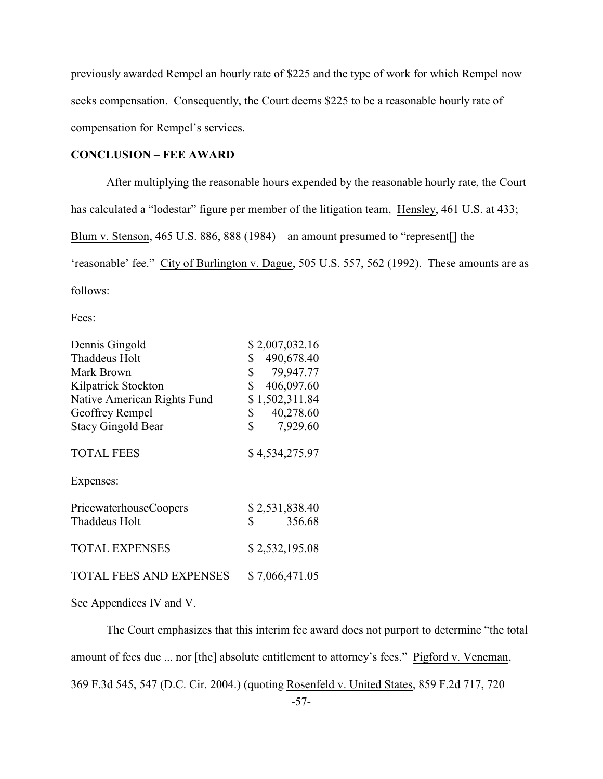previously awarded Rempel an hourly rate of \$225 and the type of work for which Rempel now seeks compensation. Consequently, the Court deems \$225 to be a reasonable hourly rate of compensation for Rempel's services.

#### **CONCLUSION – FEE AWARD**

After multiplying the reasonable hours expended by the reasonable hourly rate, the Court has calculated a "lodestar" figure per member of the litigation team, Hensley, 461 U.S. at 433; Blum v. Stenson, 465 U.S. 886, 888 (1984) – an amount presumed to "represent[] the 'reasonable' fee." City of Burlington v. Dague, 505 U.S. 557, 562 (1992). These amounts are as follows:

Fees:

| Dennis Gingold                 | \$2,007,032.16             |
|--------------------------------|----------------------------|
| Thaddeus Holt                  | 490,678.40<br>\$           |
| Mark Brown                     | 79,947.77<br>\$            |
| Kilpatrick Stockton            | 406,097.60<br>\$           |
| Native American Rights Fund    | \$1,502,311.84             |
| Geoffrey Rempel                | 40,278.60<br>\$            |
| <b>Stacy Gingold Bear</b>      | $\mathbb{S}^-$<br>7,929.60 |
| <b>TOTAL FEES</b>              | \$4,534,275.97             |
| Expenses:                      |                            |
| PricewaterhouseCoopers         | \$2,531,838.40             |
| Thaddeus Holt                  | 356.68<br>\$               |
| <b>TOTAL EXPENSES</b>          | \$2,532,195.08             |
| <b>TOTAL FEES AND EXPENSES</b> | \$7,066,471.05             |

See Appendices IV and V.

The Court emphasizes that this interim fee award does not purport to determine "the total amount of fees due ... nor [the] absolute entitlement to attorney's fees." Pigford v. Veneman, 369 F.3d 545, 547 (D.C. Cir. 2004.) (quoting Rosenfeld v. United States, 859 F.2d 717, 720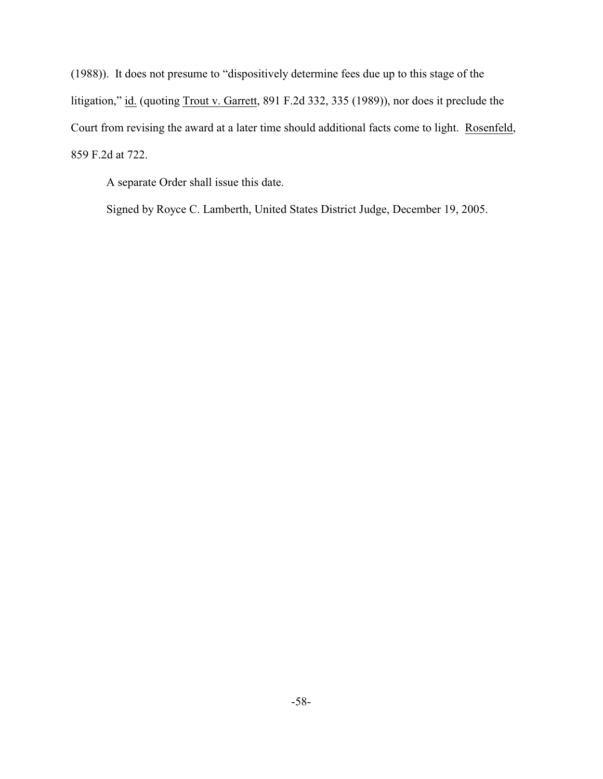(1988)). It does not presume to "dispositively determine fees due up to this stage of the litigation," id. (quoting Trout v. Garrett, 891 F.2d 332, 335 (1989)), nor does it preclude the Court from revising the award at a later time should additional facts come to light. Rosenfeld, 859 F.2d at 722.

A separate Order shall issue this date.

Signed by Royce C. Lamberth, United States District Judge, December 19, 2005.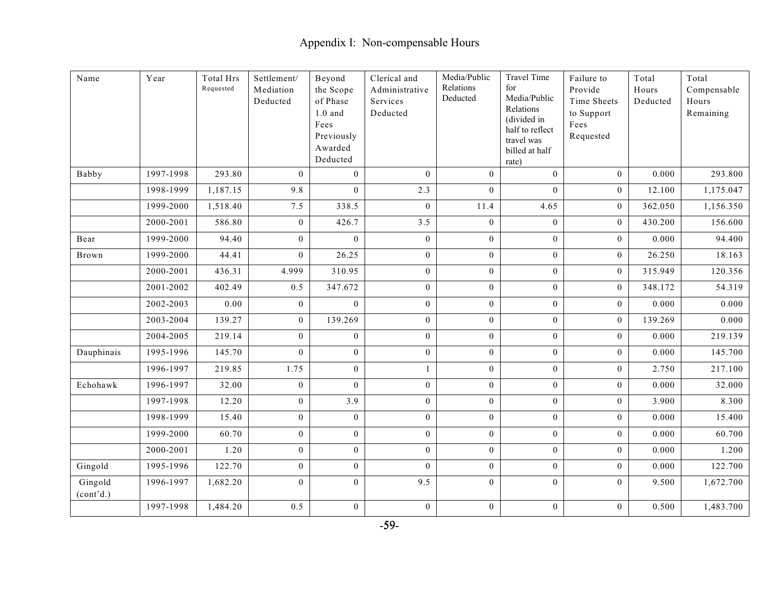| Name                 | Year      | <b>Total Hrs</b><br>Requested | Settlement/<br>Mediation<br>Deducted | Beyond<br>the Scope<br>of Phase<br>$1.0$ and<br>Fees<br>Previously<br>Awarded<br>Deducted | Clerical and<br>Administrative<br>Services<br>Deducted | Media/Public<br>Relations<br>Deducted | <b>Travel Time</b><br>for<br>Media/Public<br>Relations<br>(divided in<br>half to reflect<br>travel was<br>billed at half<br>rate) | Failure to<br>Provide<br>Time Sheets<br>to Support<br>Fees<br>Requested | Total<br>Hours<br>Deducted | Total<br>Compensable<br>Hours<br>Remaining |
|----------------------|-----------|-------------------------------|--------------------------------------|-------------------------------------------------------------------------------------------|--------------------------------------------------------|---------------------------------------|-----------------------------------------------------------------------------------------------------------------------------------|-------------------------------------------------------------------------|----------------------------|--------------------------------------------|
| Babby                | 1997-1998 | 293.80                        | $\theta$                             | $\theta$                                                                                  | $\theta$                                               | $\boldsymbol{0}$                      | $\overline{0}$                                                                                                                    | $\theta$                                                                | 0.000                      | 293.800                                    |
|                      | 1998-1999 | 1,187.15                      | 9.8                                  | $\mathbf{0}$                                                                              | 2.3                                                    | $\boldsymbol{0}$                      | $\boldsymbol{0}$                                                                                                                  | $\mathbf{0}$                                                            | 12.100                     | 1,175.047                                  |
|                      | 1999-2000 | 1,518.40                      | 7.5                                  | 338.5                                                                                     | $\overline{0}$                                         | 11.4                                  | 4.65                                                                                                                              | $\mathbf{0}$                                                            | 362.050                    | 1,156.350                                  |
|                      | 2000-2001 | 586.80                        | $\mathbf{0}$                         | 426.7                                                                                     | 3.5                                                    | $\overline{0}$                        | $\overline{0}$                                                                                                                    | $\overline{0}$                                                          | 430.200                    | 156.600                                    |
| Bear                 | 1999-2000 | 94.40                         | $\boldsymbol{0}$                     | $\bf{0}$                                                                                  | $\boldsymbol{0}$                                       | $\boldsymbol{0}$                      | $\boldsymbol{0}$                                                                                                                  | $\mathbf{0}$                                                            | 0.000                      | 94.400                                     |
| Brown                | 1999-2000 | 44.41                         | $\mathbf{0}$                         | 26.25                                                                                     | $\overline{0}$                                         | $\mathbf{0}$                          | $\boldsymbol{0}$                                                                                                                  | $\mathbf{0}$                                                            | 26.250                     | 18.163                                     |
|                      | 2000-2001 | 436.31                        | 4.999                                | 310.95                                                                                    | $\overline{0}$                                         | $\boldsymbol{0}$                      | $\overline{0}$                                                                                                                    | $\overline{0}$                                                          | 315.949                    | 120.356                                    |
|                      | 2001-2002 | 402.49                        | 0.5                                  | 347.672                                                                                   | $\overline{0}$                                         | $\overline{0}$                        | $\overline{0}$                                                                                                                    | $\overline{0}$                                                          | 348.172                    | 54.319                                     |
|                      | 2002-2003 | 0.00                          | $\overline{0}$                       | $\theta$                                                                                  | $\boldsymbol{0}$                                       | $\boldsymbol{0}$                      | $\mathbf{0}$                                                                                                                      | $\overline{0}$                                                          | 0.000                      | 0.000                                      |
|                      | 2003-2004 | 139.27                        | $\mathbf{0}$                         | 139.269                                                                                   | $\overline{0}$                                         | $\boldsymbol{0}$                      | $\boldsymbol{0}$                                                                                                                  | $\mathbf{0}$                                                            | 139.269                    | 0.000                                      |
|                      | 2004-2005 | 219.14                        | $\mathbf{0}$                         | $\mathbf{0}$                                                                              | $\mathbf{0}$                                           | $\boldsymbol{0}$                      | $\overline{0}$                                                                                                                    | $\overline{0}$                                                          | 0.000                      | 219.139                                    |
| Dauphinais           | 1995-1996 | 145.70                        | $\mathbf{0}$                         | $\overline{0}$                                                                            | $\boldsymbol{0}$                                       | $\mathbf{0}$                          | $\boldsymbol{0}$                                                                                                                  | $\mathbf{0}$                                                            | 0.000                      | 145.700                                    |
|                      | 1996-1997 | 219.85                        | 1.75                                 | $\mathbf{0}$                                                                              | $\mathbf{1}$                                           | $\boldsymbol{0}$                      | $\boldsymbol{0}$                                                                                                                  | $\mathbf{0}$                                                            | 2.750                      | 217.100                                    |
| Echohawk             | 1996-1997 | 32.00                         | $\mathbf{0}$                         | $\Omega$                                                                                  | $\overline{0}$                                         | $\overline{0}$                        | $\overline{0}$                                                                                                                    | $\mathbf{0}$                                                            | 0.000                      | 32.000                                     |
|                      | 1997-1998 | 12.20                         | $\boldsymbol{0}$                     | 3.9                                                                                       | $\overline{0}$                                         | $\boldsymbol{0}$                      | $\boldsymbol{0}$                                                                                                                  | $\boldsymbol{0}$                                                        | 3.900                      | 8.300                                      |
|                      | 1998-1999 | 15.40                         | $\mathbf{0}$                         | $\bf{0}$                                                                                  | $\boldsymbol{0}$                                       | $\mathbf{0}$                          | $\boldsymbol{0}$                                                                                                                  | $\mathbf{0}$                                                            | 0.000                      | 15.400                                     |
|                      | 1999-2000 | 60.70                         | $\mathbf{0}$                         | $\mathbf{0}$                                                                              | $\overline{0}$                                         | $\mathbf{0}$                          | $\overline{0}$                                                                                                                    | $\overline{0}$                                                          | 0.000                      | 60.700                                     |
|                      | 2000-2001 | 1.20                          | $\mathbf{0}$                         | $\mathbf{0}$                                                                              | $\overline{0}$                                         | $\boldsymbol{0}$                      | $\overline{0}$                                                                                                                    | $\overline{0}$                                                          | 0.000                      | 1.200                                      |
| Gingold              | 1995-1996 | 122.70                        | $\mathbf{0}$                         | $\mathbf{0}$                                                                              | $\overline{0}$                                         | $\boldsymbol{0}$                      | $\mathbf{0}$                                                                                                                      | $\mathbf{0}$                                                            | 0.000                      | 122.700                                    |
| Gingold<br>(cont'd.) | 1996-1997 | 1,682.20                      | $\mathbf{0}$                         | $\mathbf{0}$                                                                              | 9.5                                                    | $\boldsymbol{0}$                      | $\overline{0}$                                                                                                                    | $\overline{0}$                                                          | 9.500                      | 1,672.700                                  |
|                      | 1997-1998 | 1,484.20                      | 0.5                                  | $\mathbf{0}$                                                                              | $\boldsymbol{0}$                                       | $\boldsymbol{0}$                      | $\mathbf{0}$                                                                                                                      | $\mathbf{0}$                                                            | 0.500                      | 1,483.700                                  |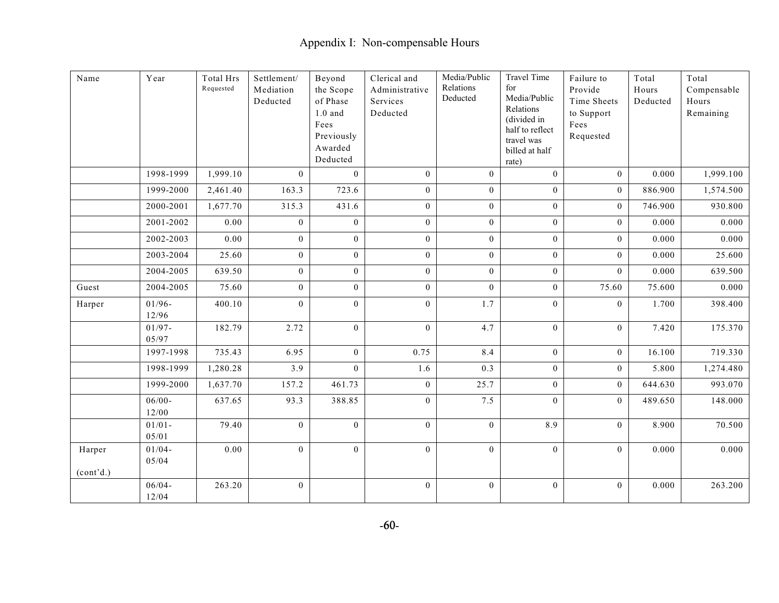| $\rm Name$          | Year               | Total Hrs<br>Requested | Settlement/<br>Mediation<br>Deducted | Beyond<br>the Scope<br>of Phase<br>$1.0$ and<br>Fees<br>Previously<br>Awarded<br>Deducted | Clerical and<br>Administrative<br>Services<br>Deducted | Media/Public<br>Relations<br>Deducted | <b>Travel Time</b><br>for<br>Media/Public<br>Relations<br>(divided in<br>half to reflect<br>travel was<br>billed at half<br>rate) | Failure to<br>Provide<br>Time Sheets<br>to Support<br>Fees<br>Requested | Total<br>Hours<br>Deducted | Total<br>Compensable<br>Hours<br>Remaining |
|---------------------|--------------------|------------------------|--------------------------------------|-------------------------------------------------------------------------------------------|--------------------------------------------------------|---------------------------------------|-----------------------------------------------------------------------------------------------------------------------------------|-------------------------------------------------------------------------|----------------------------|--------------------------------------------|
|                     | 1998-1999          | 1,999.10               | $\mathbf{0}$                         | $\theta$                                                                                  | $\overline{0}$                                         | $\mathbf{0}$                          | $\overline{0}$                                                                                                                    | $\overline{0}$                                                          | 0.000                      | 1,999.100                                  |
|                     | 1999-2000          | 2,461.40               | 163.3                                | 723.6                                                                                     | $\overline{0}$                                         | $\boldsymbol{0}$                      | $\overline{0}$                                                                                                                    | $\overline{0}$                                                          | 886.900                    | 1,574.500                                  |
|                     | 2000-2001          | 1,677.70               | 315.3                                | 431.6                                                                                     | $\overline{0}$                                         | $\boldsymbol{0}$                      | $\boldsymbol{0}$                                                                                                                  | $\mathbf{0}$                                                            | 746.900                    | 930.800                                    |
|                     | 2001-2002          | 0.00                   | $\boldsymbol{0}$                     | $\mathbf{0}$                                                                              | $\boldsymbol{0}$                                       | $\boldsymbol{0}$                      | $\boldsymbol{0}$                                                                                                                  | $\overline{0}$                                                          | 0.000                      | 0.000                                      |
|                     | 2002-2003          | 0.00                   | $\mathbf{0}$                         | $\bf{0}$                                                                                  | $\boldsymbol{0}$                                       | $\boldsymbol{0}$                      | $\mathbf{0}$                                                                                                                      | $\mathbf{0}$                                                            | 0.000                      | 0.000                                      |
|                     | 2003-2004          | 25.60                  | $\mathbf{0}$                         | $\mathbf{0}$                                                                              | $\mathbf{0}$                                           | $\boldsymbol{0}$                      | $\overline{0}$                                                                                                                    | $\overline{0}$                                                          | 0.000                      | 25.600                                     |
|                     | 2004-2005          | 639.50                 | $\mathbf{0}$                         | $\theta$                                                                                  | $\overline{0}$                                         | $\mathbf{0}$                          | $\overline{0}$                                                                                                                    | $\theta$                                                                | 0.000                      | 639.500                                    |
| Guest               | 2004-2005          | 75.60                  | $\mathbf{0}$                         | $\mathbf{0}$                                                                              | $\overline{0}$                                         | $\overline{0}$                        | $\overline{0}$                                                                                                                    | 75.60                                                                   | 75.600                     | 0.000                                      |
| Harper              | $01/96 -$<br>12/96 | 400.10                 | $\theta$                             | $\mathbf{0}$                                                                              | $\mathbf{0}$                                           | 1.7                                   | $\overline{0}$                                                                                                                    | $\mathbf{0}$                                                            | 1.700                      | 398.400                                    |
|                     | $01/97 -$<br>05/97 | 182.79                 | 2.72                                 | $\theta$                                                                                  | $\mathbf{0}$                                           | 4.7                                   | $\overline{0}$                                                                                                                    | $\overline{0}$                                                          | 7.420                      | 175.370                                    |
|                     | 1997-1998          | 735.43                 | 6.95                                 | $\mathbf{0}$                                                                              | 0.75                                                   | 8.4                                   | $\boldsymbol{0}$                                                                                                                  | $\mathbf{0}$                                                            | 16.100                     | 719.330                                    |
|                     | 1998-1999          | 1,280.28               | 3.9                                  | $\mathbf{0}$                                                                              | 1.6                                                    | 0.3                                   | $\boldsymbol{0}$                                                                                                                  | $\mathbf{0}$                                                            | 5.800                      | 1,274.480                                  |
|                     | 1999-2000          | 1,637.70               | 157.2                                | 461.73                                                                                    | $\overline{0}$                                         | 25.7                                  | $\overline{0}$                                                                                                                    | $\overline{0}$                                                          | 644.630                    | 993.070                                    |
|                     | $06/00 -$<br>12/00 | 637.65                 | 93.3                                 | 388.85                                                                                    | $\mathbf{0}$                                           | 7.5                                   | $\Omega$                                                                                                                          | $\mathbf{0}$                                                            | 489.650                    | 148.000                                    |
|                     | $01/01 -$<br>05/01 | 79.40                  | $\overline{0}$                       | $\overline{0}$                                                                            | $\mathbf{0}$                                           | $\mathbf{0}$                          | 8.9                                                                                                                               | $\mathbf{0}$                                                            | 8.900                      | 70.500                                     |
| Harper<br>(cont'd.) | $01/04 -$<br>05/04 | 0.00                   | $\boldsymbol{0}$                     | $\mathbf{0}$                                                                              | $\mathbf{0}$                                           | $\boldsymbol{0}$                      | $\mathbf{0}$                                                                                                                      | $\overline{0}$                                                          | 0.000                      | 0.000                                      |
|                     | $06/04 -$<br>12/04 | 263.20                 | $\boldsymbol{0}$                     |                                                                                           | $\mathbf{0}$                                           | $\boldsymbol{0}$                      | $\boldsymbol{0}$                                                                                                                  | $\overline{0}$                                                          | 0.000                      | 263.200                                    |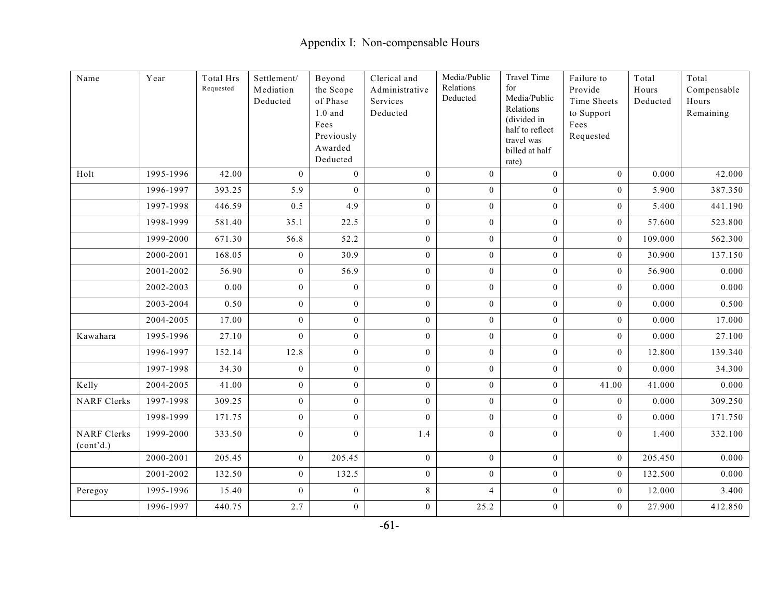| $\rm Name$                      | Year      | Total Hrs<br>Requested | Settlement/<br>Mediation<br>Deducted | Beyond<br>the Scope<br>of Phase<br>$1.0$ and<br>Fees<br>Previously<br>Awarded<br>Deducted | Clerical and<br>Administrative<br>Services<br>Deducted | Media/Public<br>Relations<br>Deducted | <b>Travel Time</b><br>for<br>Media/Public<br>Relations<br>(divided in<br>half to reflect<br>travel was<br>billed at half<br>rate) | Failure to<br>Provide<br>Time Sheets<br>to Support<br>Fees<br>Requested | Total<br>Hours<br>Deducted | Total<br>Compensable<br>Hours<br>Remaining |
|---------------------------------|-----------|------------------------|--------------------------------------|-------------------------------------------------------------------------------------------|--------------------------------------------------------|---------------------------------------|-----------------------------------------------------------------------------------------------------------------------------------|-------------------------------------------------------------------------|----------------------------|--------------------------------------------|
| Holt                            | 1995-1996 | 42.00                  | $\mathbf{0}$                         | $\mathbf{0}$                                                                              | $\overline{0}$                                         | $\overline{0}$                        | $\theta$                                                                                                                          | $\overline{0}$                                                          | 0.000                      | 42.000                                     |
|                                 | 1996-1997 | 393.25                 | 5.9                                  | $\boldsymbol{0}$                                                                          | $\boldsymbol{0}$                                       | $\boldsymbol{0}$                      | $\overline{0}$                                                                                                                    | $\mathbf{0}$                                                            | 5.900                      | 387.350                                    |
|                                 | 1997-1998 | 446.59                 | 0.5                                  | 4.9                                                                                       | $\boldsymbol{0}$                                       | $\boldsymbol{0}$                      | $\overline{0}$                                                                                                                    | $\overline{0}$                                                          | 5.400                      | 441.190                                    |
|                                 | 1998-1999 | 581.40                 | 35.1                                 | 22.5                                                                                      | $\boldsymbol{0}$                                       | $\boldsymbol{0}$                      | $\overline{0}$                                                                                                                    | $\overline{0}$                                                          | 57.600                     | 523.800                                    |
|                                 | 1999-2000 | 671.30                 | 56.8                                 | 52.2                                                                                      | $\overline{0}$                                         | $\boldsymbol{0}$                      | $\mathbf{0}$                                                                                                                      | $\overline{0}$                                                          | 109.000                    | 562.300                                    |
|                                 | 2000-2001 | 168.05                 | $\overline{0}$                       | 30.9                                                                                      | $\overline{0}$                                         | $\boldsymbol{0}$                      | $\overline{0}$                                                                                                                    | $\overline{0}$                                                          | 30.900                     | 137.150                                    |
|                                 | 2001-2002 | 56.90                  | $\boldsymbol{0}$                     | 56.9                                                                                      | $\boldsymbol{0}$                                       | $\boldsymbol{0}$                      | $\overline{0}$                                                                                                                    | $\mathbf{0}$                                                            | 56.900                     | 0.000                                      |
|                                 | 2002-2003 | 0.00                   | $\overline{0}$                       | $\overline{0}$                                                                            | $\mathbf{0}$                                           | $\boldsymbol{0}$                      | $\overline{0}$                                                                                                                    | $\overline{0}$                                                          | 0.000                      | 0.000                                      |
|                                 | 2003-2004 | 0.50                   | $\boldsymbol{0}$                     | $\mathbf{0}$                                                                              | $\boldsymbol{0}$                                       | $\boldsymbol{0}$                      | $\overline{0}$                                                                                                                    | $\overline{0}$                                                          | 0.000                      | 0.500                                      |
|                                 | 2004-2005 | 17.00                  | $\overline{0}$                       | $\mathbf{0}$                                                                              | $\mathbf{0}$                                           | $\boldsymbol{0}$                      | $\overline{0}$                                                                                                                    | $\mathbf{0}$                                                            | 0.000                      | 17.000                                     |
| Kawahara                        | 1995-1996 | 27.10                  | $\overline{0}$                       | $\overline{0}$                                                                            | $\overline{0}$                                         | $\mathbf{0}$                          | $\overline{0}$                                                                                                                    | $\overline{0}$                                                          | 0.000                      | 27.100                                     |
|                                 | 1996-1997 | 152.14                 | 12.8                                 | $\boldsymbol{0}$                                                                          | $\mathbf{0}$                                           | $\boldsymbol{0}$                      | $\mathbf{0}$                                                                                                                      | $\mathbf{0}$                                                            | 12.800                     | 139.340                                    |
|                                 | 1997-1998 | 34.30                  | $\mathbf{0}$                         | $\bf{0}$                                                                                  | $\boldsymbol{0}$                                       | $\boldsymbol{0}$                      | $\overline{0}$                                                                                                                    | $\overline{0}$                                                          | 0.000                      | 34.300                                     |
| Kelly                           | 2004-2005 | 41.00                  | $\overline{0}$                       | $\theta$                                                                                  | $\mathbf{0}$                                           | $\boldsymbol{0}$                      | $\theta$                                                                                                                          | 41.00                                                                   | 41.000                     | 0.000                                      |
| <b>NARF</b> Clerks              | 1997-1998 | 309.25                 | $\overline{0}$                       | $\mathbf{0}$                                                                              | $\overline{0}$                                         | $\mathbf{0}$                          | $\overline{0}$                                                                                                                    | $\overline{0}$                                                          | 0.000                      | 309.250                                    |
|                                 | 1998-1999 | 171.75                 | $\mathbf{0}$                         | $\mathbf{0}$                                                                              | $\mathbf{0}$                                           | $\boldsymbol{0}$                      | $\mathbf{0}$                                                                                                                      | $\overline{0}$                                                          | 0.000                      | 171.750                                    |
| <b>NARF</b> Clerks<br>(cont'd.) | 1999-2000 | 333.50                 | $\overline{0}$                       | $\theta$                                                                                  | 1.4                                                    | $\overline{0}$                        | $\overline{0}$                                                                                                                    | $\boldsymbol{0}$                                                        | 1.400                      | 332.100                                    |
|                                 | 2000-2001 | 205.45                 | $\overline{0}$                       | 205.45                                                                                    | $\overline{0}$                                         | $\boldsymbol{0}$                      | $\overline{0}$                                                                                                                    | $\overline{0}$                                                          | 205.450                    | 0.000                                      |
|                                 | 2001-2002 | 132.50                 | $\overline{0}$                       | 132.5                                                                                     | $\boldsymbol{0}$                                       | $\boldsymbol{0}$                      | $\overline{0}$                                                                                                                    | $\mathbf{0}$                                                            | 132.500                    | 0.000                                      |
| Peregoy                         | 1995-1996 | 15.40                  | $\mathbf{0}$                         | $\mathbf{0}$                                                                              | 8                                                      | $\overline{4}$                        | $\overline{0}$                                                                                                                    | $\overline{0}$                                                          | 12.000                     | 3.400                                      |
|                                 | 1996-1997 | 440.75                 | 2.7                                  | $\boldsymbol{0}$                                                                          | $\mathbf{0}$                                           | 25.2                                  | $\boldsymbol{0}$                                                                                                                  | $\mathbf{0}$                                                            | 27.900                     | 412.850                                    |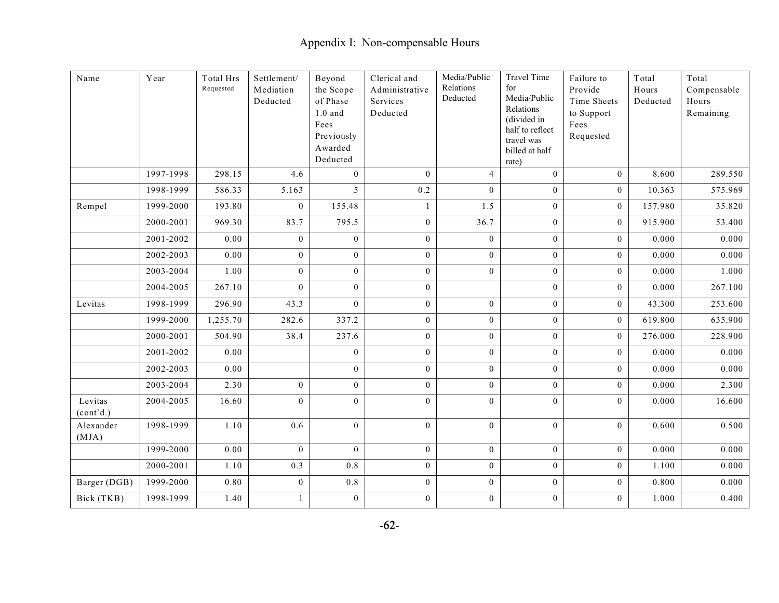| Name                 | Year      | Total Hrs<br>Requested | Settlement/<br>Mediation<br>Deducted | Beyond<br>the Scope<br>of Phase<br>$1.0$ and<br>Fees<br>Previously<br>Awarded<br>Deducted | Clerical and<br>Administrative<br>Services<br>Deducted | Media/Public<br>Relations<br>Deducted | <b>Travel Time</b><br>for<br>Media/Public<br>Relations<br>(divided in<br>half to reflect<br>travel was<br>billed at half<br>rate) | Failure to<br>Provide<br>Time Sheets<br>to Support<br>Fees<br>Requested | Total<br>Hours<br>Deducted | Total<br>Compensable<br>Hours<br>Remaining |
|----------------------|-----------|------------------------|--------------------------------------|-------------------------------------------------------------------------------------------|--------------------------------------------------------|---------------------------------------|-----------------------------------------------------------------------------------------------------------------------------------|-------------------------------------------------------------------------|----------------------------|--------------------------------------------|
|                      | 1997-1998 | 298.15                 | 4.6                                  | $\mathbf{0}$                                                                              | $\theta$                                               | $\overline{4}$                        | $\mathbf{0}$                                                                                                                      | $\overline{0}$                                                          | 8.600                      | 289.550                                    |
|                      | 1998-1999 | 586.33                 | 5.163                                | 5                                                                                         | 0.2                                                    | $\overline{0}$                        | $\overline{0}$                                                                                                                    | $\overline{0}$                                                          | 10.363                     | 575.969                                    |
| Rempel               | 1999-2000 | 193.80                 | $\boldsymbol{0}$                     | 155.48                                                                                    | 1                                                      | 1.5                                   | $\boldsymbol{0}$                                                                                                                  | $\mathbf{0}$                                                            | 157.980                    | 35.820                                     |
|                      | 2000-2001 | 969.30                 | 83.7                                 | 795.5                                                                                     | $\boldsymbol{0}$                                       | 36.7                                  | $\boldsymbol{0}$                                                                                                                  | $\overline{0}$                                                          | 915.900                    | 53.400                                     |
|                      | 2001-2002 | 0.00                   | $\mathbf{0}$                         | $\theta$                                                                                  | $\overline{0}$                                         | $\boldsymbol{0}$                      | $\overline{0}$                                                                                                                    | $\overline{0}$                                                          | 0.000                      | 0.000                                      |
|                      | 2002-2003 | 0.00                   | $\mathbf{0}$                         | $\mathbf{0}$                                                                              | $\boldsymbol{0}$                                       | $\boldsymbol{0}$                      | $\mathbf{0}$                                                                                                                      | $\mathbf{0}$                                                            | 0.000                      | 0.000                                      |
|                      | 2003-2004 | 1.00                   | $\mathbf{0}$                         | $\mathbf{0}$                                                                              | $\boldsymbol{0}$                                       | $\boldsymbol{0}$                      | $\overline{0}$                                                                                                                    | $\mathbf{0}$                                                            | 0.000                      | 1.000                                      |
|                      | 2004-2005 | 267.10                 | $\mathbf{0}$                         | $\theta$                                                                                  | $\overline{0}$                                         |                                       | $\overline{0}$                                                                                                                    | $\mathbf{0}$                                                            | 0.000                      | 267.100                                    |
| Levitas              | 1998-1999 | 296.90                 | 43.3                                 | $\bf{0}$                                                                                  | $\boldsymbol{0}$                                       | $\boldsymbol{0}$                      | $\boldsymbol{0}$                                                                                                                  | $\overline{0}$                                                          | 43.300                     | 253.600                                    |
|                      | 1999-2000 | 1,255.70               | 282.6                                | 337.2                                                                                     | $\overline{0}$                                         | $\overline{0}$                        | $\overline{0}$                                                                                                                    | $\mathbf{0}$                                                            | 619.800                    | 635.900                                    |
|                      | 2000-2001 | 504.90                 | 38.4                                 | 237.6                                                                                     | $\overline{0}$                                         | $\boldsymbol{0}$                      | $\overline{0}$                                                                                                                    | $\overline{0}$                                                          | 276.000                    | 228.900                                    |
|                      | 2001-2002 | 0.00                   |                                      | $\mathbf{0}$                                                                              | $\boldsymbol{0}$                                       | $\boldsymbol{0}$                      | $\boldsymbol{0}$                                                                                                                  | $\mathbf{0}$                                                            | 0.000                      | 0.000                                      |
|                      | 2002-2003 | 0.00                   |                                      | $\mathbf{0}$                                                                              | $\overline{0}$                                         | $\boldsymbol{0}$                      | $\overline{0}$                                                                                                                    | $\overline{0}$                                                          | 0.000                      | 0.000                                      |
|                      | 2003-2004 | 2.30                   | $\boldsymbol{0}$                     | $\mathbf{0}$                                                                              | $\boldsymbol{0}$                                       | $\mathbf{0}$                          | $\boldsymbol{0}$                                                                                                                  | $\mathbf{0}$                                                            | 0.000                      | 2.300                                      |
| Levitas<br>(cont'd.) | 2004-2005 | 16.60                  | $\mathbf{0}$                         | $\mathbf{0}$                                                                              | $\overline{0}$                                         | $\boldsymbol{0}$                      | $\boldsymbol{0}$                                                                                                                  | $\overline{0}$                                                          | 0.000                      | 16.600                                     |
| Alexander<br>(MJA)   | 1998-1999 | 1.10                   | 0.6                                  | $\mathbf{0}$                                                                              | $\mathbf{0}$                                           | $\boldsymbol{0}$                      | $\mathbf{0}$                                                                                                                      | $\mathbf{0}$                                                            | 0.600                      | 0.500                                      |
|                      | 1999-2000 | 0.00                   | $\mathbf{0}$                         | $\mathbf{0}$                                                                              | $\mathbf{0}$                                           | $\boldsymbol{0}$                      | $\mathbf{0}$                                                                                                                      | $\mathbf{0}$                                                            | 0.000                      | 0.000                                      |
|                      | 2000-2001 | 1.10                   | 0.3                                  | 0.8                                                                                       | $\overline{0}$                                         | $\boldsymbol{0}$                      | $\boldsymbol{0}$                                                                                                                  | $\mathbf{0}$                                                            | 1.100                      | 0.000                                      |
| Barger (DGB)         | 1999-2000 | 0.80                   | $\mathbf{0}$                         | $0.8\,$                                                                                   | $\mathbf{0}$                                           | $\mathbf{0}$                          | $\overline{0}$                                                                                                                    | $\mathbf{0}$                                                            | 0.800                      | 0.000                                      |
| Bick (TKB)           | 1998-1999 | 1.40                   | $\mathbf{1}$                         | $\boldsymbol{0}$                                                                          | $\boldsymbol{0}$                                       | $\boldsymbol{0}$                      | $\boldsymbol{0}$                                                                                                                  | $\mathbf{0}$                                                            | 1.000                      | 0.400                                      |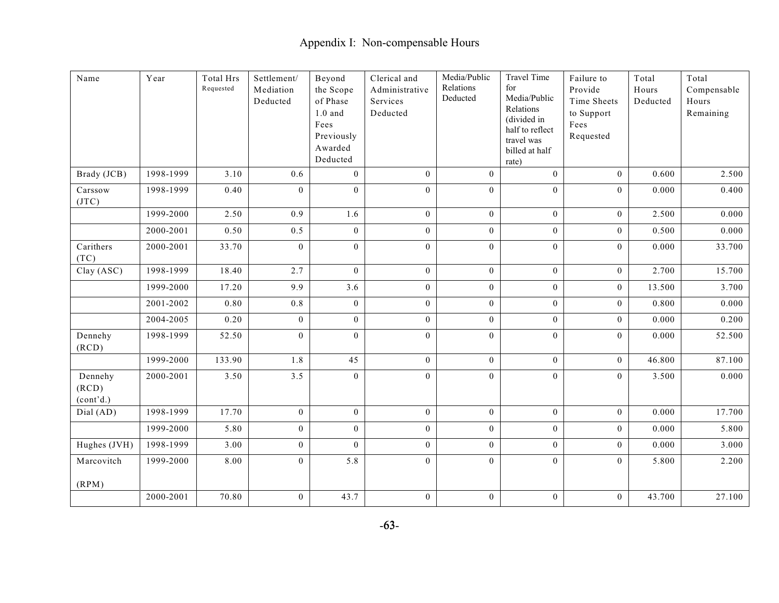| Name                          | Year      | Total Hrs<br>Requested | Settlement/<br>Mediation<br>Deducted | Beyond<br>the Scope<br>of Phase<br>$1.0$ and<br>Fees<br>Previously<br>Awarded<br>Deducted | Clerical and<br>Administrative<br>Services<br>Deducted | Media/Public<br>Relations<br>Deducted | <b>Travel Time</b><br>for<br>Media/Public<br>Relations<br>(divided in<br>half to reflect<br>travel was<br>billed at half<br>rate) | Failure to<br>Provide<br>Time Sheets<br>to Support<br>Fees<br>Requested | Total<br>Hours<br>Deducted | Total<br>Compensable<br>Hours<br>Remaining |
|-------------------------------|-----------|------------------------|--------------------------------------|-------------------------------------------------------------------------------------------|--------------------------------------------------------|---------------------------------------|-----------------------------------------------------------------------------------------------------------------------------------|-------------------------------------------------------------------------|----------------------------|--------------------------------------------|
| Brady (JCB)                   | 1998-1999 | 3.10                   | 0.6                                  | $\mathbf{0}$                                                                              | $\mathbf{0}$                                           | $\boldsymbol{0}$                      | $\boldsymbol{0}$                                                                                                                  | $\overline{0}$                                                          | 0.600                      | 2.500                                      |
| Carssow<br>(TTC)              | 1998-1999 | 0.40                   | $\overline{0}$                       | $\mathbf{0}$                                                                              | $\overline{0}$                                         | $\boldsymbol{0}$                      | $\boldsymbol{0}$                                                                                                                  | $\overline{0}$                                                          | 0.000                      | 0.400                                      |
|                               | 1999-2000 | 2.50                   | 0.9                                  | 1.6                                                                                       | $\overline{0}$                                         | $\mathbf{0}$                          | $\overline{0}$                                                                                                                    | $\mathbf{0}$                                                            | 2.500                      | 0.000                                      |
|                               | 2000-2001 | 0.50                   | 0.5                                  | $\overline{0}$                                                                            | $\mathbf{0}$                                           | $\mathbf{0}$                          | $\overline{0}$                                                                                                                    | $\overline{0}$                                                          | 0.500                      | 0.000                                      |
| Carithers<br>(TC)             | 2000-2001 | 33.70                  | $\mathbf{0}$                         | $\mathbf{0}$                                                                              | $\boldsymbol{0}$                                       | $\mathbf{0}$                          | $\mathbf{0}$                                                                                                                      | $\mathbf{0}$                                                            | 0.000                      | 33.700                                     |
| Clay (ASC)                    | 1998-1999 | 18.40                  | 2.7                                  | $\mathbf{0}$                                                                              | $\overline{0}$                                         | $\mathbf{0}$                          | $\overline{0}$                                                                                                                    | $\overline{0}$                                                          | 2.700                      | 15.700                                     |
|                               | 1999-2000 | 17.20                  | 9.9                                  | 3.6                                                                                       | $\boldsymbol{0}$                                       | $\boldsymbol{0}$                      | $\overline{0}$                                                                                                                    | $\overline{0}$                                                          | 13.500                     | 3.700                                      |
|                               | 2001-2002 | 0.80                   | 0.8                                  | $\overline{0}$                                                                            | $\overline{0}$                                         | $\mathbf{0}$                          | $\overline{0}$                                                                                                                    | $\mathbf{0}$                                                            | 0.800                      | 0.000                                      |
|                               | 2004-2005 | 0.20                   | $\mathbf{0}$                         | $\mathbf{0}$                                                                              | $\overline{0}$                                         | $\mathbf{0}$                          | $\overline{0}$                                                                                                                    | $\overline{0}$                                                          | 0.000                      | 0.200                                      |
| Dennehy<br>(RCD)              | 1998-1999 | 52.50                  | $\mathbf{0}$                         | $\boldsymbol{0}$                                                                          | $\overline{0}$                                         | $\overline{0}$                        | $\boldsymbol{0}$                                                                                                                  | $\mathbf{0}$                                                            | 0.000                      | 52.500                                     |
|                               | 1999-2000 | 133.90                 | 1.8                                  | 45                                                                                        | $\mathbf{0}$                                           | $\mathbf{0}$                          | $\mathbf{0}$                                                                                                                      | $\mathbf{0}$                                                            | 46.800                     | 87.100                                     |
| Dennehy<br>(RCD)<br>(cont'd.) | 2000-2001 | 3.50                   | 3.5                                  | $\theta$                                                                                  | $\overline{0}$                                         | $\mathbf{0}$                          | $\boldsymbol{0}$                                                                                                                  | $\overline{0}$                                                          | 3.500                      | 0.000                                      |
| Dial (AD)                     | 1998-1999 | 17.70                  | $\mathbf{0}$                         | $\overline{0}$                                                                            | $\overline{0}$                                         | $\boldsymbol{0}$                      | $\overline{0}$                                                                                                                    | $\overline{0}$                                                          | 0.000                      | 17.700                                     |
|                               | 1999-2000 | 5.80                   | $\mathbf{0}$                         | $\theta$                                                                                  | $\mathbf{0}$                                           | $\boldsymbol{0}$                      | $\mathbf{0}$                                                                                                                      | $\overline{0}$                                                          | 0.000                      | 5.800                                      |
| Hughes (JVH)                  | 1998-1999 | 3.00                   | $\mathbf{0}$                         | $\mathbf{0}$                                                                              | $\mathbf{0}$                                           | $\boldsymbol{0}$                      | $\mathbf{0}$                                                                                                                      | $\mathbf{0}$                                                            | 0.000                      | 3.000                                      |
| Marcovitch                    | 1999-2000 | 8.00                   | $\boldsymbol{0}$                     | 5.8                                                                                       | $\boldsymbol{0}$                                       | $\boldsymbol{0}$                      | $\mathbf{0}$                                                                                                                      | $\mathbf{0}$                                                            | 5.800                      | 2.200                                      |
| (RPM)                         |           |                        |                                      |                                                                                           |                                                        |                                       |                                                                                                                                   |                                                                         |                            |                                            |
|                               | 2000-2001 | 70.80                  | $\boldsymbol{0}$                     | 43.7                                                                                      | $\boldsymbol{0}$                                       | $\boldsymbol{0}$                      | $\boldsymbol{0}$                                                                                                                  | $\boldsymbol{0}$                                                        | 43.700                     | 27.100                                     |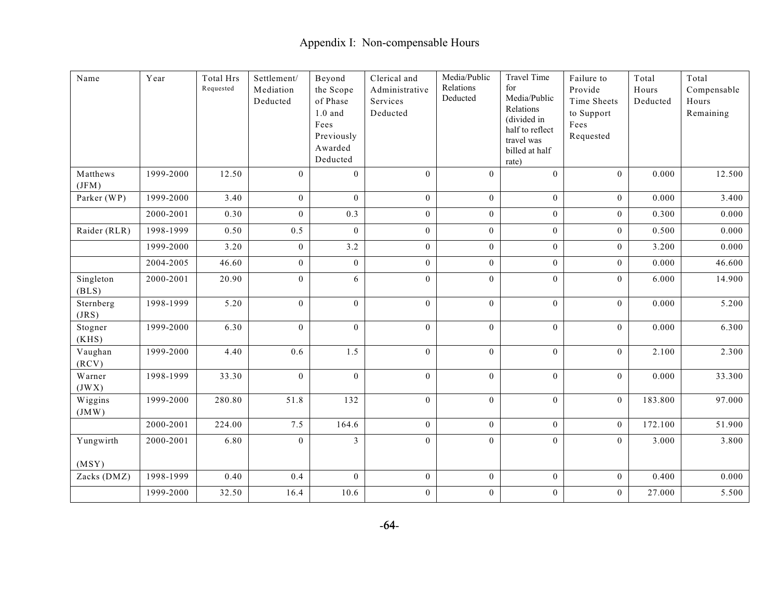| Name               | Year      | Total Hrs<br>Requested | Settlement/<br>Mediation<br>Deducted | Beyond<br>the Scope<br>of Phase<br>$1.0$ and $\,$<br>Fees<br>Previously<br>Awarded<br>Deducted | Clerical and<br>Administrative<br>Services<br>Deducted | Media/Public<br>Relations<br>Deducted | <b>Travel Time</b><br>for<br>Media/Public<br>Relations<br>(divided in<br>half to reflect<br>travel was<br>billed at half<br>rate) | Failure to<br>Provide<br>Time Sheets<br>to Support<br>Fees<br>Requested | Total<br>Hours<br>Deducted | Total<br>Compensable<br>Hours<br>Remaining |
|--------------------|-----------|------------------------|--------------------------------------|------------------------------------------------------------------------------------------------|--------------------------------------------------------|---------------------------------------|-----------------------------------------------------------------------------------------------------------------------------------|-------------------------------------------------------------------------|----------------------------|--------------------------------------------|
| Matthews<br>(JFM)  | 1999-2000 | 12.50                  | $\mathbf{0}$                         | $\mathbf{0}$                                                                                   | $\mathbf{0}$                                           | $\mathbf{0}$                          | $\mathbf{0}$                                                                                                                      | $\mathbf{0}$                                                            | 0.000                      | 12.500                                     |
| Parker (WP)        | 1999-2000 | 3.40                   | $\mathbf{0}$                         | $\theta$                                                                                       | $\overline{0}$                                         | $\mathbf{0}$                          | $\overline{0}$                                                                                                                    | $\mathbf{0}$                                                            | 0.000                      | 3.400                                      |
|                    | 2000-2001 | 0.30                   | $\mathbf{0}$                         | 0.3                                                                                            | $\overline{0}$                                         | $\mathbf{0}$                          | $\overline{0}$                                                                                                                    | $\overline{0}$                                                          | 0.300                      | 0.000                                      |
| Raider (RLR)       | 1998-1999 | 0.50                   | 0.5                                  | $\theta$                                                                                       | $\overline{0}$                                         | $\boldsymbol{0}$                      | $\Omega$                                                                                                                          | $\overline{0}$                                                          | 0.500                      | 0.000                                      |
|                    | 1999-2000 | 3.20                   | $\boldsymbol{0}$                     | 3.2                                                                                            | $\mathbf{0}$                                           | $\boldsymbol{0}$                      | $\overline{0}$                                                                                                                    | $\mathbf{0}$                                                            | 3.200                      | 0.000                                      |
|                    | 2004-2005 | 46.60                  | $\mathbf{0}$                         | $\mathbf{0}$                                                                                   | $\overline{0}$                                         | $\boldsymbol{0}$                      | $\overline{0}$                                                                                                                    | $\overline{0}$                                                          | 0.000                      | 46.600                                     |
| Singleton<br>(BLS) | 2000-2001 | 20.90                  | $\boldsymbol{0}$                     | 6                                                                                              | $\boldsymbol{0}$                                       | $\boldsymbol{0}$                      | $\mathbf{0}$                                                                                                                      | $\mathbf{0}$                                                            | 6.000                      | 14.900                                     |
| Sternberg<br>(JRS) | 1998-1999 | 5.20                   | $\mathbf{0}$                         | $\mathbf{0}$                                                                                   | $\overline{0}$                                         | $\mathbf{0}$                          | $\overline{0}$                                                                                                                    | $\overline{0}$                                                          | 0.000                      | 5.200                                      |
| Stogner<br>(KHS)   | 1999-2000 | 6.30                   | $\mathbf{0}$                         | $\theta$                                                                                       | $\overline{0}$                                         | $\mathbf{0}$                          | $\overline{0}$                                                                                                                    | $\overline{0}$                                                          | 0.000                      | 6.300                                      |
| Vaughan<br>(RCV)   | 1999-2000 | 4.40                   | 0.6                                  | 1.5                                                                                            | $\boldsymbol{0}$                                       | $\boldsymbol{0}$                      | $\boldsymbol{0}$                                                                                                                  | $\mathbf{0}$                                                            | 2.100                      | 2.300                                      |
| Warner<br>(JWX)    | 1998-1999 | 33.30                  | $\mathbf{0}$                         | $\mathbf{0}$                                                                                   | $\boldsymbol{0}$                                       | $\boldsymbol{0}$                      | $\boldsymbol{0}$                                                                                                                  | $\mathbf{0}$                                                            | 0.000                      | 33.300                                     |
| Wiggins<br>(JMW)   | 1999-2000 | 280.80                 | 51.8                                 | 132                                                                                            | $\overline{0}$                                         | $\mathbf{0}$                          | $\overline{0}$                                                                                                                    | $\overline{0}$                                                          | 183.800                    | 97.000                                     |
|                    | 2000-2001 | 224.00                 | 7.5                                  | 164.6                                                                                          | $\mathbf{0}$                                           | $\mathbf{0}$                          | $\mathbf{0}$                                                                                                                      | $\mathbf{0}$                                                            | 172.100                    | 51.900                                     |
| Yungwirth<br>(MSY) | 2000-2001 | 6.80                   | $\mathbf{0}$                         | 3                                                                                              | $\overline{0}$                                         | $\boldsymbol{0}$                      | $\boldsymbol{0}$                                                                                                                  | $\overline{0}$                                                          | 3.000                      | 3.800                                      |
| Zacks (DMZ)        | 1998-1999 | 0.40                   | 0.4                                  | $\mathbf{0}$                                                                                   | $\mathbf{0}$                                           | $\mathbf{0}$                          | $\mathbf{0}$                                                                                                                      | $\mathbf{0}$                                                            | 0.400                      | 0.000                                      |
|                    | 1999-2000 | 32.50                  | 16.4                                 | 10.6                                                                                           | $\boldsymbol{0}$                                       | $\boldsymbol{0}$                      | $\boldsymbol{0}$                                                                                                                  | $\mathbf{0}$                                                            | 27.000                     | 5.500                                      |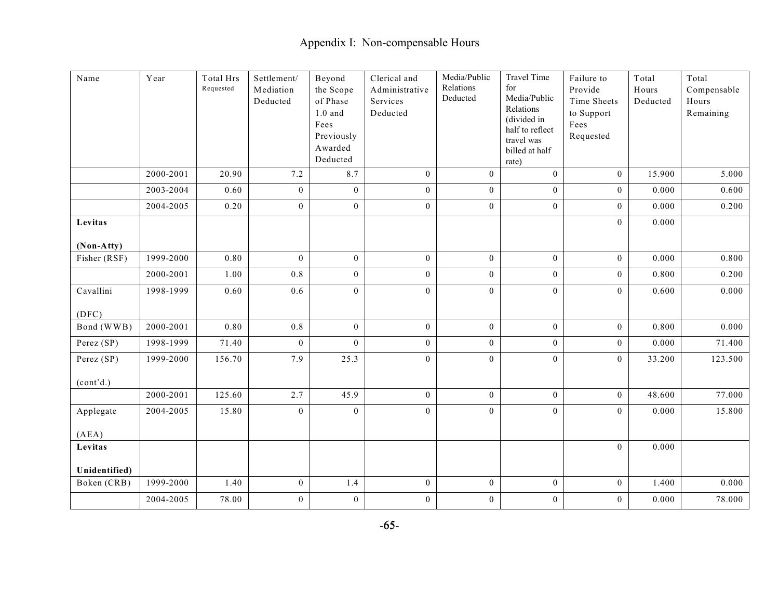| Name          | Year      | <b>Total Hrs</b><br>Requested | Settlement/<br>Mediation<br>Deducted | Beyond<br>the Scope<br>of Phase<br>$1.0\,$ and<br>Fees<br>Previously<br>Awarded<br>Deducted | Clerical and<br>Administrative<br>Services<br>Deducted | Media/Public<br>Relations<br>Deducted | <b>Travel Time</b><br>for<br>Media/Public<br>Relations<br>(divided in<br>half to reflect<br>travel was<br>billed at half<br>rate) | Failure to<br>Provide<br>Time Sheets<br>to Support<br>Fees<br>Requested | Total<br>Hours<br>Deducted | Total<br>Compensable<br>Hours<br>Remaining |
|---------------|-----------|-------------------------------|--------------------------------------|---------------------------------------------------------------------------------------------|--------------------------------------------------------|---------------------------------------|-----------------------------------------------------------------------------------------------------------------------------------|-------------------------------------------------------------------------|----------------------------|--------------------------------------------|
|               | 2000-2001 | 20.90                         | 7.2                                  | 8.7                                                                                         | $\overline{0}$                                         | $\bf{0}$                              | $\mathbf{0}$                                                                                                                      | $\mathbf{0}$                                                            | 15.900                     | 5.000                                      |
|               | 2003-2004 | 0.60                          | $\mathbf{0}$                         | $\mathbf{0}$                                                                                | $\boldsymbol{0}$                                       | $\bf{0}$                              | $\boldsymbol{0}$                                                                                                                  | $\mathbf{0}$                                                            | 0.000                      | 0.600                                      |
|               | 2004-2005 | 0.20                          | $\mathbf{0}$                         | $\mathbf{0}$                                                                                | $\overline{0}$                                         | $\bf{0}$                              | $\overline{0}$                                                                                                                    | $\mathbf{0}$                                                            | 0.000                      | 0.200                                      |
| Levitas       |           |                               |                                      |                                                                                             |                                                        |                                       |                                                                                                                                   | $\mathbf{0}$                                                            | 0.000                      |                                            |
| (Non-Atty)    |           |                               |                                      |                                                                                             |                                                        |                                       |                                                                                                                                   |                                                                         |                            |                                            |
| Fisher (RSF)  | 1999-2000 | 0.80                          | $\mathbf{0}$                         | $\mathbf{0}$                                                                                | $\overline{0}$                                         | $\mathbf{0}$                          | $\overline{0}$                                                                                                                    | $\mathbf{0}$                                                            | 0.000                      | 0.800                                      |
|               | 2000-2001 | 1.00                          | $0.8\,$                              | $\bf{0}$                                                                                    | $\mathbf{0}$                                           | $\bf{0}$                              | $\mathbf{0}$                                                                                                                      | $\mathbf{0}$                                                            | 0.800                      | 0.200                                      |
| Cavallini     | 1998-1999 | 0.60                          | 0.6                                  | $\mathbf{0}$                                                                                | $\overline{0}$                                         | $\boldsymbol{0}$                      | $\boldsymbol{0}$                                                                                                                  | $\overline{0}$                                                          | 0.600                      | 0.000                                      |
| (DFC)         |           |                               |                                      |                                                                                             |                                                        |                                       |                                                                                                                                   |                                                                         |                            |                                            |
| Bond (WWB)    | 2000-2001 | 0.80                          | 0.8                                  | $\overline{0}$                                                                              | $\overline{0}$                                         | $\bf{0}$                              | $\mathbf{0}$                                                                                                                      | $\overline{0}$                                                          | 0.800                      | 0.000                                      |
| Perez (SP)    | 1998-1999 | 71.40                         | $\mathbf{0}$                         | $\theta$                                                                                    | $\overline{0}$                                         | $\overline{0}$                        | $\overline{0}$                                                                                                                    | $\mathbf{0}$                                                            | 0.000                      | 71.400                                     |
| Perez (SP)    | 1999-2000 | 156.70                        | 7.9                                  | 25.3                                                                                        | $\boldsymbol{0}$                                       | $\bf{0}$                              | $\boldsymbol{0}$                                                                                                                  | $\mathbf{0}$                                                            | 33.200                     | 123.500                                    |
| (cont'd.)     |           |                               |                                      |                                                                                             |                                                        |                                       |                                                                                                                                   |                                                                         |                            |                                            |
|               | 2000-2001 | 125.60                        | 2.7                                  | 45.9                                                                                        | $\overline{0}$                                         | $\mathbf{0}$                          | $\overline{0}$                                                                                                                    | $\overline{0}$                                                          | 48.600                     | 77.000                                     |
| Applegate     | 2004-2005 | 15.80                         | $\boldsymbol{0}$                     | $\mathbf{0}$                                                                                | $\overline{0}$                                         | $\boldsymbol{0}$                      | $\overline{0}$                                                                                                                    | $\overline{0}$                                                          | 0.000                      | 15.800                                     |
| (AEA)         |           |                               |                                      |                                                                                             |                                                        |                                       |                                                                                                                                   |                                                                         |                            |                                            |
| Levitas       |           |                               |                                      |                                                                                             |                                                        |                                       |                                                                                                                                   | $\mathbf{0}$                                                            | 0.000                      |                                            |
| Unidentified) |           |                               |                                      |                                                                                             |                                                        |                                       |                                                                                                                                   |                                                                         |                            |                                            |
| Boken (CRB)   | 1999-2000 | 1.40                          | $\boldsymbol{0}$                     | 1.4                                                                                         | $\mathbf{0}$                                           | $\mathbf{0}$                          | $\mathbf{0}$                                                                                                                      | $\overline{0}$                                                          | 1.400                      | 0.000                                      |
|               | 2004-2005 | 78.00                         | $\boldsymbol{0}$                     | $\boldsymbol{0}$                                                                            | $\boldsymbol{0}$                                       | $\boldsymbol{0}$                      | $\boldsymbol{0}$                                                                                                                  | $\boldsymbol{0}$                                                        | 0.000                      | 78.000                                     |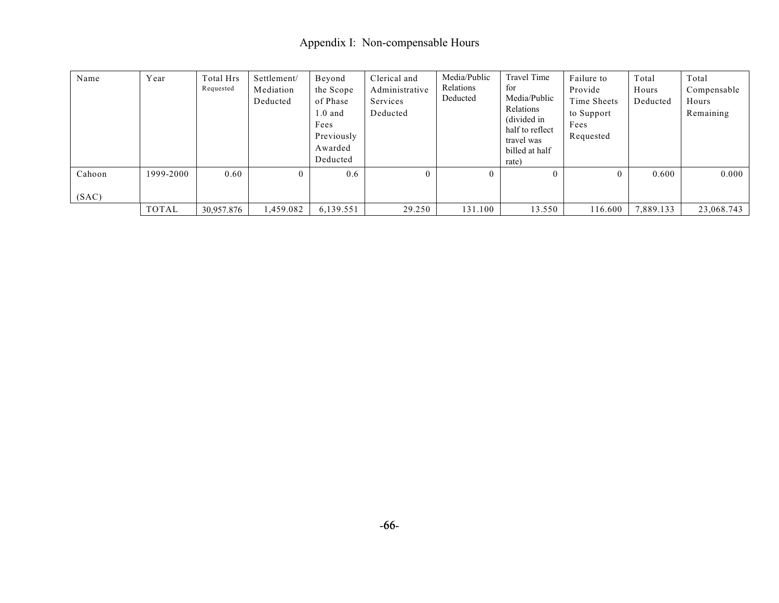| Name   | Year      | Total Hrs<br>Requested | Settlement/<br>Mediation<br>Deducted | Beyond<br>the Scope<br>of Phase<br>$1.0$ and<br>Fees<br>Previously<br>Awarded<br>Deducted | Clerical and<br>Administrative<br>Services<br>Deducted | Media/Public<br>Relations<br>Deducted | <b>Travel Time</b><br>for<br>Media/Public<br>Relations<br>(divided in<br>half to reflect<br>travel was<br>billed at half<br>rate) | Failure to<br>Provide<br>Time Sheets<br>to Support<br>Fees<br>Requested | Total<br>Hours<br>Deducted | Total<br>Compensable<br>Hours<br>Remaining |
|--------|-----------|------------------------|--------------------------------------|-------------------------------------------------------------------------------------------|--------------------------------------------------------|---------------------------------------|-----------------------------------------------------------------------------------------------------------------------------------|-------------------------------------------------------------------------|----------------------------|--------------------------------------------|
| Cahoon | 1999-2000 | 0.60                   | $\Omega$                             | 0.6                                                                                       | $\theta$                                               | $\theta$                              |                                                                                                                                   | $\Omega$                                                                | 0.600                      | 0.000                                      |
| (SAC)  |           |                        |                                      |                                                                                           |                                                        |                                       |                                                                                                                                   |                                                                         |                            |                                            |
|        | TOTAL     | 30,957.876             | 1,459.082                            | 6,139.551                                                                                 | 29.250                                                 | 131.100                               | 13.550                                                                                                                            | 116.600                                                                 | 7,889.133                  | 23,068.743                                 |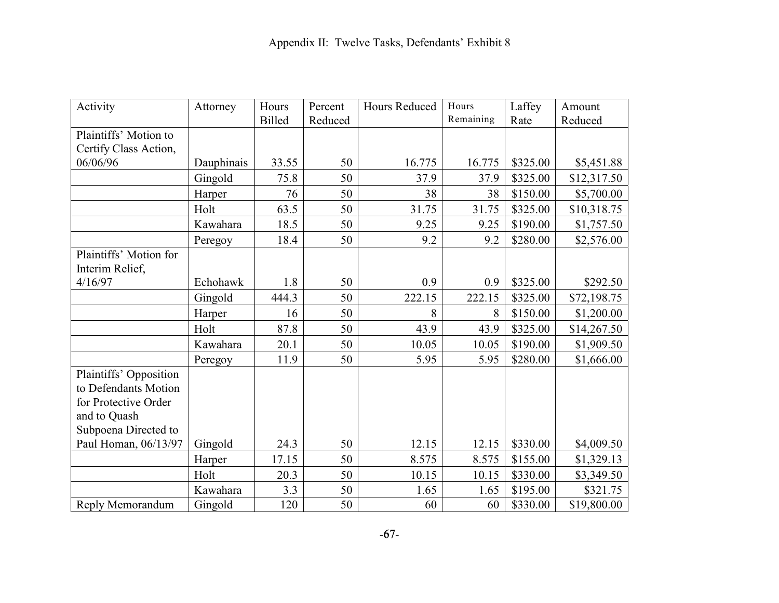| Activity               | Attorney   | Hours         | Percent | Hours Reduced | Hours     | Laffey   | Amount      |
|------------------------|------------|---------------|---------|---------------|-----------|----------|-------------|
|                        |            | <b>Billed</b> | Reduced |               | Remaining | Rate     | Reduced     |
| Plaintiffs' Motion to  |            |               |         |               |           |          |             |
| Certify Class Action,  |            |               |         |               |           |          |             |
| 06/06/96               | Dauphinais | 33.55         | 50      | 16.775        | 16.775    | \$325.00 | \$5,451.88  |
|                        | Gingold    | 75.8          | 50      | 37.9          | 37.9      | \$325.00 | \$12,317.50 |
|                        | Harper     | 76            | 50      | 38            | 38        | \$150.00 | \$5,700.00  |
|                        | Holt       | 63.5          | 50      | 31.75         | 31.75     | \$325.00 | \$10,318.75 |
|                        | Kawahara   | 18.5          | 50      | 9.25          | 9.25      | \$190.00 | \$1,757.50  |
|                        | Peregoy    | 18.4          | 50      | 9.2           | 9.2       | \$280.00 | \$2,576.00  |
| Plaintiffs' Motion for |            |               |         |               |           |          |             |
| Interim Relief,        |            |               |         |               |           |          |             |
| 4/16/97                | Echohawk   | 1.8           | 50      | 0.9           | 0.9       | \$325.00 | \$292.50    |
|                        | Gingold    | 444.3         | 50      | 222.15        | 222.15    | \$325.00 | \$72,198.75 |
|                        | Harper     | 16            | 50      | 8             | 8         | \$150.00 | \$1,200.00  |
|                        | Holt       | 87.8          | 50      | 43.9          | 43.9      | \$325.00 | \$14,267.50 |
|                        | Kawahara   | 20.1          | 50      | 10.05         | 10.05     | \$190.00 | \$1,909.50  |
|                        | Peregoy    | 11.9          | 50      | 5.95          | 5.95      | \$280.00 | \$1,666.00  |
| Plaintiffs' Opposition |            |               |         |               |           |          |             |
| to Defendants Motion   |            |               |         |               |           |          |             |
| for Protective Order   |            |               |         |               |           |          |             |
| and to Quash           |            |               |         |               |           |          |             |
| Subpoena Directed to   |            |               |         |               |           |          |             |
| Paul Homan, 06/13/97   | Gingold    | 24.3          | 50      | 12.15         | 12.15     | \$330.00 | \$4,009.50  |
|                        | Harper     | 17.15         | 50      | 8.575         | 8.575     | \$155.00 | \$1,329.13  |
|                        | Holt       | 20.3          | 50      | 10.15         | 10.15     | \$330.00 | \$3,349.50  |
|                        | Kawahara   | 3.3           | 50      | 1.65          | 1.65      | \$195.00 | \$321.75    |
| Reply Memorandum       | Gingold    | 120           | 50      | 60            | 60        | \$330.00 | \$19,800.00 |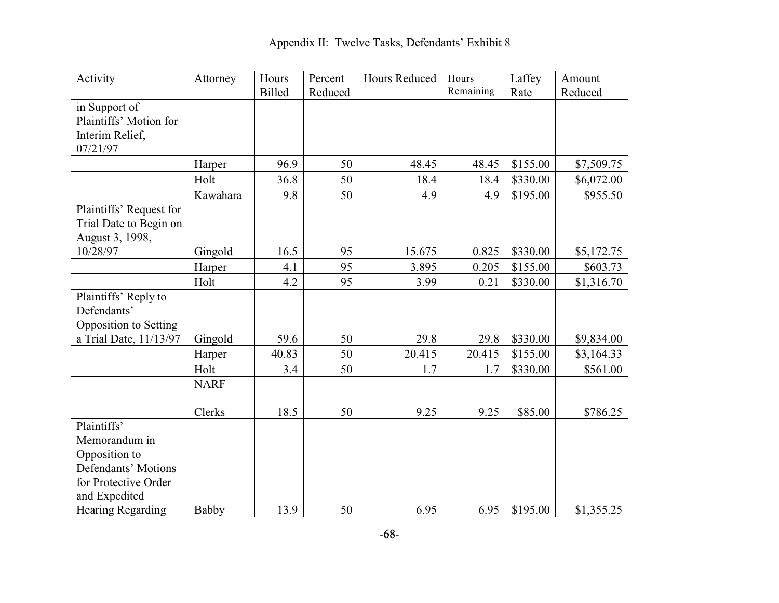| Activity                     | Attorney    | Hours         | Percent | Hours Reduced | Hours     | Laffey   | Amount     |
|------------------------------|-------------|---------------|---------|---------------|-----------|----------|------------|
|                              |             | <b>Billed</b> | Reduced |               | Remaining | Rate     | Reduced    |
| in Support of                |             |               |         |               |           |          |            |
| Plaintiffs' Motion for       |             |               |         |               |           |          |            |
| Interim Relief,              |             |               |         |               |           |          |            |
| 07/21/97                     |             |               |         |               |           |          |            |
|                              | Harper      | 96.9          | 50      | 48.45         | 48.45     | \$155.00 | \$7,509.75 |
|                              | Holt        | 36.8          | 50      | 18.4          | 18.4      | \$330.00 | \$6,072.00 |
|                              | Kawahara    | 9.8           | 50      | 4.9           | 4.9       | \$195.00 | \$955.50   |
| Plaintiffs' Request for      |             |               |         |               |           |          |            |
| Trial Date to Begin on       |             |               |         |               |           |          |            |
| August 3, 1998,              |             |               |         |               |           |          |            |
| 10/28/97                     | Gingold     | 16.5          | 95      | 15.675        | 0.825     | \$330.00 | \$5,172.75 |
|                              | Harper      | 4.1           | 95      | 3.895         | 0.205     | \$155.00 | \$603.73   |
|                              | Holt        | 4.2           | 95      | 3.99          | 0.21      | \$330.00 | \$1,316.70 |
| Plaintiffs' Reply to         |             |               |         |               |           |          |            |
| Defendants'                  |             |               |         |               |           |          |            |
| <b>Opposition to Setting</b> |             |               |         |               |           |          |            |
| a Trial Date, 11/13/97       | Gingold     | 59.6          | 50      | 29.8          | 29.8      | \$330.00 | \$9,834.00 |
|                              | Harper      | 40.83         | 50      | 20.415        | 20.415    | \$155.00 | \$3,164.33 |
|                              | Holt        | 3.4           | 50      | 1.7           | 1.7       | \$330.00 | \$561.00   |
|                              | <b>NARF</b> |               |         |               |           |          |            |
|                              |             |               |         |               |           |          |            |
|                              | Clerks      | 18.5          | 50      | 9.25          | 9.25      | \$85.00  | \$786.25   |
| Plaintiffs'                  |             |               |         |               |           |          |            |
| Memorandum in                |             |               |         |               |           |          |            |
| Opposition to                |             |               |         |               |           |          |            |
| Defendants' Motions          |             |               |         |               |           |          |            |
| for Protective Order         |             |               |         |               |           |          |            |
| and Expedited                |             |               |         |               |           |          |            |
| <b>Hearing Regarding</b>     | Babby       | 13.9          | 50      | 6.95          | 6.95      | \$195.00 | \$1,355.25 |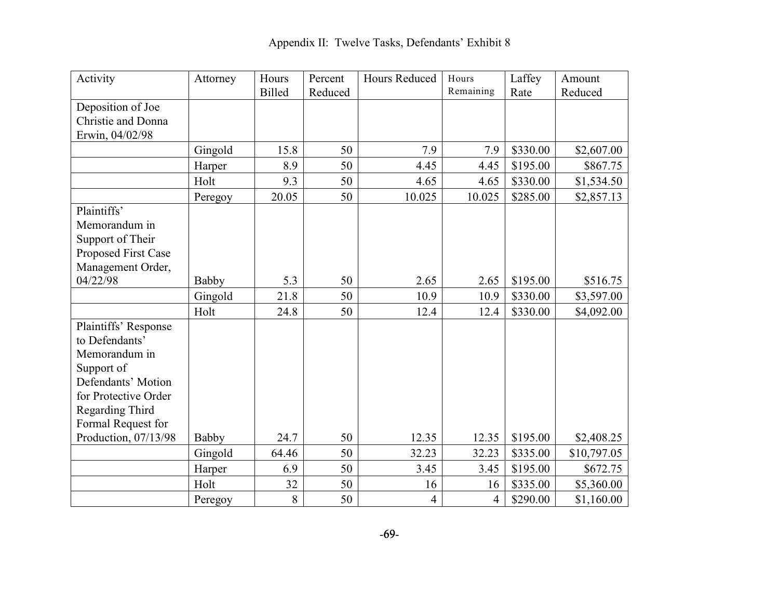| Activity             | Attorney | Hours         | Percent | Hours Reduced  | Hours          | Laffey   | Amount      |
|----------------------|----------|---------------|---------|----------------|----------------|----------|-------------|
|                      |          | <b>Billed</b> | Reduced |                | Remaining      | Rate     | Reduced     |
| Deposition of Joe    |          |               |         |                |                |          |             |
| Christie and Donna   |          |               |         |                |                |          |             |
| Erwin, 04/02/98      |          |               |         |                |                |          |             |
|                      | Gingold  | 15.8          | 50      | 7.9            | 7.9            | \$330.00 | \$2,607.00  |
|                      | Harper   | 8.9           | 50      | 4.45           | 4.45           | \$195.00 | \$867.75    |
|                      | Holt     | 9.3           | 50      | 4.65           | 4.65           | \$330.00 | \$1,534.50  |
|                      | Peregoy  | 20.05         | 50      | 10.025         | 10.025         | \$285.00 | \$2,857.13  |
| Plaintiffs'          |          |               |         |                |                |          |             |
| Memorandum in        |          |               |         |                |                |          |             |
| Support of Their     |          |               |         |                |                |          |             |
| Proposed First Case  |          |               |         |                |                |          |             |
| Management Order,    |          |               |         |                |                |          |             |
| 04/22/98             | Babby    | 5.3           | 50      | 2.65           | 2.65           | \$195.00 | \$516.75    |
|                      | Gingold  | 21.8          | 50      | 10.9           | 10.9           | \$330.00 | \$3,597.00  |
|                      | Holt     | 24.8          | 50      | 12.4           | 12.4           | \$330.00 | \$4,092.00  |
| Plaintiffs' Response |          |               |         |                |                |          |             |
| to Defendants'       |          |               |         |                |                |          |             |
| Memorandum in        |          |               |         |                |                |          |             |
| Support of           |          |               |         |                |                |          |             |
| Defendants' Motion   |          |               |         |                |                |          |             |
| for Protective Order |          |               |         |                |                |          |             |
| Regarding Third      |          |               |         |                |                |          |             |
| Formal Request for   |          |               |         |                |                |          |             |
| Production, 07/13/98 | Babby    | 24.7          | 50      | 12.35          | 12.35          | \$195.00 | \$2,408.25  |
|                      | Gingold  | 64.46         | 50      | 32.23          | 32.23          | \$335.00 | \$10,797.05 |
|                      | Harper   | 6.9           | 50      | 3.45           | 3.45           | \$195.00 | \$672.75    |
|                      | Holt     | 32            | 50      | 16             | 16             | \$335.00 | \$5,360.00  |
|                      | Peregoy  | 8             | 50      | $\overline{4}$ | $\overline{4}$ | \$290.00 | \$1,160.00  |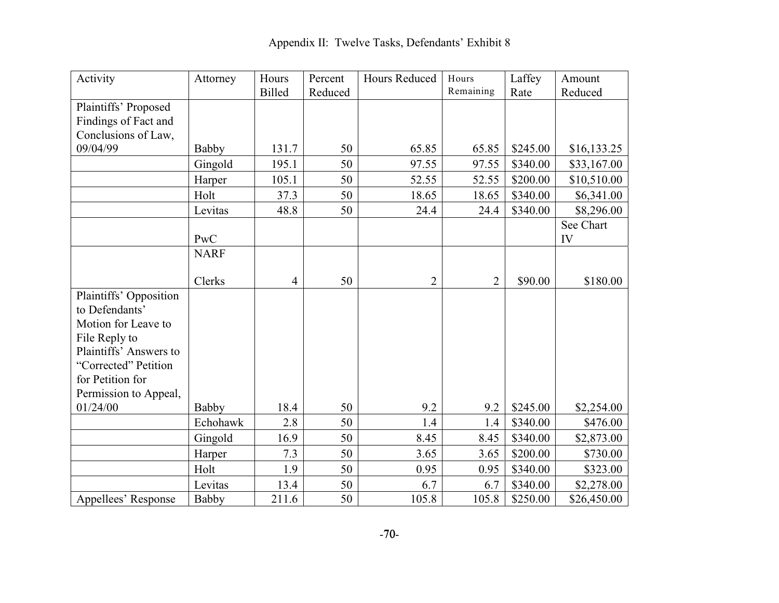| Activity               | Attorney     | Hours          | Percent | Hours Reduced  | Hours          | Laffey   | Amount      |
|------------------------|--------------|----------------|---------|----------------|----------------|----------|-------------|
|                        |              | <b>Billed</b>  | Reduced |                | Remaining      | Rate     | Reduced     |
| Plaintiffs' Proposed   |              |                |         |                |                |          |             |
| Findings of Fact and   |              |                |         |                |                |          |             |
| Conclusions of Law,    |              |                |         |                |                |          |             |
| 09/04/99               | <b>Babby</b> | 131.7          | 50      | 65.85          | 65.85          | \$245.00 | \$16,133.25 |
|                        | Gingold      | 195.1          | 50      | 97.55          | 97.55          | \$340.00 | \$33,167.00 |
|                        | Harper       | 105.1          | 50      | 52.55          | 52.55          | \$200.00 | \$10,510.00 |
|                        | Holt         | 37.3           | 50      | 18.65          | 18.65          | \$340.00 | \$6,341.00  |
|                        | Levitas      | 48.8           | 50      | 24.4           | 24.4           | \$340.00 | \$8,296.00  |
|                        |              |                |         |                |                |          | See Chart   |
|                        | PwC          |                |         |                |                |          | IV          |
|                        | <b>NARF</b>  |                |         |                |                |          |             |
|                        |              |                |         |                |                |          |             |
|                        | Clerks       | $\overline{4}$ | 50      | $\overline{2}$ | $\overline{2}$ | \$90.00  | \$180.00    |
| Plaintiffs' Opposition |              |                |         |                |                |          |             |
| to Defendants'         |              |                |         |                |                |          |             |
| Motion for Leave to    |              |                |         |                |                |          |             |
| File Reply to          |              |                |         |                |                |          |             |
| Plaintiffs' Answers to |              |                |         |                |                |          |             |
| "Corrected" Petition   |              |                |         |                |                |          |             |
| for Petition for       |              |                |         |                |                |          |             |
| Permission to Appeal,  |              |                |         |                |                |          |             |
| 01/24/00               | Babby        | 18.4           | 50      | 9.2            | 9.2            | \$245.00 | \$2,254.00  |
|                        | Echohawk     | 2.8            | 50      | 1.4            | 1.4            | \$340.00 | \$476.00    |
|                        | Gingold      | 16.9           | 50      | 8.45           | 8.45           | \$340.00 | \$2,873.00  |
|                        | Harper       | 7.3            | 50      | 3.65           | 3.65           | \$200.00 | \$730.00    |
|                        | Holt         | 1.9            | 50      | 0.95           | 0.95           | \$340.00 | \$323.00    |
|                        | Levitas      | 13.4           | 50      | 6.7            | 6.7            | \$340.00 | \$2,278.00  |
| Appellees' Response    | Babby        | 211.6          | 50      | 105.8          | 105.8          | \$250.00 | \$26,450.00 |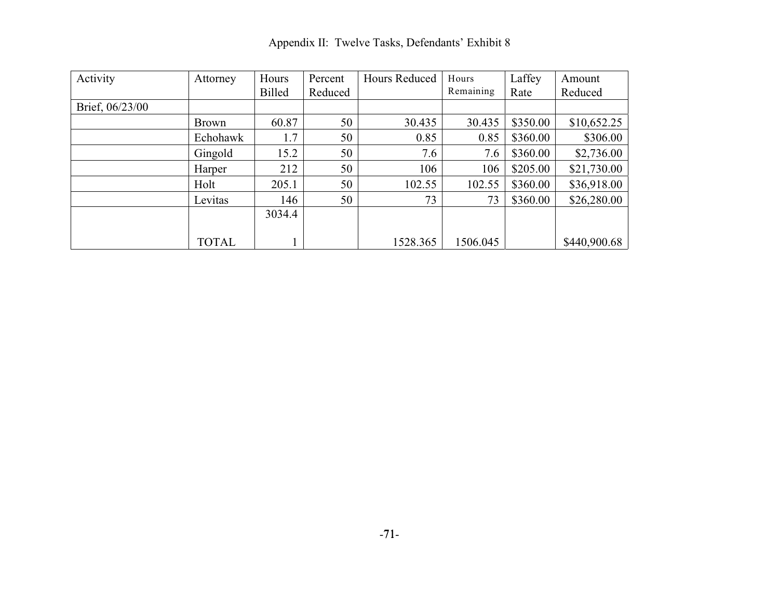Activity Attorney Hours Billed Percent Reduced Hours Reduced | Hours Remaining Laffey Rate Amount Reduced Brief, 06/23/00 Brown 60.87 50 30.435 30.435 \$350.00 \$10,652.25<br>Echohawk 1.7 50 0.85 0.85 \$360.00 \$306.00 Echohawk 1.7 50 0.85 0.85 \$360.00 \$306.00 Gingold 15.2 50 7.6 7.6 \$360.00 \$2,736.00 Harper 212 50 106 106 \$205.00 \$21,730.00 Holt 205.1 50 102.55 102.55 \$360.00 \$36,918.00 Levitas 146 50 73 73 73 \$360.00 \$26,280.00 TOTAL 3034.4  $1$  1528.365 1506.045 \$440,900.68

Appendix II: Twelve Tasks, Defendants' Exhibit 8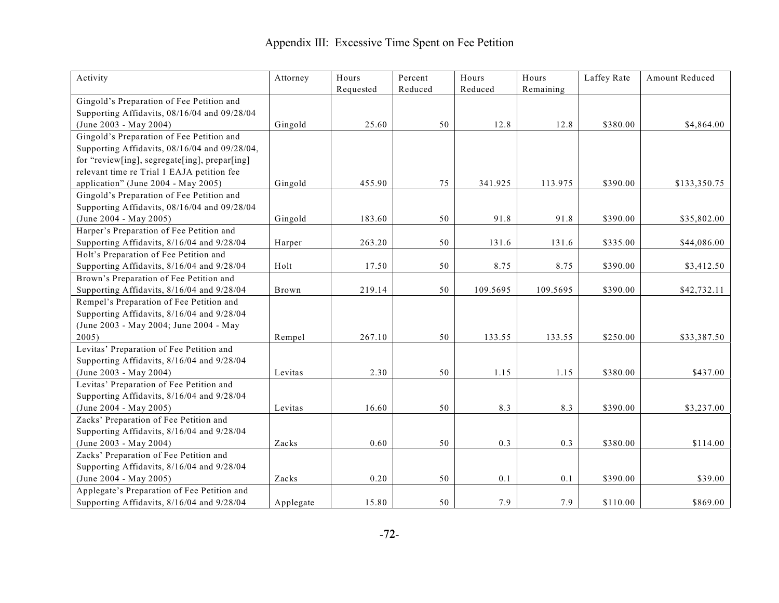## Appendix III: Excessive Time Spent on Fee Petition

| Activity                                      | Attorney  | Hours     | Percent | Hours    | Hours     | Laffey Rate | Amount Reduced |
|-----------------------------------------------|-----------|-----------|---------|----------|-----------|-------------|----------------|
|                                               |           | Requested | Reduced | Reduced  | Remaining |             |                |
| Gingold's Preparation of Fee Petition and     |           |           |         |          |           |             |                |
| Supporting Affidavits, 08/16/04 and 09/28/04  |           |           |         |          |           |             |                |
| (June 2003 - May 2004)                        | Gingold   | 25.60     | 50      | 12.8     | 12.8      | \$380.00    | \$4,864.00     |
| Gingold's Preparation of Fee Petition and     |           |           |         |          |           |             |                |
| Supporting Affidavits, 08/16/04 and 09/28/04, |           |           |         |          |           |             |                |
| for "review[ing], segregate[ing], prepar[ing] |           |           |         |          |           |             |                |
| relevant time re Trial 1 EAJA petition fee    |           |           |         |          |           |             |                |
| application" (June 2004 - May 2005)           | Gingold   | 455.90    | 75      | 341.925  | 113.975   | \$390.00    | \$133,350.75   |
| Gingold's Preparation of Fee Petition and     |           |           |         |          |           |             |                |
| Supporting Affidavits, 08/16/04 and 09/28/04  |           |           |         |          |           |             |                |
| $(June 2004 - May 2005)$                      | Gingold   | 183.60    | 50      | 91.8     | 91.8      | \$390.00    | \$35,802.00    |
| Harper's Preparation of Fee Petition and      |           |           |         |          |           |             |                |
| Supporting Affidavits, 8/16/04 and 9/28/04    | Harper    | 263.20    | 50      | 131.6    | 131.6     | \$335.00    | \$44,086.00    |
| Holt's Preparation of Fee Petition and        |           |           |         |          |           |             |                |
| Supporting Affidavits, 8/16/04 and 9/28/04    | Holt      | 17.50     | 50      | 8.75     | 8.75      | \$390.00    | \$3,412.50     |
| Brown's Preparation of Fee Petition and       |           |           |         |          |           |             |                |
| Supporting Affidavits, 8/16/04 and 9/28/04    | Brown     | 219.14    | 50      | 109.5695 | 109.5695  | \$390.00    | \$42,732.11    |
| Rempel's Preparation of Fee Petition and      |           |           |         |          |           |             |                |
| Supporting Affidavits, 8/16/04 and 9/28/04    |           |           |         |          |           |             |                |
| (June 2003 - May 2004; June 2004 - May        |           |           |         |          |           |             |                |
| 2005)                                         | Rempel    | 267.10    | 50      | 133.55   | 133.55    | \$250.00    | \$33,387.50    |
| Levitas' Preparation of Fee Petition and      |           |           |         |          |           |             |                |
| Supporting Affidavits, 8/16/04 and 9/28/04    |           |           |         |          |           |             |                |
| (June 2003 - May 2004)                        | Levitas   | 2.30      | 50      | 1.15     | 1.15      | \$380.00    | \$437.00       |
| Levitas' Preparation of Fee Petition and      |           |           |         |          |           |             |                |
| Supporting Affidavits, 8/16/04 and 9/28/04    |           |           |         |          |           |             |                |
| (June 2004 - May 2005)                        | Levitas   | 16.60     | 50      | 8.3      | 8.3       | \$390.00    | \$3,237.00     |
| Zacks' Preparation of Fee Petition and        |           |           |         |          |           |             |                |
| Supporting Affidavits, 8/16/04 and 9/28/04    |           |           |         |          |           |             |                |
| (June 2003 - May 2004)                        | Zacks     | 0.60      | 50      | 0.3      | 0.3       | \$380.00    | \$114.00       |
| Zacks' Preparation of Fee Petition and        |           |           |         |          |           |             |                |
| Supporting Affidavits, 8/16/04 and 9/28/04    |           |           |         |          |           |             |                |
| (June 2004 - May 2005)                        | Zacks     | 0.20      | 50      | 0.1      | 0.1       | \$390.00    | \$39.00        |
| Applegate's Preparation of Fee Petition and   |           |           |         |          |           |             |                |
| Supporting Affidavits, 8/16/04 and 9/28/04    | Applegate | 15.80     | 50      | 7.9      | 7.9       | \$110.00    | \$869.00       |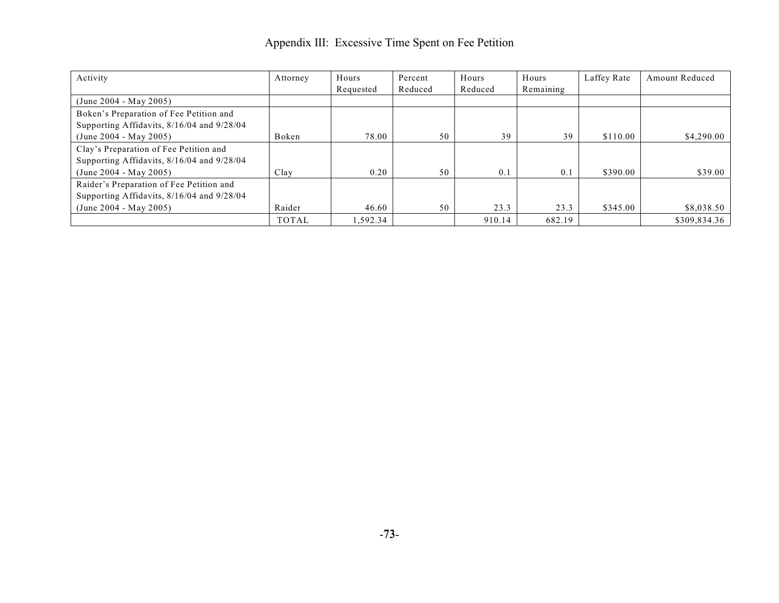### Appendix III: Excessive Time Spent on Fee Petition

| Activity                                   | Attorney     | Hours     | Percent | Hours   | Hours     | Laffey Rate | <b>Amount Reduced</b> |
|--------------------------------------------|--------------|-----------|---------|---------|-----------|-------------|-----------------------|
|                                            |              | Requested | Reduced | Reduced | Remaining |             |                       |
| (June 2004 - May 2005)                     |              |           |         |         |           |             |                       |
| Boken's Preparation of Fee Petition and    |              |           |         |         |           |             |                       |
| Supporting Affidavits, 8/16/04 and 9/28/04 |              |           |         |         |           |             |                       |
| (June 2004 - May 2005)                     | Boken        | 78.00     | 50      | 39      | 39        | \$110.00    | \$4,290.00            |
| Clay's Preparation of Fee Petition and     |              |           |         |         |           |             |                       |
| Supporting Affidavits, 8/16/04 and 9/28/04 |              |           |         |         |           |             |                       |
| (June 2004 - May 2005)                     | Clay         | 0.20      | 50      | 0.1     | 0.1       | \$390.00    | \$39.00               |
| Raider's Preparation of Fee Petition and   |              |           |         |         |           |             |                       |
| Supporting Affidavits, 8/16/04 and 9/28/04 |              |           |         |         |           |             |                       |
| (June 2004 - May 2005)                     | Raider       | 46.60     | 50      | 23.3    | 23.3      | \$345.00    | \$8,038.50            |
|                                            | <b>TOTAL</b> | 1,592.34  |         | 910.14  | 682.19    |             | \$309,834.36          |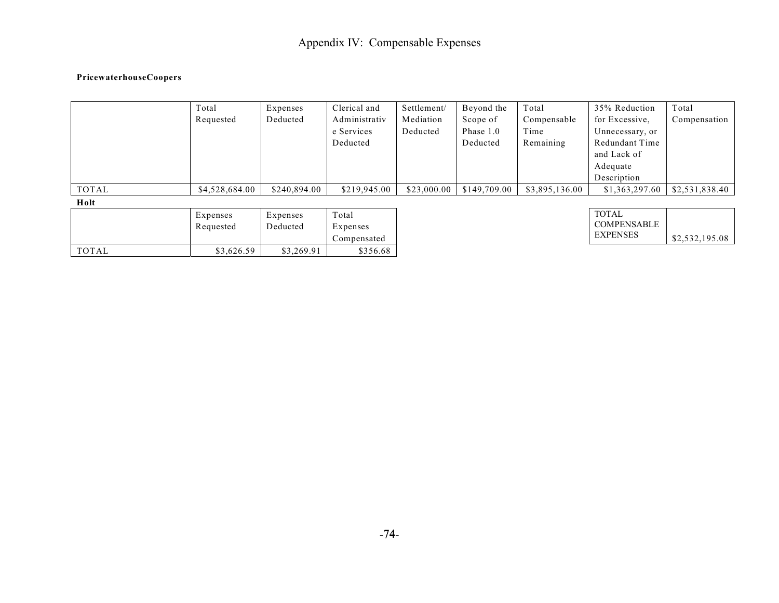# Appendix IV: Compensable Expenses

#### **PricewaterhouseCoopers**

|       | Total          | Expenses     | Clerical and  | Settlement/ | Beyond the   | Total          | 35% Reduction   | Total          |
|-------|----------------|--------------|---------------|-------------|--------------|----------------|-----------------|----------------|
|       | Requested      | Deducted     | Administrativ | Mediation   | Scope of     | Compensable    | for Excessive,  | Compensation   |
|       |                |              | e Services    | Deducted    | Phase 1.0    | Time           | Unnecessary, or |                |
|       |                |              | Deducted      |             | Deducted     | Remaining      | Redundant Time  |                |
|       |                |              |               |             |              |                | and Lack of     |                |
|       |                |              |               |             |              |                | Adequate        |                |
|       |                |              |               |             |              |                | Description     |                |
| TOTAL | \$4,528,684.00 | \$240,894.00 | \$219,945.00  | \$23,000.00 | \$149,709.00 | \$3,895,136.00 | \$1,363,297.60  | \$2,531,838.40 |
| Holt  |                |              |               |             |              |                |                 |                |

|       | Expenses<br>Requested | Expenses<br>Deducted | Total<br>Expenses |
|-------|-----------------------|----------------------|-------------------|
|       |                       |                      | Compensated       |
| TOTAL | \$3,626.59            | \$3,269.91           | \$356.68          |

| TOTAL              |                |
|--------------------|----------------|
| <b>COMPENSABLE</b> |                |
| <b>EXPENSES</b>    | \$2,532,195.08 |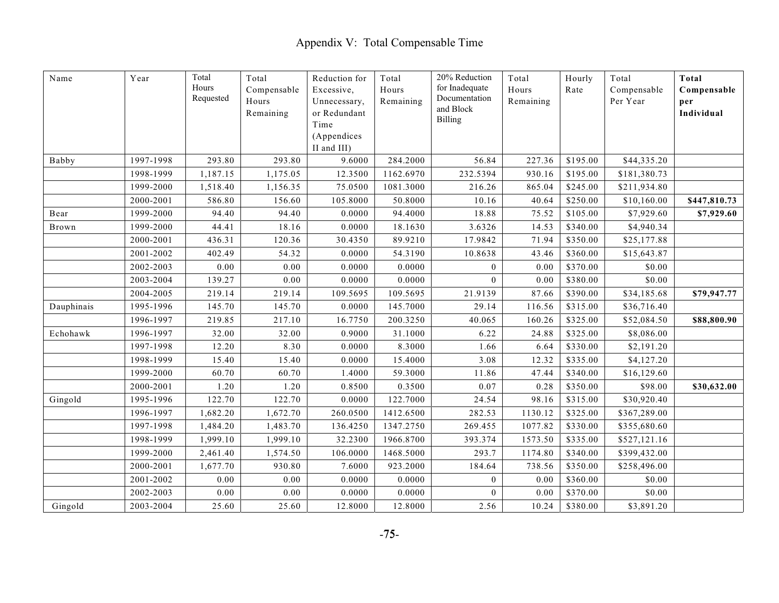| Name       | Year      | Total<br>Hours<br>Requested | Total<br>Compensable<br>Hours<br>Remaining | Reduction for<br>Excessive,<br>Unnecessary,<br>or Redundant<br>Time<br>(Appendices | Total<br>Hours<br>Remaining | 20% Reduction<br>for Inadequate<br>Documentation<br>and Block<br><b>Billing</b> | Total<br>Hours<br>Remaining | Hourly<br>Rate | Total<br>Compensable<br>Per Year | Total<br>Compensable<br>per<br>Individual |
|------------|-----------|-----------------------------|--------------------------------------------|------------------------------------------------------------------------------------|-----------------------------|---------------------------------------------------------------------------------|-----------------------------|----------------|----------------------------------|-------------------------------------------|
| Babby      | 1997-1998 | 293.80                      | 293.80                                     | II and III)<br>9.6000                                                              | 284.2000                    | 56.84                                                                           | 227.36                      | \$195.00       | \$44,335.20                      |                                           |
|            | 1998-1999 | 1,187.15                    | 1,175.05                                   | 12.3500                                                                            | 1162.6970                   | 232.5394                                                                        | 930.16                      | \$195.00       | \$181,380.73                     |                                           |
|            | 1999-2000 | 1,518.40                    | 1,156.35                                   | 75.0500                                                                            | 1081.3000                   | 216.26                                                                          | 865.04                      | \$245.00       | \$211,934.80                     |                                           |
|            | 2000-2001 | 586.80                      | 156.60                                     | 105.8000                                                                           | 50.8000                     | 10.16                                                                           | 40.64                       | \$250.00       | \$10,160.00                      | \$447,810.73                              |
| Bear       | 1999-2000 | 94.40                       | 94.40                                      | 0.0000                                                                             | 94.4000                     | 18.88                                                                           | 75.52                       | \$105.00       | \$7,929.60                       | \$7,929.60                                |
| Brown      | 1999-2000 | 44.41                       | 18.16                                      | 0.0000                                                                             | 18.1630                     | 3.6326                                                                          | 14.53                       | \$340.00       | \$4,940.34                       |                                           |
|            | 2000-2001 | 436.31                      | 120.36                                     | 30.4350                                                                            | 89.9210                     | 17.9842                                                                         | 71.94                       | \$350.00       | \$25,177.88                      |                                           |
|            | 2001-2002 | 402.49                      | 54.32                                      | 0.0000                                                                             | 54.3190                     | 10.8638                                                                         | 43.46                       | \$360.00       | \$15,643.87                      |                                           |
|            | 2002-2003 | 0.00                        | 0.00                                       | 0.0000                                                                             | 0.0000                      | $\overline{0}$                                                                  | 0.00                        | \$370.00       | \$0.00                           |                                           |
|            | 2003-2004 | 139.27                      | 0.00                                       | 0.0000                                                                             | 0.0000                      | $\mathbf{0}$                                                                    | 0.00                        | \$380.00       | \$0.00                           |                                           |
|            | 2004-2005 | 219.14                      | 219.14                                     | 109.5695                                                                           | 109.5695                    | 21.9139                                                                         | 87.66                       | \$390.00       | \$34,185.68                      | \$79,947.77                               |
| Dauphinais | 1995-1996 | 145.70                      | 145.70                                     | 0.0000                                                                             | 145.7000                    | 29.14                                                                           | 116.56                      | \$315.00       | \$36,716.40                      |                                           |
|            | 1996-1997 | 219.85                      | 217.10                                     | 16.7750                                                                            | 200.3250                    | 40.065                                                                          | 160.26                      | \$325.00       | \$52,084.50                      | \$88,800.90                               |
| Echohawk   | 1996-1997 | 32.00                       | 32.00                                      | 0.9000                                                                             | 31.1000                     | 6.22                                                                            | 24.88                       | \$325.00       | \$8,086.00                       |                                           |
|            | 1997-1998 | 12.20                       | 8.30                                       | 0.0000                                                                             | 8.3000                      | 1.66                                                                            | 6.64                        | \$330.00       | \$2,191.20                       |                                           |
|            | 1998-1999 | 15.40                       | 15.40                                      | 0.0000                                                                             | 15.4000                     | 3.08                                                                            | 12.32                       | \$335.00       | \$4,127.20                       |                                           |
|            | 1999-2000 | 60.70                       | 60.70                                      | 1.4000                                                                             | 59.3000                     | 11.86                                                                           | 47.44                       | \$340.00       | \$16,129.60                      |                                           |
|            | 2000-2001 | 1.20                        | 1.20                                       | 0.8500                                                                             | 0.3500                      | 0.07                                                                            | 0.28                        | \$350.00       | \$98.00                          | \$30,632.00                               |
| Gingold    | 1995-1996 | 122.70                      | 122.70                                     | 0.0000                                                                             | 122.7000                    | 24.54                                                                           | 98.16                       | \$315.00       | \$30,920.40                      |                                           |
|            | 1996-1997 | 1,682.20                    | 1,672.70                                   | 260.0500                                                                           | 1412.6500                   | 282.53                                                                          | 1130.12                     | \$325.00       | \$367,289.00                     |                                           |
|            | 1997-1998 | 1,484.20                    | 1,483.70                                   | 136.4250                                                                           | 1347.2750                   | 269.455                                                                         | 1077.82                     | \$330.00       | \$355,680.60                     |                                           |
|            | 1998-1999 | 1,999.10                    | 1,999.10                                   | 32.2300                                                                            | 1966.8700                   | 393.374                                                                         | 1573.50                     | \$335.00       | \$527,121.16                     |                                           |
|            | 1999-2000 | 2,461.40                    | 1,574.50                                   | 106.0000                                                                           | 1468.5000                   | 293.7                                                                           | 1174.80                     | \$340.00       | \$399,432.00                     |                                           |
|            | 2000-2001 | 1,677.70                    | 930.80                                     | 7.6000                                                                             | 923.2000                    | 184.64                                                                          | 738.56                      | \$350.00       | \$258,496.00                     |                                           |
|            | 2001-2002 | 0.00                        | 0.00                                       | 0.0000                                                                             | 0.0000                      | $\mathbf{0}$                                                                    | 0.00                        | \$360.00       | \$0.00                           |                                           |
|            | 2002-2003 | $0.00\,$                    | $0.00\,$                                   | 0.0000                                                                             | 0.0000                      | $\mathbf{0}$                                                                    | 0.00                        | \$370.00       | \$0.00                           |                                           |
| Gingold    | 2003-2004 | 25.60                       | 25.60                                      | 12.8000                                                                            | 12.8000                     | 2.56                                                                            | 10.24                       | \$380.00       | \$3,891.20                       |                                           |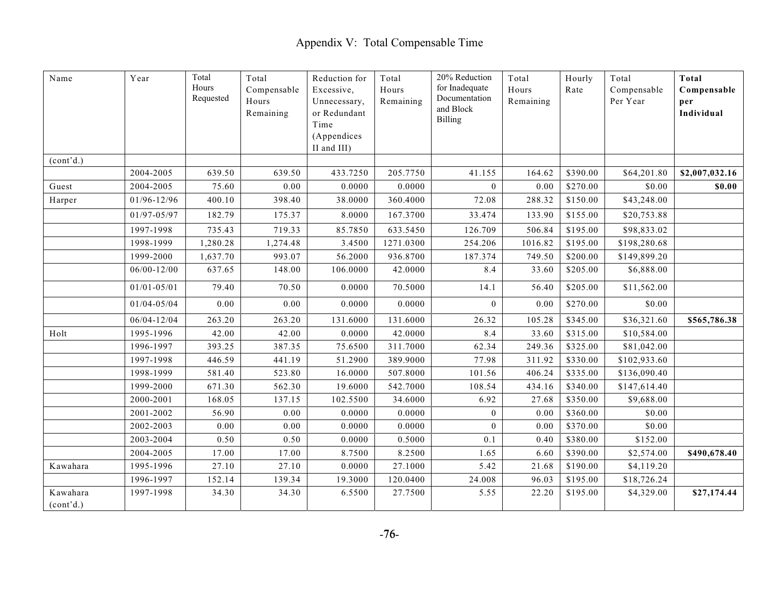| Name                  | Year            | Total<br>Hours<br>Requested | Total<br>Compensable<br>Hours<br>Remaining | Reduction for<br>Excessive,<br>Unnecessary,<br>or Redundant<br>Time<br>(Appendices | Total<br>Hours<br>Remaining | 20% Reduction<br>for Inadequate<br>Documentation<br>and Block<br><b>Billing</b> | Total<br>Hours<br>Remaining | Hourly<br>Rate | Total<br>Compensable<br>Per Year | Total<br>Compensable<br>per<br>Individual |
|-----------------------|-----------------|-----------------------------|--------------------------------------------|------------------------------------------------------------------------------------|-----------------------------|---------------------------------------------------------------------------------|-----------------------------|----------------|----------------------------------|-------------------------------------------|
| (cont'd.)             |                 |                             |                                            | II and III)                                                                        |                             |                                                                                 |                             |                |                                  |                                           |
|                       | 2004-2005       | 639.50                      | 639.50                                     | 433.7250                                                                           | 205.7750                    | 41.155                                                                          | 164.62                      | \$390.00       | \$64,201.80                      | \$2,007,032.16                            |
| Guest                 | 2004-2005       | 75.60                       | 0.00                                       | 0.0000                                                                             | 0.0000                      | $\overline{0}$                                                                  | 0.00                        | \$270.00       | \$0.00                           | \$0.00                                    |
| Harper                | 01/96-12/96     | 400.10                      | 398.40                                     | 38.0000                                                                            | 360.4000                    | 72.08                                                                           | 288.32                      | \$150.00       | \$43,248.00                      |                                           |
|                       | 01/97-05/97     | 182.79                      | 175.37                                     | 8.0000                                                                             | 167.3700                    | 33.474                                                                          | 133.90                      | \$155.00       | \$20,753.88                      |                                           |
|                       | 1997-1998       | 735.43                      | 719.33                                     | 85.7850                                                                            | 633.5450                    | 126.709                                                                         | 506.84                      | \$195.00       | \$98,833.02                      |                                           |
|                       | 1998-1999       | 1,280.28                    | 1,274.48                                   | 3.4500                                                                             | 1271.0300                   | 254.206                                                                         | 1016.82                     | \$195.00       | \$198,280.68                     |                                           |
|                       | 1999-2000       | 1,637.70                    | 993.07                                     | 56.2000                                                                            | 936.8700                    | 187.374                                                                         | 749.50                      | \$200.00       | \$149,899.20                     |                                           |
|                       | $06/00 - 12/00$ | 637.65                      | 148.00                                     | 106.0000                                                                           | 42.0000                     | 8.4                                                                             | 33.60                       | \$205.00       | \$6,888.00                       |                                           |
|                       | $01/01 - 05/01$ | 79.40                       | 70.50                                      | 0.0000                                                                             | 70.5000                     | 14.1                                                                            | 56.40                       | \$205.00       | \$11,562.00                      |                                           |
|                       | $01/04 - 05/04$ | 0.00                        | 0.00                                       | 0.0000                                                                             | 0.0000                      | $\mathbf{0}$                                                                    | 0.00                        | \$270.00       | \$0.00                           |                                           |
|                       | $06/04 - 12/04$ | 263.20                      | 263.20                                     | 131.6000                                                                           | 131.6000                    | 26.32                                                                           | 105.28                      | \$345.00       | \$36,321.60                      | \$565,786.38                              |
| Holt                  | 1995-1996       | 42.00                       | 42.00                                      | 0.0000                                                                             | 42.0000                     | 8.4                                                                             | 33.60                       | \$315.00       | \$10,584.00                      |                                           |
|                       | 1996-1997       | 393.25                      | 387.35                                     | 75.6500                                                                            | 311.7000                    | 62.34                                                                           | 249.36                      | \$325.00       | \$81,042.00                      |                                           |
|                       | 1997-1998       | 446.59                      | 441.19                                     | 51.2900                                                                            | 389.9000                    | 77.98                                                                           | 311.92                      | \$330.00       | \$102,933.60                     |                                           |
|                       | 1998-1999       | 581.40                      | 523.80                                     | 16.0000                                                                            | 507.8000                    | 101.56                                                                          | 406.24                      | \$335.00       | \$136,090.40                     |                                           |
|                       | 1999-2000       | 671.30                      | 562.30                                     | 19.6000                                                                            | 542.7000                    | 108.54                                                                          | 434.16                      | \$340.00       | \$147,614.40                     |                                           |
|                       | 2000-2001       | 168.05                      | 137.15                                     | 102.5500                                                                           | 34.6000                     | 6.92                                                                            | 27.68                       | \$350.00       | \$9,688.00                       |                                           |
|                       | 2001-2002       | 56.90                       | 0.00                                       | 0.0000                                                                             | 0.0000                      | $\boldsymbol{0}$                                                                | 0.00                        | \$360.00       | \$0.00                           |                                           |
|                       | 2002-2003       | 0.00                        | 0.00                                       | 0.0000                                                                             | 0.0000                      | $\Omega$                                                                        | 0.00                        | \$370.00       | \$0.00                           |                                           |
|                       | 2003-2004       | 0.50                        | 0.50                                       | 0.0000                                                                             | 0.5000                      | 0.1                                                                             | 0.40                        | \$380.00       | \$152.00                         |                                           |
|                       | 2004-2005       | 17.00                       | 17.00                                      | 8.7500                                                                             | 8.2500                      | 1.65                                                                            | 6.60                        | \$390.00       | \$2,574.00                       | \$490,678.40                              |
| Kawahara              | 1995-1996       | 27.10                       | 27.10                                      | 0.0000                                                                             | 27.1000                     | 5.42                                                                            | 21.68                       | \$190.00       | \$4,119.20                       |                                           |
|                       | 1996-1997       | 152.14                      | 139.34                                     | 19.3000                                                                            | 120.0400                    | 24.008                                                                          | 96.03                       | \$195.00       | \$18,726.24                      |                                           |
| Kawahara<br>(cont'd.) | 1997-1998       | 34.30                       | 34.30                                      | 6.5500                                                                             | 27.7500                     | 5.55                                                                            | 22.20                       | \$195.00       | \$4,329.00                       | \$27,174.44                               |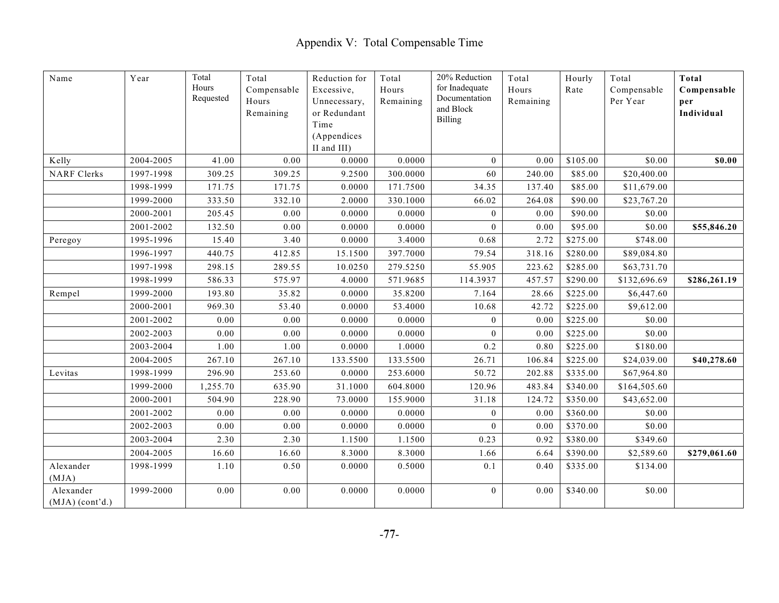| $\rm Name$                     | Year      | Total<br>Hours<br>Requested | Total<br>Compensable<br>Hours<br>Remaining | Reduction for<br>Excessive,<br>Unnecessary,<br>or Redundant<br>Time<br>(Appendices | Total<br>Hours<br>Remaining | 20% Reduction<br>for Inadequate<br>Documentation<br>and Block<br><b>Billing</b> | Total<br>Hours<br>Remaining | Hourly<br>Rate | Total<br>Compensable<br>Per Year | Total<br>Compensable<br>per<br>Individual |
|--------------------------------|-----------|-----------------------------|--------------------------------------------|------------------------------------------------------------------------------------|-----------------------------|---------------------------------------------------------------------------------|-----------------------------|----------------|----------------------------------|-------------------------------------------|
|                                |           |                             |                                            | II and III)                                                                        |                             |                                                                                 |                             |                |                                  |                                           |
| Kelly                          | 2004-2005 | 41.00                       | 0.00                                       | 0.0000                                                                             | 0.0000                      | $\mathbf{0}$                                                                    | 0.00                        | \$105.00       | \$0.00                           | \$0.00                                    |
| <b>NARF</b> Clerks             | 1997-1998 | 309.25                      | 309.25                                     | 9.2500                                                                             | 300.0000                    | 60                                                                              | 240.00                      | \$85.00        | \$20,400.00                      |                                           |
|                                | 1998-1999 | 171.75                      | 171.75                                     | 0.0000                                                                             | 171.7500                    | 34.35                                                                           | 137.40                      | \$85.00        | \$11,679.00                      |                                           |
|                                | 1999-2000 | 333.50                      | 332.10                                     | 2.0000                                                                             | 330.1000                    | 66.02                                                                           | 264.08                      | \$90.00        | \$23,767.20                      |                                           |
|                                | 2000-2001 | 205.45                      | 0.00                                       | 0.0000                                                                             | 0.0000                      | $\overline{0}$                                                                  | 0.00                        | \$90.00        | \$0.00                           |                                           |
|                                | 2001-2002 | 132.50                      | 0.00                                       | 0.0000                                                                             | 0.0000                      | $\theta$                                                                        | 0.00                        | \$95.00        | \$0.00                           | \$55,846.20                               |
| Peregoy                        | 1995-1996 | 15.40                       | 3.40                                       | 0.0000                                                                             | 3.4000                      | 0.68                                                                            | 2.72                        | \$275.00       | \$748.00                         |                                           |
|                                | 1996-1997 | 440.75                      | 412.85                                     | 15.1500                                                                            | 397.7000                    | 79.54                                                                           | 318.16                      | \$280.00       | \$89,084.80                      |                                           |
|                                | 1997-1998 | 298.15                      | 289.55                                     | 10.0250                                                                            | 279.5250                    | 55.905                                                                          | 223.62                      | \$285.00       | \$63,731.70                      |                                           |
|                                | 1998-1999 | 586.33                      | 575.97                                     | 4.0000                                                                             | 571.9685                    | 114.3937                                                                        | 457.57                      | \$290.00       | \$132,696.69                     | \$286,261.19                              |
| Rempel                         | 1999-2000 | 193.80                      | 35.82                                      | 0.0000                                                                             | 35.8200                     | 7.164                                                                           | 28.66                       | \$225.00       | \$6,447.60                       |                                           |
|                                | 2000-2001 | 969.30                      | 53.40                                      | 0.0000                                                                             | 53.4000                     | 10.68                                                                           | 42.72                       | \$225.00       | \$9,612.00                       |                                           |
|                                | 2001-2002 | 0.00                        | 0.00                                       | 0.0000                                                                             | 0.0000                      | $\overline{0}$                                                                  | 0.00                        | \$225.00       | \$0.00                           |                                           |
|                                | 2002-2003 | 0.00                        | 0.00                                       | 0.0000                                                                             | 0.0000                      | $\mathbf{0}$                                                                    | 0.00                        | \$225.00       | \$0.00                           |                                           |
|                                | 2003-2004 | 1.00                        | 1.00                                       | 0.0000                                                                             | 1.0000                      | 0.2                                                                             | 0.80                        | \$225.00       | \$180.00                         |                                           |
|                                | 2004-2005 | 267.10                      | 267.10                                     | 133.5500                                                                           | 133.5500                    | 26.71                                                                           | 106.84                      | \$225.00       | \$24,039.00                      | \$40,278.60                               |
| Levitas                        | 1998-1999 | 296.90                      | 253.60                                     | 0.0000                                                                             | 253.6000                    | 50.72                                                                           | 202.88                      | \$335.00       | \$67,964.80                      |                                           |
|                                | 1999-2000 | 1,255.70                    | 635.90                                     | 31.1000                                                                            | 604.8000                    | 120.96                                                                          | 483.84                      | \$340.00       | \$164,505.60                     |                                           |
|                                | 2000-2001 | 504.90                      | 228.90                                     | 73.0000                                                                            | 155.9000                    | 31.18                                                                           | 124.72                      | \$350.00       | \$43,652.00                      |                                           |
|                                | 2001-2002 | 0.00                        | 0.00                                       | 0.0000                                                                             | 0.0000                      | $\theta$                                                                        | 0.00                        | \$360.00       | \$0.00                           |                                           |
|                                | 2002-2003 | 0.00                        | 0.00                                       | 0.0000                                                                             | 0.0000                      | $\mathbf{0}$                                                                    | 0.00                        | \$370.00       | \$0.00                           |                                           |
|                                | 2003-2004 | 2.30                        | 2.30                                       | 1.1500                                                                             | 1.1500                      | 0.23                                                                            | 0.92                        | \$380.00       | \$349.60                         |                                           |
|                                | 2004-2005 | 16.60                       | 16.60                                      | 8.3000                                                                             | 8.3000                      | 1.66                                                                            | 6.64                        | \$390.00       | \$2,589.60                       | \$279,061.60                              |
| Alexander<br>(MJA)             | 1998-1999 | 1.10                        | 0.50                                       | 0.0000                                                                             | 0.5000                      | $0.1\,$                                                                         | 0.40                        | \$335.00       | \$134.00                         |                                           |
| Alexander<br>$(MJA)$ (cont'd.) | 1999-2000 | 0.00                        | 0.00                                       | 0.0000                                                                             | 0.0000                      | $\bf{0}$                                                                        | 0.00                        | \$340.00       | \$0.00                           |                                           |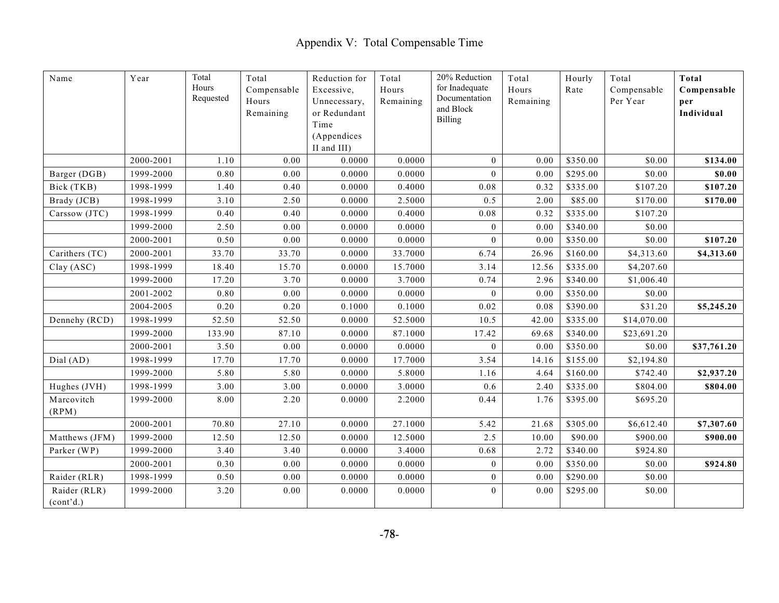| Name                      | Year      | Total<br>Hours<br>Requested | Total<br>Compensable<br>Hours<br>Remaining | Reduction for<br>Excessive,<br>Unnecessary,<br>or Redundant<br>Time<br>(Appendices | Total<br>Hours<br>Remaining | 20% Reduction<br>for Inadequate<br>Documentation<br>and Block<br><b>Billing</b> | Total<br>Hours<br>Remaining | Hourly<br>Rate | Total<br>Compensable<br>Per Year | Total<br>Compensable<br>per<br>Individual |
|---------------------------|-----------|-----------------------------|--------------------------------------------|------------------------------------------------------------------------------------|-----------------------------|---------------------------------------------------------------------------------|-----------------------------|----------------|----------------------------------|-------------------------------------------|
|                           |           |                             |                                            | II and III)                                                                        |                             |                                                                                 |                             |                |                                  |                                           |
|                           | 2000-2001 | 1.10                        | 0.00                                       | 0.0000                                                                             | 0.0000                      | $\bf{0}$                                                                        | 0.00                        | \$350.00       | \$0.00                           | \$134.00                                  |
| Barger (DGB)              | 1999-2000 | 0.80                        | 0.00                                       | 0.0000                                                                             | 0.0000                      | $\overline{0}$                                                                  | 0.00                        | \$295.00       | \$0.00                           | \$0.00                                    |
| Bick (TKB)                | 1998-1999 | 1.40                        | 0.40                                       | 0.0000                                                                             | 0.4000                      | 0.08                                                                            | 0.32                        | \$335.00       | \$107.20                         | \$107.20                                  |
| Brady (JCB)               | 1998-1999 | 3.10                        | 2.50                                       | 0.0000                                                                             | 2.5000                      | 0.5                                                                             | 2.00                        | \$85.00        | \$170.00                         | \$170.00                                  |
| Carssow (JTC)             | 1998-1999 | 0.40                        | 0.40                                       | 0.0000                                                                             | 0.4000                      | 0.08                                                                            | 0.32                        | \$335.00       | \$107.20                         |                                           |
|                           | 1999-2000 | 2.50                        | 0.00                                       | 0.0000                                                                             | 0.0000                      | $\mathbf{0}$                                                                    | 0.00                        | \$340.00       | \$0.00                           |                                           |
|                           | 2000-2001 | 0.50                        | 0.00                                       | 0.0000                                                                             | 0.0000                      | $\overline{0}$                                                                  | 0.00                        | \$350.00       | \$0.00                           | \$107.20                                  |
| Carithers (TC)            | 2000-2001 | 33.70                       | 33.70                                      | 0.0000                                                                             | 33.7000                     | 6.74                                                                            | 26.96                       | \$160.00       | \$4,313.60                       | \$4,313.60                                |
| Clay (ASC)                | 1998-1999 | 18.40                       | 15.70                                      | 0.0000                                                                             | 15.7000                     | 3.14                                                                            | 12.56                       | \$335.00       | \$4,207.60                       |                                           |
|                           | 1999-2000 | 17.20                       | 3.70                                       | 0.0000                                                                             | 3.7000                      | 0.74                                                                            | 2.96                        | \$340.00       | \$1,006.40                       |                                           |
|                           | 2001-2002 | 0.80                        | 0.00                                       | 0.0000                                                                             | 0.0000                      | $\bf{0}$                                                                        | 0.00                        | \$350.00       | \$0.00                           |                                           |
|                           | 2004-2005 | 0.20                        | 0.20                                       | 0.1000                                                                             | 0.1000                      | 0.02                                                                            | 0.08                        | \$390.00       | \$31.20                          | \$5,245.20                                |
| Dennehy (RCD)             | 1998-1999 | 52.50                       | 52.50                                      | 0.0000                                                                             | 52.5000                     | 10.5                                                                            | 42.00                       | \$335.00       | \$14,070.00                      |                                           |
|                           | 1999-2000 | 133.90                      | 87.10                                      | 0.0000                                                                             | 87.1000                     | 17.42                                                                           | 69.68                       | \$340.00       | \$23,691.20                      |                                           |
|                           | 2000-2001 | 3.50                        | 0.00                                       | 0.0000                                                                             | 0.0000                      | $\overline{0}$                                                                  | 0.00                        | \$350.00       | \$0.00                           | \$37,761.20                               |
| Dial (AD)                 | 1998-1999 | 17.70                       | 17.70                                      | 0.0000                                                                             | 17.7000                     | 3.54                                                                            | 14.16                       | \$155.00       | \$2,194.80                       |                                           |
|                           | 1999-2000 | 5.80                        | 5.80                                       | 0.0000                                                                             | 5.8000                      | 1.16                                                                            | 4.64                        | \$160.00       | \$742.40                         | \$2,937.20                                |
| Hughes (JVH)              | 1998-1999 | 3.00                        | 3.00                                       | 0.0000                                                                             | 3.0000                      | 0.6                                                                             | 2.40                        | \$335.00       | \$804.00                         | \$804.00                                  |
| Marcovitch<br>(RPM)       | 1999-2000 | 8.00                        | 2.20                                       | 0.0000                                                                             | 2.2000                      | 0.44                                                                            | 1.76                        | \$395.00       | \$695.20                         |                                           |
|                           | 2000-2001 | 70.80                       | 27.10                                      | 0.0000                                                                             | 27.1000                     | 5.42                                                                            | 21.68                       | \$305.00       | \$6,612.40                       | \$7,307.60                                |
| Matthews (JFM)            | 1999-2000 | 12.50                       | 12.50                                      | 0.0000                                                                             | 12.5000                     | 2.5                                                                             | 10.00                       | \$90.00        | \$900.00                         | \$900.00                                  |
| Parker (WP)               | 1999-2000 | 3.40                        | 3.40                                       | 0.0000                                                                             | 3.4000                      | 0.68                                                                            | 2.72                        | \$340.00       | \$924.80                         |                                           |
|                           | 2000-2001 | 0.30                        | 0.00                                       | 0.0000                                                                             | 0.0000                      | $\mathbf{0}$                                                                    | 0.00                        | \$350.00       | \$0.00                           | \$924.80                                  |
| Raider (RLR)              | 1998-1999 | 0.50                        | 0.00                                       | 0.0000                                                                             | 0.0000                      | $\bf{0}$                                                                        | 0.00                        | \$290.00       | \$0.00                           |                                           |
| Raider (RLR)<br>(cont'd.) | 1999-2000 | 3.20                        | $0.00\,$                                   | 0.0000                                                                             | 0.0000                      | $\boldsymbol{0}$                                                                | 0.00                        | \$295.00       | \$0.00                           |                                           |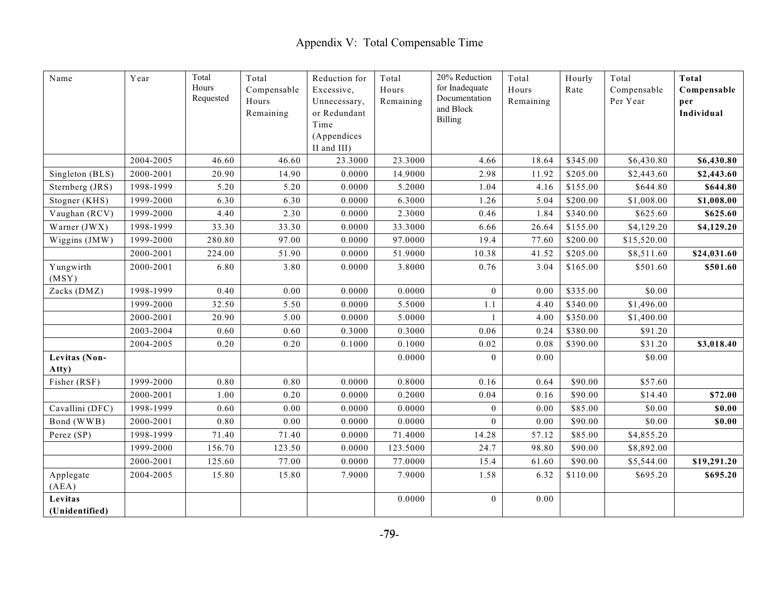| Name                      | Year      | Total<br>Hours<br>Requested | Total<br>Compensable<br>Hours<br>Remaining | Reduction for<br>Excessive,<br>Unnecessary,<br>or Redundant<br>Time<br>(Appendices | Total<br>Hours<br>Remaining | 20% Reduction<br>for Inadequate<br>Documentation<br>and Block<br><b>Billing</b> | Total<br>Hours<br>Remaining | Hourly<br>Rate | Total<br>Compensable<br>Per Year | Total<br>Compensable<br>per<br>Individual |
|---------------------------|-----------|-----------------------------|--------------------------------------------|------------------------------------------------------------------------------------|-----------------------------|---------------------------------------------------------------------------------|-----------------------------|----------------|----------------------------------|-------------------------------------------|
|                           |           |                             |                                            | II and III)                                                                        |                             |                                                                                 |                             |                |                                  |                                           |
|                           | 2004-2005 | 46.60                       | 46.60                                      | 23.3000                                                                            | 23.3000                     | 4.66                                                                            | 18.64                       | \$345.00       | \$6,430.80                       | \$6,430.80                                |
| Singleton (BLS)           | 2000-2001 | 20.90                       | 14.90                                      | 0.0000                                                                             | 14.9000                     | 2.98                                                                            | 11.92                       | \$205.00       | \$2,443.60                       | \$2,443.60                                |
| Sternberg (JRS)           | 1998-1999 | 5.20                        | 5.20                                       | 0.0000                                                                             | 5.2000                      | 1.04                                                                            | 4.16                        | \$155.00       | \$644.80                         | \$644.80                                  |
| Stogner (KHS)             | 1999-2000 | 6.30                        | 6.30                                       | 0.0000                                                                             | 6.3000                      | 1.26                                                                            | 5.04                        | \$200.00       | \$1,008.00                       | \$1,008.00                                |
| Vaughan (RCV)             | 1999-2000 | 4.40                        | 2.30                                       | 0.0000                                                                             | 2.3000                      | 0.46                                                                            | 1.84                        | \$340.00       | \$625.60                         | \$625.60                                  |
| Warner (JWX)              | 1998-1999 | 33.30                       | 33.30                                      | 0.0000                                                                             | 33.3000                     | 6.66                                                                            | 26.64                       | \$155.00       | \$4,129.20                       | \$4,129.20                                |
| Wiggins (JMW)             | 1999-2000 | 280.80                      | 97.00                                      | 0.0000                                                                             | 97.0000                     | 19.4                                                                            | 77.60                       | \$200.00       | \$15,520.00                      |                                           |
|                           | 2000-2001 | 224.00                      | 51.90                                      | 0.0000                                                                             | 51.9000                     | 10.38                                                                           | 41.52                       | \$205.00       | \$8,511.60                       | \$24,031.60                               |
| Yungwirth<br>(MSY)        | 2000-2001 | 6.80                        | 3.80                                       | 0.0000                                                                             | 3.8000                      | 0.76                                                                            | 3.04                        | \$165.00       | \$501.60                         | \$501.60                                  |
| Zacks (DMZ)               | 1998-1999 | 0.40                        | 0.00                                       | 0.0000                                                                             | 0.0000                      | $\boldsymbol{0}$                                                                | 0.00                        | \$335.00       | \$0.00                           |                                           |
|                           | 1999-2000 | 32.50                       | 5.50                                       | 0.0000                                                                             | 5.5000                      | 1.1                                                                             | 4.40                        | \$340.00       | \$1,496.00                       |                                           |
|                           | 2000-2001 | 20.90                       | 5.00                                       | 0.0000                                                                             | 5.0000                      | $\mathbf{1}$                                                                    | 4.00                        | \$350.00       | \$1,400.00                       |                                           |
|                           | 2003-2004 | 0.60                        | 0.60                                       | 0.3000                                                                             | 0.3000                      | 0.06                                                                            | 0.24                        | \$380.00       | \$91.20                          |                                           |
|                           | 2004-2005 | 0.20                        | 0.20                                       | 0.1000                                                                             | 0.1000                      | 0.02                                                                            | 0.08                        | \$390.00       | \$31.20                          | \$3,018.40                                |
| Levitas (Non-<br>Atty)    |           |                             |                                            |                                                                                    | 0.0000                      | $\mathbf{0}$                                                                    | 0.00                        |                | \$0.00                           |                                           |
| Fisher (RSF)              | 1999-2000 | 0.80                        | 0.80                                       | 0.0000                                                                             | 0.8000                      | 0.16                                                                            | 0.64                        | \$90.00        | \$57.60                          |                                           |
|                           | 2000-2001 | 1.00                        | 0.20                                       | 0.0000                                                                             | 0.2000                      | 0.04                                                                            | 0.16                        | \$90.00        | \$14.40                          | \$72.00                                   |
| Cavallini (DFC)           | 1998-1999 | 0.60                        | 0.00                                       | 0.0000                                                                             | 0.0000                      | $\theta$                                                                        | 0.00                        | \$85.00        | \$0.00                           | \$0.00                                    |
| Bond (WWB)                | 2000-2001 | 0.80                        | 0.00                                       | 0.0000                                                                             | 0.0000                      | $\mathbf{0}$                                                                    | 0.00                        | \$90.00        | \$0.00                           | \$0.00                                    |
| Perez (SP)                | 1998-1999 | 71.40                       | 71.40                                      | 0.0000                                                                             | 71.4000                     | 14.28                                                                           | 57.12                       | \$85.00        | \$4,855.20                       |                                           |
|                           | 1999-2000 | 156.70                      | 123.50                                     | 0.0000                                                                             | 123.5000                    | 24.7                                                                            | 98.80                       | \$90.00        | \$8,892.00                       |                                           |
|                           | 2000-2001 | 125.60                      | 77.00                                      | 0.0000                                                                             | 77.0000                     | 15.4                                                                            | 61.60                       | \$90.00        | \$5,544.00                       | \$19,291.20                               |
| Applegate<br>(AEA)        | 2004-2005 | 15.80                       | 15.80                                      | 7.9000                                                                             | 7.9000                      | 1.58                                                                            | 6.32                        | \$110.00       | \$695.20                         | \$695.20                                  |
| Levitas<br>(Unidentified) |           |                             |                                            |                                                                                    | 0.0000                      | $\bf{0}$                                                                        | 0.00                        |                |                                  |                                           |